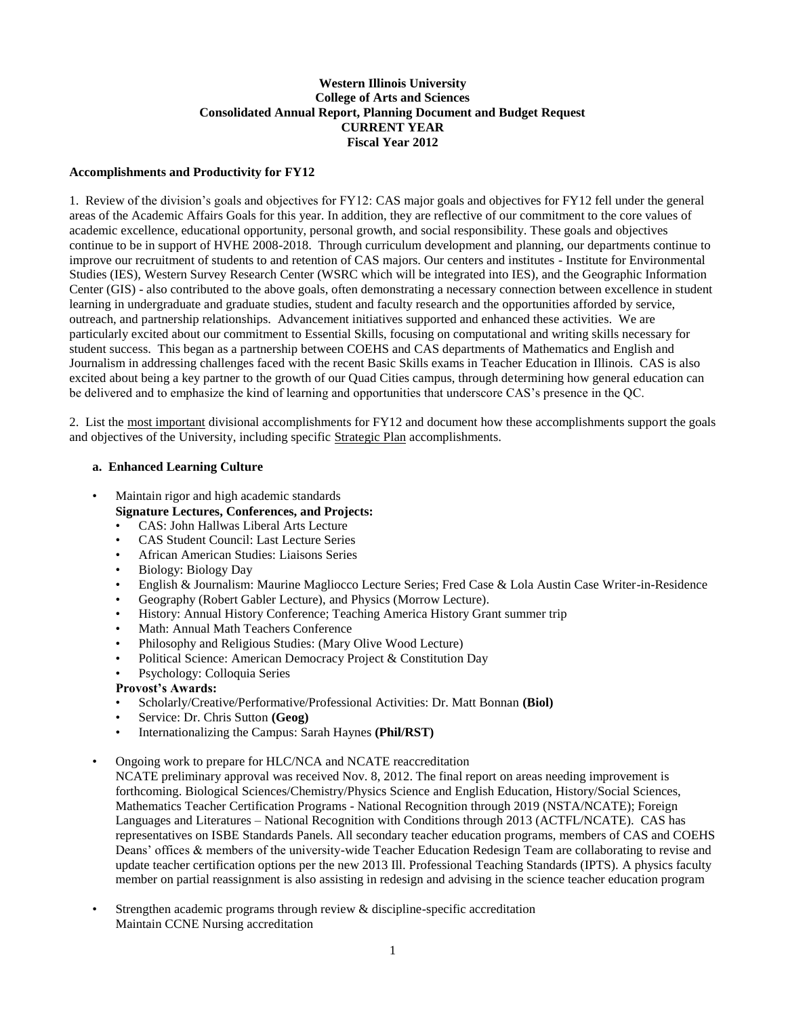### **Western Illinois University College of Arts and Sciences Consolidated Annual Report, Planning Document and Budget Request CURRENT YEAR Fiscal Year 2012**

#### **Accomplishments and Productivity for FY12**

1. Review of the division's goals and objectives for FY12: CAS major goals and objectives for FY12 fell under the general areas of the Academic Affairs Goals for this year. In addition, they are reflective of our commitment to the core values of academic excellence, educational opportunity, personal growth, and social responsibility. These goals and objectives continue to be in support of HVHE 2008-2018. Through curriculum development and planning, our departments continue to improve our recruitment of students to and retention of CAS majors. Our centers and institutes - Institute for Environmental Studies (IES), Western Survey Research Center (WSRC which will be integrated into IES), and the Geographic Information Center (GIS) - also contributed to the above goals, often demonstrating a necessary connection between excellence in student learning in undergraduate and graduate studies, student and faculty research and the opportunities afforded by service, outreach, and partnership relationships. Advancement initiatives supported and enhanced these activities. We are particularly excited about our commitment to Essential Skills, focusing on computational and writing skills necessary for student success. This began as a partnership between COEHS and CAS departments of Mathematics and English and Journalism in addressing challenges faced with the recent Basic Skills exams in Teacher Education in Illinois. CAS is also excited about being a key partner to the growth of our Quad Cities campus, through determining how general education can be delivered and to emphasize the kind of learning and opportunities that underscore CAS's presence in the QC.

2. List the most important divisional accomplishments for FY12 and document how these accomplishments support the goals and objectives of the University, including specific Strategic Plan accomplishments.

#### **a. Enhanced Learning Culture**

- Maintain rigor and high academic standards **Signature Lectures, Conferences, and Projects:**
	- CAS: John Hallwas Liberal Arts Lecture
	- CAS Student Council: Last Lecture Series
	- African American Studies: Liaisons Series
	- Biology: Biology Day
	- English & Journalism: Maurine Magliocco Lecture Series; Fred Case & Lola Austin Case Writer-in-Residence
	- Geography (Robert Gabler Lecture), and Physics (Morrow Lecture).
	- History: Annual History Conference; Teaching America History Grant summer trip
	- Math: Annual Math Teachers Conference
	- Philosophy and Religious Studies: (Mary Olive Wood Lecture)
	- Political Science: American Democracy Project & Constitution Day
	- Psychology: Colloquia Series

#### **Provost's Awards:**

- Scholarly/Creative/Performative/Professional Activities: Dr. Matt Bonnan **(Biol)**
- Service: Dr. Chris Sutton **(Geog)**
- Internationalizing the Campus: Sarah Haynes **(Phil/RST)**

#### • Ongoing work to prepare for HLC/NCA and NCATE reaccreditation

NCATE preliminary approval was received Nov. 8, 2012. The final report on areas needing improvement is forthcoming. Biological Sciences/Chemistry/Physics Science and English Education, History/Social Sciences, Mathematics Teacher Certification Programs - National Recognition through 2019 (NSTA/NCATE); Foreign Languages and Literatures – National Recognition with Conditions through 2013 (ACTFL/NCATE). CAS has representatives on ISBE Standards Panels. All secondary teacher education programs, members of CAS and COEHS Deans' offices & members of the university-wide Teacher Education Redesign Team are collaborating to revise and update teacher certification options per the new 2013 Ill. Professional Teaching Standards (IPTS). A physics faculty member on partial reassignment is also assisting in redesign and advising in the science teacher education program

Strengthen academic programs through review  $\&$  discipline-specific accreditation Maintain CCNE Nursing accreditation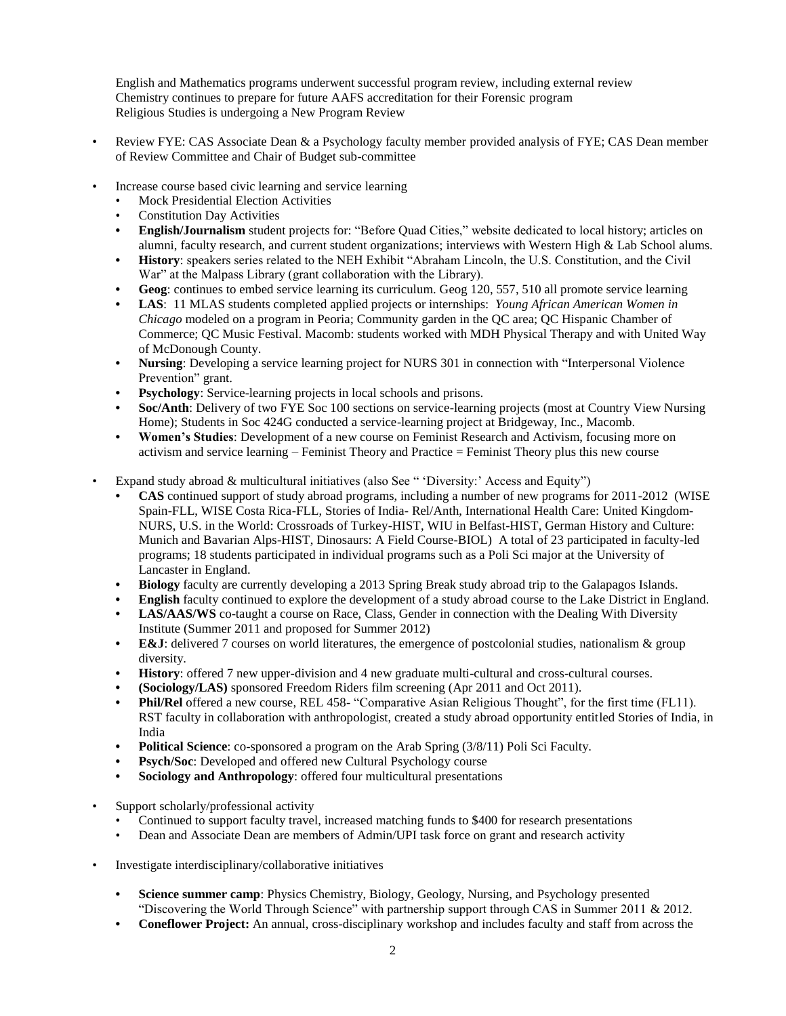English and Mathematics programs underwent successful program review, including external review Chemistry continues to prepare for future AAFS accreditation for their Forensic program Religious Studies is undergoing a New Program Review

- Review FYE: CAS Associate Dean & a Psychology faculty member provided analysis of FYE; CAS Dean member of Review Committee and Chair of Budget sub-committee
- Increase course based civic learning and service learning
	- Mock Presidential Election Activities
	- **Constitution Day Activities**
	- **• English/Journalism** student projects for: "Before Quad Cities," website dedicated to local history; articles on alumni, faculty research, and current student organizations; interviews with Western High & Lab School alums.
	- **• History**: speakers series related to the NEH Exhibit "Abraham Lincoln, the U.S. Constitution, and the Civil War" at the Malpass Library (grant collaboration with the Library).
	- **• Geog**: continues to embed service learning its curriculum. Geog 120, 557, 510 all promote service learning
	- **• LAS**: 11 MLAS students completed applied projects or internships: *Young African American Women in Chicago* modeled on a program in Peoria; Community garden in the QC area; QC Hispanic Chamber of Commerce; QC Music Festival. Macomb: students worked with MDH Physical Therapy and with United Way of McDonough County.
	- **• Nursing**: Developing a service learning project for NURS 301 in connection with "Interpersonal Violence Prevention" grant.
	- **Psychology:** Service-learning projects in local schools and prisons.
	- **• Soc/Anth**: Delivery of two FYE Soc 100 sections on service-learning projects (most at Country View Nursing Home); Students in Soc 424G conducted a service-learning project at Bridgeway, Inc., Macomb.
	- **• Women's Studies**: Development of a new course on Feminist Research and Activism, focusing more on activism and service learning – Feminist Theory and Practice = Feminist Theory plus this new course
- Expand study abroad & multicultural initiatives (also See " 'Diversity:' Access and Equity")
	- **• CAS** continued support of study abroad programs, including a number of new programs for 2011-2012 (WISE Spain-FLL, WISE Costa Rica-FLL, Stories of India- Rel/Anth, International Health Care: United Kingdom-NURS, U.S. in the World: Crossroads of Turkey-HIST, WIU in Belfast-HIST, German History and Culture: Munich and Bavarian Alps-HIST, Dinosaurs: A Field Course-BIOL) A total of 23 participated in faculty-led programs; 18 students participated in individual programs such as a Poli Sci major at the University of Lancaster in England.
	- **• Biology** faculty are currently developing a 2013 Spring Break study abroad trip to the Galapagos Islands.
	- **• English** faculty continued to explore the development of a study abroad course to the Lake District in England.
	- **• LAS/AAS/WS** co-taught a course on Race, Class, Gender in connection with the Dealing With Diversity Institute (Summer 2011 and proposed for Summer 2012)
	- **E&J**: delivered 7 courses on world literatures, the emergence of postcolonial studies, nationalism & group diversity.
	- **• History**: offered 7 new upper-division and 4 new graduate multi-cultural and cross-cultural courses.
	- **• (Sociology/LAS)** sponsored Freedom Riders film screening (Apr 2011 and Oct 2011).
	- **• Phil/Rel** offered a new course, REL 458- "Comparative Asian Religious Thought", for the first time (FL11). RST faculty in collaboration with anthropologist, created a study abroad opportunity entitled Stories of India, in India
	- **• Political Science**: co-sponsored a program on the Arab Spring (3/8/11) Poli Sci Faculty.
	- **Psych/Soc**: Developed and offered new Cultural Psychology course
	- **• Sociology and Anthropology**: offered four multicultural presentations
- Support scholarly/professional activity
	- Continued to support faculty travel, increased matching funds to \$400 for research presentations
	- Dean and Associate Dean are members of Admin/UPI task force on grant and research activity
- Investigate interdisciplinary/collaborative initiatives
	- **• Science summer camp**: Physics Chemistry, Biology, Geology, Nursing, and Psychology presented "Discovering the World Through Science" with partnership support through CAS in Summer 2011 & 2012.
	- **• Coneflower Project:** An annual, cross-disciplinary workshop and includes faculty and staff from across the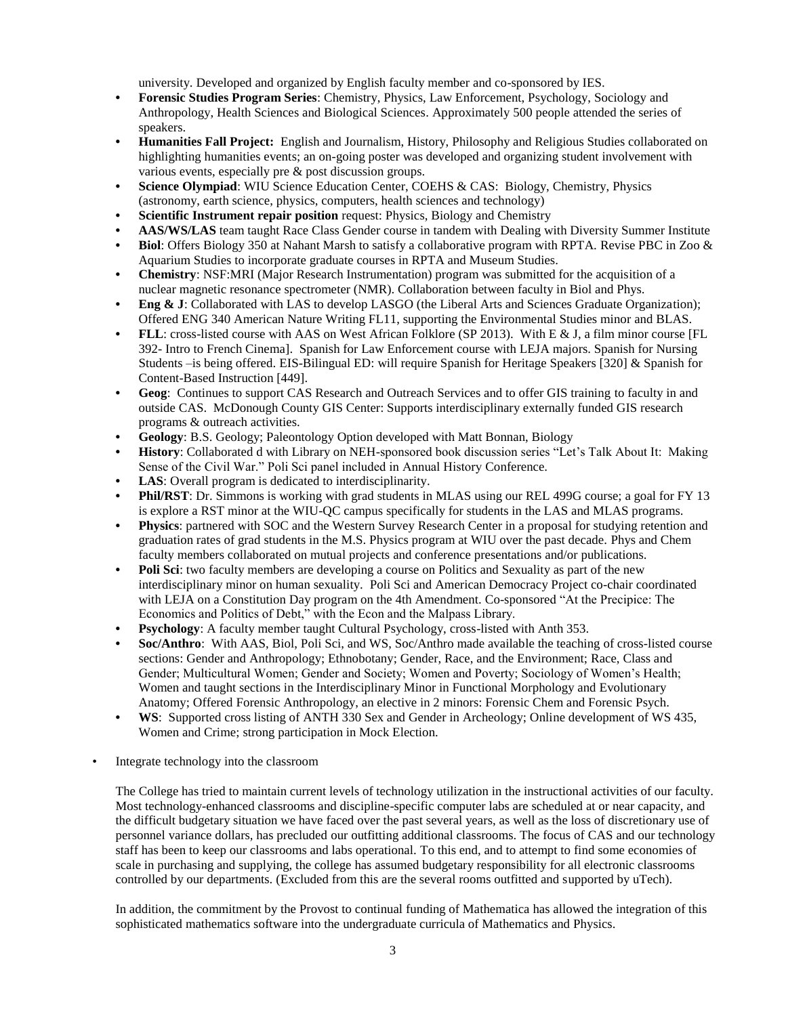university. Developed and organized by English faculty member and co-sponsored by IES.

- **• Forensic Studies Program Series**: Chemistry, Physics, Law Enforcement, Psychology, Sociology and Anthropology, Health Sciences and Biological Sciences. Approximately 500 people attended the series of speakers.
- **• Humanities Fall Project:** English and Journalism, History, Philosophy and Religious Studies collaborated on highlighting humanities events; an on-going poster was developed and organizing student involvement with various events, especially pre & post discussion groups.
- **• Science Olympiad**: WIU Science Education Center, COEHS & CAS: Biology, Chemistry, Physics (astronomy, earth science, physics, computers, health sciences and technology)
- **• Scientific Instrument repair position** request: Physics, Biology and Chemistry
- **• AAS/WS/LAS** team taught Race Class Gender course in tandem with Dealing with Diversity Summer Institute
- **• Biol**: Offers Biology 350 at Nahant Marsh to satisfy a collaborative program with RPTA. Revise PBC in Zoo & Aquarium Studies to incorporate graduate courses in RPTA and Museum Studies.
- **• Chemistry**: NSF:MRI (Major Research Instrumentation) program was submitted for the acquisition of a nuclear magnetic resonance spectrometer (NMR). Collaboration between faculty in Biol and Phys.
- **• Eng & J**: Collaborated with LAS to develop LASGO (the Liberal Arts and Sciences Graduate Organization); Offered ENG 340 American Nature Writing FL11, supporting the Environmental Studies minor and BLAS.
- **• FLL**: cross-listed course with AAS on West African Folklore (SP 2013). With E & J, a film minor course [FL 392- Intro to French Cinema]. Spanish for Law Enforcement course with LEJA majors. Spanish for Nursing Students –is being offered. EIS-Bilingual ED: will require Spanish for Heritage Speakers [320] & Spanish for Content-Based Instruction [449].
- **• Geog**: Continues to support CAS Research and Outreach Services and to offer GIS training to faculty in and outside CAS. McDonough County GIS Center: Supports interdisciplinary externally funded GIS research programs & outreach activities.
- **• Geology**: B.S. Geology; Paleontology Option developed with Matt Bonnan, Biology
- **• History**: Collaborated d with Library on NEH-sponsored book discussion series "Let's Talk About It: Making Sense of the Civil War." Poli Sci panel included in Annual History Conference.
- **LAS**: Overall program is dedicated to interdisciplinarity.
- **• Phil/RST**: Dr. Simmons is working with grad students in MLAS using our REL 499G course; a goal for FY 13 is explore a RST minor at the WIU-QC campus specifically for students in the LAS and MLAS programs.
- **• Physics**: partnered with SOC and the Western Survey Research Center in a proposal for studying retention and graduation rates of grad students in the M.S. Physics program at WIU over the past decade. Phys and Chem faculty members collaborated on mutual projects and conference presentations and/or publications.
- **• Poli Sci**: two faculty members are developing a course on Politics and Sexuality as part of the new interdisciplinary minor on human sexuality. Poli Sci and American Democracy Project co-chair coordinated with LEJA on a Constitution Day program on the 4th Amendment. Co-sponsored "At the Precipice: The Economics and Politics of Debt," with the Econ and the Malpass Library.
- **• Psychology**: A faculty member taught Cultural Psychology, cross-listed with Anth 353.
- **• Soc/Anthro**: With AAS, Biol, Poli Sci, and WS, Soc/Anthro made available the teaching of cross-listed course sections: Gender and Anthropology; Ethnobotany; Gender, Race, and the Environment; Race, Class and Gender; Multicultural Women; Gender and Society; Women and Poverty; Sociology of Women's Health; Women and taught sections in the Interdisciplinary Minor in Functional Morphology and Evolutionary Anatomy; Offered Forensic Anthropology, an elective in 2 minors: Forensic Chem and Forensic Psych.
- **• WS**: Supported cross listing of ANTH 330 Sex and Gender in Archeology; Online development of WS 435, Women and Crime; strong participation in Mock Election.
- Integrate technology into the classroom

The College has tried to maintain current levels of technology utilization in the instructional activities of our faculty. Most technology-enhanced classrooms and discipline-specific computer labs are scheduled at or near capacity, and the difficult budgetary situation we have faced over the past several years, as well as the loss of discretionary use of personnel variance dollars, has precluded our outfitting additional classrooms. The focus of CAS and our technology staff has been to keep our classrooms and labs operational. To this end, and to attempt to find some economies of scale in purchasing and supplying, the college has assumed budgetary responsibility for all electronic classrooms controlled by our departments. (Excluded from this are the several rooms outfitted and supported by uTech).

In addition, the commitment by the Provost to continual funding of Mathematica has allowed the integration of this sophisticated mathematics software into the undergraduate curricula of Mathematics and Physics.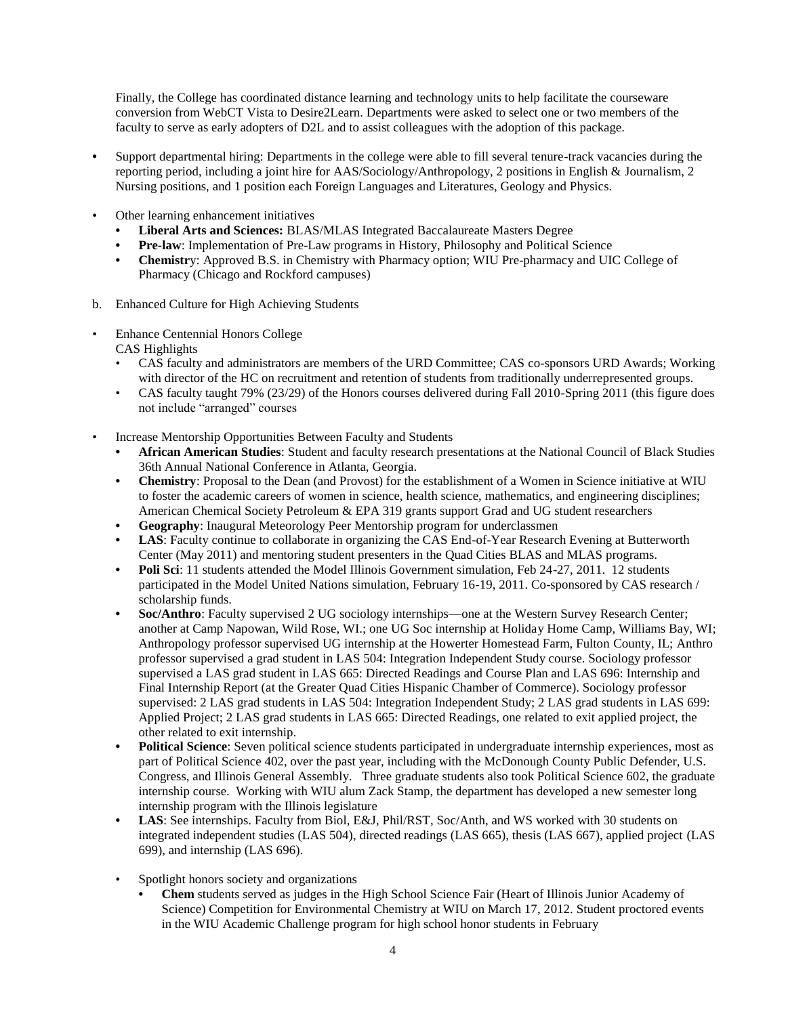Finally, the College has coordinated distance learning and technology units to help facilitate the courseware conversion from WebCT Vista to Desire2Learn. Departments were asked to select one or two members of the faculty to serve as early adopters of D2L and to assist colleagues with the adoption of this package.

- **•** Support departmental hiring: Departments in the college were able to fill several tenure-track vacancies during the reporting period, including a joint hire for AAS/Sociology/Anthropology, 2 positions in English & Journalism, 2 Nursing positions, and 1 position each Foreign Languages and Literatures, Geology and Physics.
- Other learning enhancement initiatives
	- **• Liberal Arts and Sciences:** BLAS/MLAS Integrated Baccalaureate Masters Degree
	- **• Pre-law**: Implementation of Pre-Law programs in History, Philosophy and Political Science
	- **• Chemistr**y: Approved B.S. in Chemistry with Pharmacy option; WIU Pre-pharmacy and UIC College of Pharmacy (Chicago and Rockford campuses)
- b. Enhanced Culture for High Achieving Students
- Enhance Centennial Honors College CAS Highlights
	- CAS faculty and administrators are members of the URD Committee; CAS co-sponsors URD Awards; Working with director of the HC on recruitment and retention of students from traditionally underrepresented groups.
	- CAS faculty taught 79% (23/29) of the Honors courses delivered during Fall 2010-Spring 2011 (this figure does not include "arranged" courses
- Increase Mentorship Opportunities Between Faculty and Students
	- **• African American Studies**: Student and faculty research presentations at the National Council of Black Studies 36th Annual National Conference in Atlanta, Georgia.
	- **• Chemistry**: Proposal to the Dean (and Provost) for the establishment of a Women in Science initiative at WIU to foster the academic careers of women in science, health science, mathematics, and engineering disciplines; American Chemical Society Petroleum & EPA 319 grants support Grad and UG student researchers
	- **• Geography**: Inaugural Meteorology Peer Mentorship program for underclassmen
	- **• LAS**: Faculty continue to collaborate in organizing the CAS End-of-Year Research Evening at Butterworth Center (May 2011) and mentoring student presenters in the Quad Cities BLAS and MLAS programs.
	- **Poli Sci**: 11 students attended the Model Illinois Government simulation, Feb 24-27, 2011. 12 students participated in the Model United Nations simulation, February 16-19, 2011. Co-sponsored by CAS research / scholarship funds.
	- **• Soc/Anthro**: Faculty supervised 2 UG sociology internships—one at the Western Survey Research Center; another at Camp Napowan, Wild Rose, WI.; one UG Soc internship at Holiday Home Camp, Williams Bay, WI; Anthropology professor supervised UG internship at the Howerter Homestead Farm, Fulton County, IL; Anthro professor supervised a grad student in LAS 504: Integration Independent Study course. Sociology professor supervised a LAS grad student in LAS 665: Directed Readings and Course Plan and LAS 696: Internship and Final Internship Report (at the Greater Quad Cities Hispanic Chamber of Commerce). Sociology professor supervised: 2 LAS grad students in LAS 504: Integration Independent Study; 2 LAS grad students in LAS 699: Applied Project; 2 LAS grad students in LAS 665: Directed Readings, one related to exit applied project, the other related to exit internship.
	- **• Political Science**: Seven political science students participated in undergraduate internship experiences, most as part of Political Science 402, over the past year, including with the McDonough County Public Defender, U.S. Congress, and Illinois General Assembly. Three graduate students also took Political Science 602, the graduate internship course. Working with WIU alum Zack Stamp, the department has developed a new semester long internship program with the Illinois legislature
	- **• LAS**: See internships. Faculty from Biol, E&J, Phil/RST, Soc/Anth, and WS worked with 30 students on integrated independent studies (LAS 504), directed readings (LAS 665), thesis (LAS 667), applied project (LAS 699), and internship (LAS 696).
	- Spotlight honors society and organizations
		- **• Chem** students served as judges in the High School Science Fair (Heart of Illinois Junior Academy of Science) Competition for Environmental Chemistry at WIU on March 17, 2012. Student proctored events in the WIU Academic Challenge program for high school honor students in February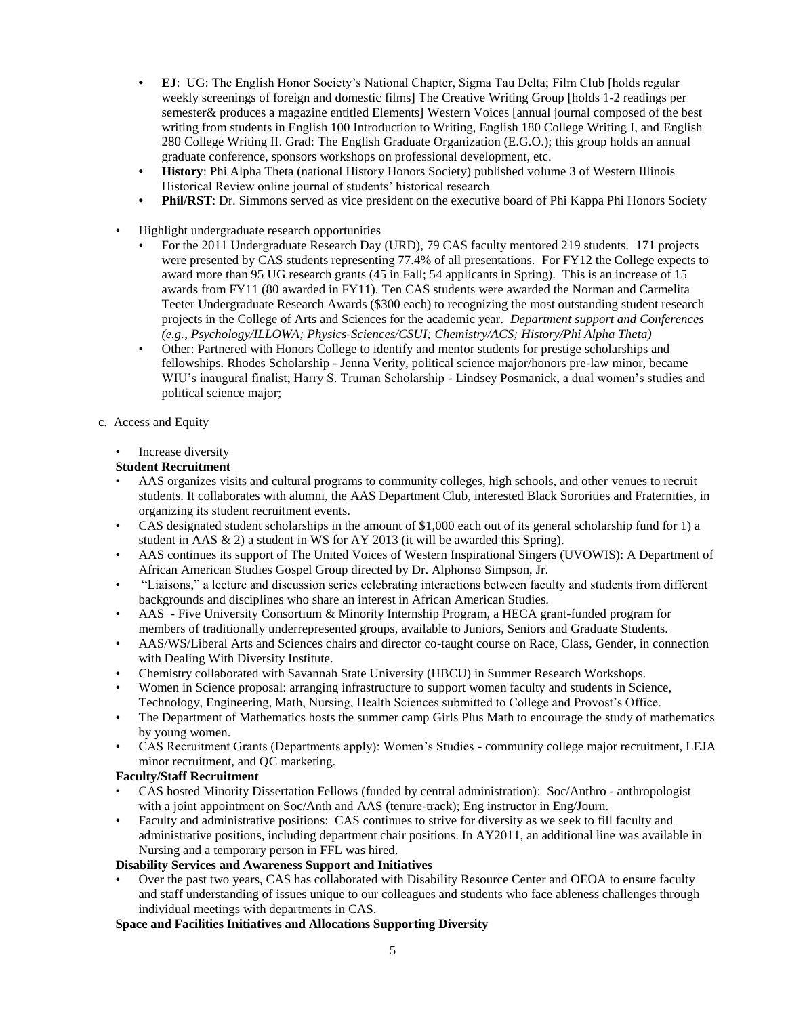- **• EJ**: UG: The English Honor Society's National Chapter, Sigma Tau Delta; Film Club [holds regular weekly screenings of foreign and domestic films] The Creative Writing Group [holds 1-2 readings per semester& produces a magazine entitled Elements] Western Voices [annual journal composed of the best writing from students in English 100 Introduction to Writing, English 180 College Writing I, and English 280 College Writing II. Grad: The English Graduate Organization (E.G.O.); this group holds an annual graduate conference, sponsors workshops on professional development, etc.
- **• History**: Phi Alpha Theta (national History Honors Society) published volume 3 of Western Illinois Historical Review online journal of students' historical research
- **Phil/RST**: Dr. Simmons served as vice president on the executive board of Phi Kappa Phi Honors Society
- Highlight undergraduate research opportunities
	- For the 2011 Undergraduate Research Day (URD), 79 CAS faculty mentored 219 students*.* 171 projects were presented by CAS students representing 77.4% of all presentations. For FY12 the College expects to award more than 95 UG research grants (45 in Fall; 54 applicants in Spring). This is an increase of 15 awards from FY11 (80 awarded in FY11). Ten CAS students were awarded the Norman and Carmelita Teeter Undergraduate Research Awards (\$300 each) to recognizing the most outstanding student research projects in the College of Arts and Sciences for the academic year. *Department support and Conferences (e.g., Psychology/ILLOWA; Physics-Sciences/CSUI; Chemistry/ACS; History/Phi Alpha Theta)*
	- Other: Partnered with Honors College to identify and mentor students for prestige scholarships and fellowships. Rhodes Scholarship - Jenna Verity, political science major/honors pre-law minor, became WIU's inaugural finalist; Harry S. Truman Scholarship - Lindsey Posmanick, a dual women's studies and political science major;
- c. Access and Equity
	- Increase diversity

#### **Student Recruitment**

- AAS organizes visits and cultural programs to community colleges, high schools, and other venues to recruit students. It collaborates with alumni, the AAS Department Club, interested Black Sororities and Fraternities, in organizing its student recruitment events.
- CAS designated student scholarships in the amount of \$1,000 each out of its general scholarship fund for 1) a student in AAS & 2) a student in WS for AY 2013 (it will be awarded this Spring).
- AAS continues its support of The United Voices of Western Inspirational Singers (UVOWIS): A Department of African American Studies Gospel Group directed by Dr. Alphonso Simpson, Jr.
- "Liaisons," a lecture and discussion series celebrating interactions between faculty and students from different backgrounds and disciplines who share an interest in African American Studies.
- AAS Five University Consortium & Minority Internship Program, a HECA grant-funded program for members of traditionally underrepresented groups, available to Juniors, Seniors and Graduate Students.
- AAS/WS/Liberal Arts and Sciences chairs and director co-taught course on Race, Class, Gender, in connection with Dealing With Diversity Institute.
- Chemistry collaborated with Savannah State University (HBCU) in Summer Research Workshops.
- Women in Science proposal: arranging infrastructure to support women faculty and students in Science, Technology, Engineering, Math, Nursing, Health Sciences submitted to College and Provost's Office.
- The Department of Mathematics hosts the summer camp Girls Plus Math to encourage the study of mathematics by young women.
- CAS Recruitment Grants (Departments apply): Women's Studies community college major recruitment, LEJA minor recruitment, and QC marketing.

#### **Faculty/Staff Recruitment**

- CAS hosted Minority Dissertation Fellows (funded by central administration): Soc/Anthro anthropologist with a joint appointment on Soc/Anth and AAS (tenure-track); Eng instructor in Eng/Journ.
- Faculty and administrative positions: CAS continues to strive for diversity as we seek to fill faculty and administrative positions, including department chair positions. In AY2011, an additional line was available in Nursing and a temporary person in FFL was hired.

#### **Disability Services and Awareness Support and Initiatives**

• Over the past two years, CAS has collaborated with Disability Resource Center and OEOA to ensure faculty and staff understanding of issues unique to our colleagues and students who face ableness challenges through individual meetings with departments in CAS.

#### **Space and Facilities Initiatives and Allocations Supporting Diversity**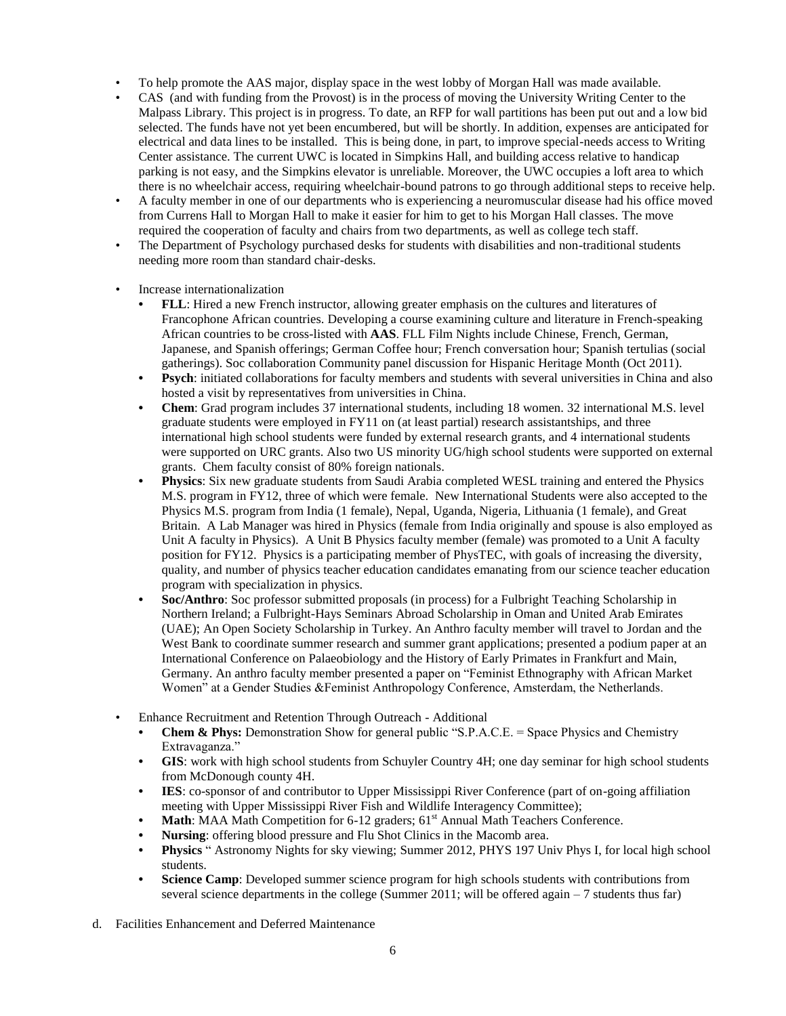- To help promote the AAS major, display space in the west lobby of Morgan Hall was made available.
- CAS (and with funding from the Provost) is in the process of moving the University Writing Center to the Malpass Library. This project is in progress. To date, an RFP for wall partitions has been put out and a low bid selected. The funds have not yet been encumbered, but will be shortly. In addition, expenses are anticipated for electrical and data lines to be installed. This is being done, in part, to improve special-needs access to Writing Center assistance. The current UWC is located in Simpkins Hall, and building access relative to handicap parking is not easy, and the Simpkins elevator is unreliable. Moreover, the UWC occupies a loft area to which there is no wheelchair access, requiring wheelchair-bound patrons to go through additional steps to receive help.
- A faculty member in one of our departments who is experiencing a neuromuscular disease had his office moved from Currens Hall to Morgan Hall to make it easier for him to get to his Morgan Hall classes. The move required the cooperation of faculty and chairs from two departments, as well as college tech staff.
- The Department of Psychology purchased desks for students with disabilities and non-traditional students needing more room than standard chair-desks.
- Increase internationalization
	- **• FLL**: Hired a new French instructor, allowing greater emphasis on the cultures and literatures of Francophone African countries. Developing a course examining culture and literature in French-speaking African countries to be cross-listed with **AAS**. FLL Film Nights include Chinese, French, German, Japanese, and Spanish offerings; German Coffee hour; French conversation hour; Spanish tertulias (social gatherings). Soc collaboration Community panel discussion for Hispanic Heritage Month (Oct 2011).
	- **• Psych**: initiated collaborations for faculty members and students with several universities in China and also hosted a visit by representatives from universities in China.
	- **• Chem**: Grad program includes 37 international students, including 18 women. 32 international M.S. level graduate students were employed in FY11 on (at least partial) research assistantships, and three international high school students were funded by external research grants, and 4 international students were supported on URC grants. Also two US minority UG/high school students were supported on external grants. Chem faculty consist of 80% foreign nationals.
	- **• Physics**: Six new graduate students from Saudi Arabia completed WESL training and entered the Physics M.S. program in FY12, three of which were female. New International Students were also accepted to the Physics M.S. program from India (1 female), Nepal, Uganda, Nigeria, Lithuania (1 female), and Great Britain. A Lab Manager was hired in Physics (female from India originally and spouse is also employed as Unit A faculty in Physics). A Unit B Physics faculty member (female) was promoted to a Unit A faculty position for FY12. Physics is a participating member of PhysTEC, with goals of increasing the diversity, quality, and number of physics teacher education candidates emanating from our science teacher education program with specialization in physics.
	- **• Soc/Anthro**: Soc professor submitted proposals (in process) for a Fulbright Teaching Scholarship in Northern Ireland; a Fulbright-Hays Seminars Abroad Scholarship in Oman and United Arab Emirates (UAE); An Open Society Scholarship in Turkey. An Anthro faculty member will travel to Jordan and the West Bank to coordinate summer research and summer grant applications; presented a podium paper at an International Conference on Palaeobiology and the History of Early Primates in Frankfurt and Main, Germany. An anthro faculty member presented a paper on "Feminist Ethnography with African Market Women" at a Gender Studies &Feminist Anthropology Conference, Amsterdam, the Netherlands.
- Enhance Recruitment and Retention Through Outreach Additional
	- **Chem & Phys:** Demonstration Show for general public "S.P.A.C.E. = Space Physics and Chemistry Extravaganza."
	- **• GIS**: work with high school students from Schuyler Country 4H; one day seminar for high school students from McDonough county 4H.
	- **IES**: co-sponsor of and contributor to Upper Mississippi River Conference (part of on-going affiliation meeting with Upper Mississippi River Fish and Wildlife Interagency Committee);
	- **Math**: MAA Math Competition for 6-12 graders; 61<sup>st</sup> Annual Math Teachers Conference.
	- **• Nursing**: offering blood pressure and Flu Shot Clinics in the Macomb area.
	- **• Physics** " Astronomy Nights for sky viewing; Summer 2012, PHYS 197 Univ Phys I, for local high school students.
	- **• Science Camp**: Developed summer science program for high schools students with contributions from several science departments in the college (Summer 2011; will be offered again  $-7$  students thus far)
- d. Facilities Enhancement and Deferred Maintenance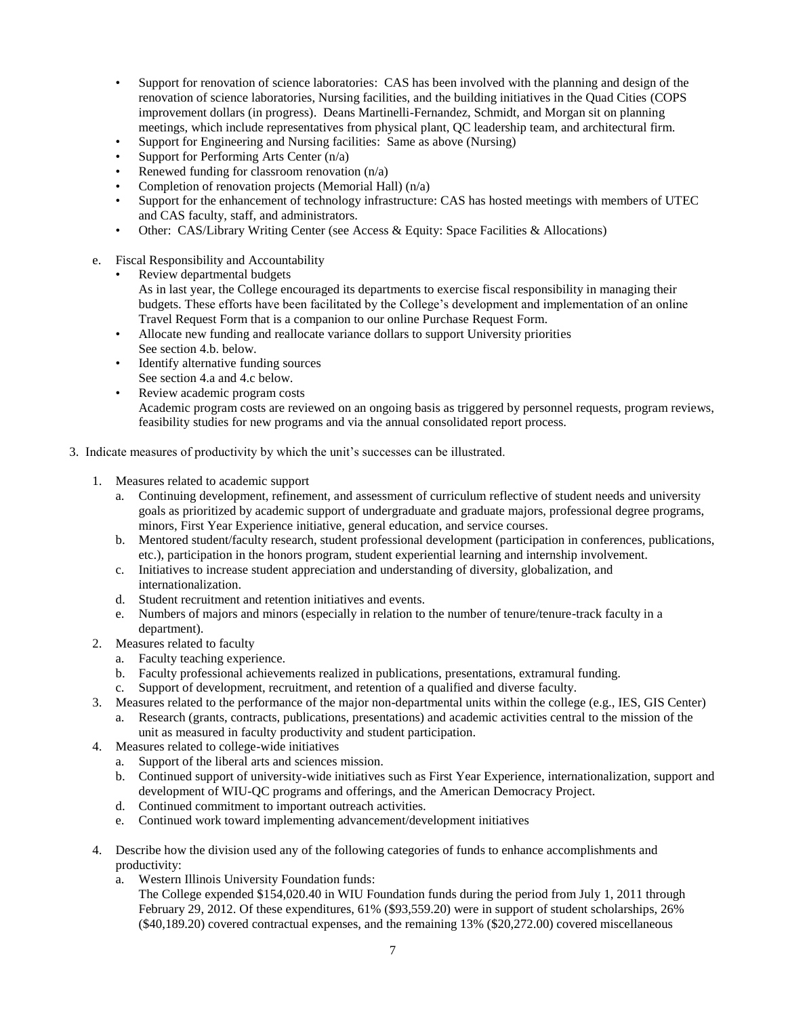- Support for renovation of science laboratories: CAS has been involved with the planning and design of the renovation of science laboratories, Nursing facilities, and the building initiatives in the Quad Cities (COPS improvement dollars (in progress). Deans Martinelli-Fernandez, Schmidt, and Morgan sit on planning meetings, which include representatives from physical plant, QC leadership team, and architectural firm.
- Support for Engineering and Nursing facilities: Same as above (Nursing)
- Support for Performing Arts Center  $(n/a)$
- Renewed funding for classroom renovation  $(n/a)$
- Completion of renovation projects (Memorial Hall) (n/a)
- Support for the enhancement of technology infrastructure: CAS has hosted meetings with members of UTEC and CAS faculty, staff, and administrators.
- Other: CAS/Library Writing Center (see Access & Equity: Space Facilities & Allocations)
- e. Fiscal Responsibility and Accountability
	- Review departmental budgets

As in last year, the College encouraged its departments to exercise fiscal responsibility in managing their budgets. These efforts have been facilitated by the College's development and implementation of an online Travel Request Form that is a companion to our online Purchase Request Form.

- Allocate new funding and reallocate variance dollars to support University priorities See section 4.b. below.
- Identify alternative funding sources See section 4.a and 4.c below.
- Review academic program costs Academic program costs are reviewed on an ongoing basis as triggered by personnel requests, program reviews, feasibility studies for new programs and via the annual consolidated report process.
- 3. Indicate measures of productivity by which the unit's successes can be illustrated.
	- 1. Measures related to academic support
		- a. Continuing development, refinement, and assessment of curriculum reflective of student needs and university goals as prioritized by academic support of undergraduate and graduate majors, professional degree programs, minors, First Year Experience initiative, general education, and service courses.
		- b. Mentored student/faculty research, student professional development (participation in conferences, publications, etc.), participation in the honors program, student experiential learning and internship involvement.
		- c. Initiatives to increase student appreciation and understanding of diversity, globalization, and internationalization.
		- d. Student recruitment and retention initiatives and events.
		- e. Numbers of majors and minors (especially in relation to the number of tenure/tenure-track faculty in a department).
	- 2. Measures related to faculty
		- a. Faculty teaching experience.
		- b. Faculty professional achievements realized in publications, presentations, extramural funding.
		- c. Support of development, recruitment, and retention of a qualified and diverse faculty.
	- 3. Measures related to the performance of the major non-departmental units within the college (e.g., IES, GIS Center)
		- a. Research (grants, contracts, publications, presentations) and academic activities central to the mission of the unit as measured in faculty productivity and student participation.
	- 4. Measures related to college-wide initiatives
		- a. Support of the liberal arts and sciences mission.
		- b. Continued support of university-wide initiatives such as First Year Experience, internationalization, support and development of WIU-QC programs and offerings, and the American Democracy Project.
		- d. Continued commitment to important outreach activities.
		- e. Continued work toward implementing advancement/development initiatives
	- 4. Describe how the division used any of the following categories of funds to enhance accomplishments and productivity:
		- a. Western Illinois University Foundation funds:

The College expended \$154,020.40 in WIU Foundation funds during the period from July 1, 2011 through February 29, 2012. Of these expenditures, 61% (\$93,559.20) were in support of student scholarships, 26% (\$40,189.20) covered contractual expenses, and the remaining 13% (\$20,272.00) covered miscellaneous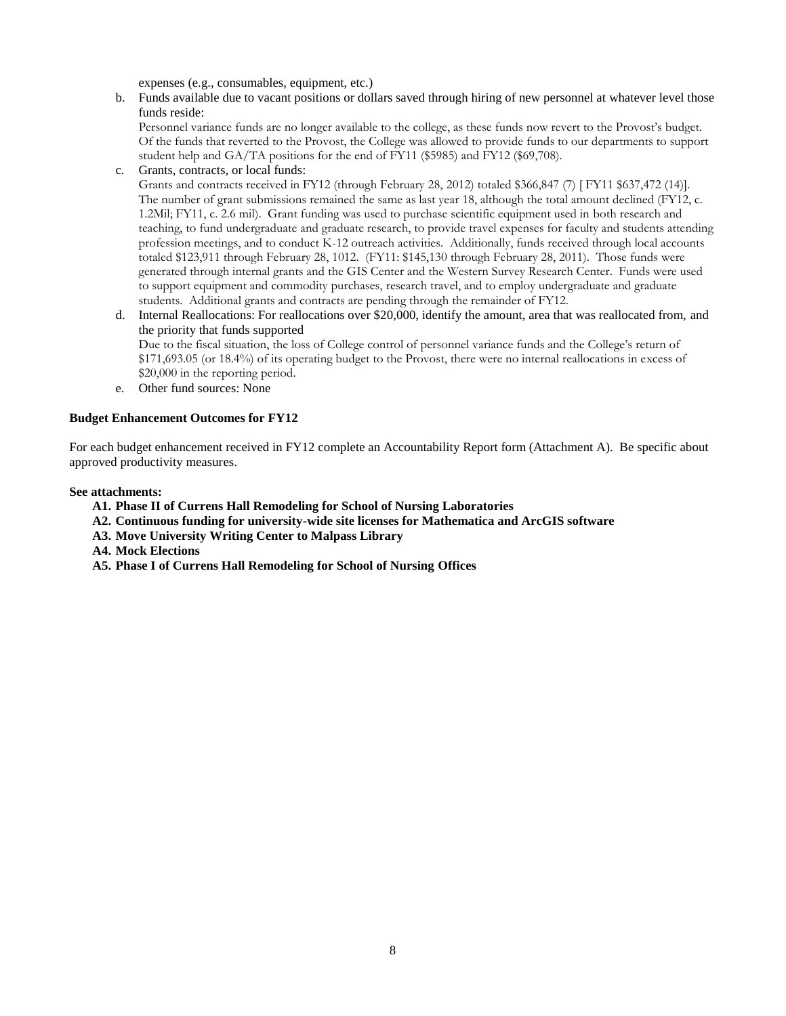expenses (e.g., consumables, equipment, etc.)

b. Funds available due to vacant positions or dollars saved through hiring of new personnel at whatever level those funds reside:

Personnel variance funds are no longer available to the college, as these funds now revert to the Provost's budget. Of the funds that reverted to the Provost, the College was allowed to provide funds to our departments to support student help and GA/TA positions for the end of FY11 (\$5985) and FY12 (\$69,708).

c. Grants, contracts, or local funds:

Grants and contracts received in FY12 (through February 28, 2012) totaled \$366,847 (7) [ FY11 \$637,472 (14)]. The number of grant submissions remained the same as last year 18, although the total amount declined (FY12, c. 1.2Mil; FY11, c. 2.6 mil). Grant funding was used to purchase scientific equipment used in both research and teaching, to fund undergraduate and graduate research, to provide travel expenses for faculty and students attending profession meetings, and to conduct K-12 outreach activities. Additionally, funds received through local accounts totaled \$123,911 through February 28, 1012. (FY11: \$145,130 through February 28, 2011). Those funds were generated through internal grants and the GIS Center and the Western Survey Research Center. Funds were used to support equipment and commodity purchases, research travel, and to employ undergraduate and graduate students. Additional grants and contracts are pending through the remainder of FY12.

- d. Internal Reallocations: For reallocations over \$20,000, identify the amount, area that was reallocated from, and the priority that funds supported Due to the fiscal situation, the loss of College control of personnel variance funds and the College's return of \$171,693.05 (or 18.4%) of its operating budget to the Provost, there were no internal reallocations in excess of \$20,000 in the reporting period.
- e. Other fund sources: None

#### **Budget Enhancement Outcomes for FY12**

For each budget enhancement received in FY12 complete an Accountability Report form (Attachment A). Be specific about approved productivity measures.

#### **See attachments:**

- **A1. Phase II of Currens Hall Remodeling for School of Nursing Laboratories**
- **A2. Continuous funding for university-wide site licenses for Mathematica and ArcGIS software**
- **A3. Move University Writing Center to Malpass Library**
- **A4. Mock Elections**
- **A5. Phase I of Currens Hall Remodeling for School of Nursing Offices**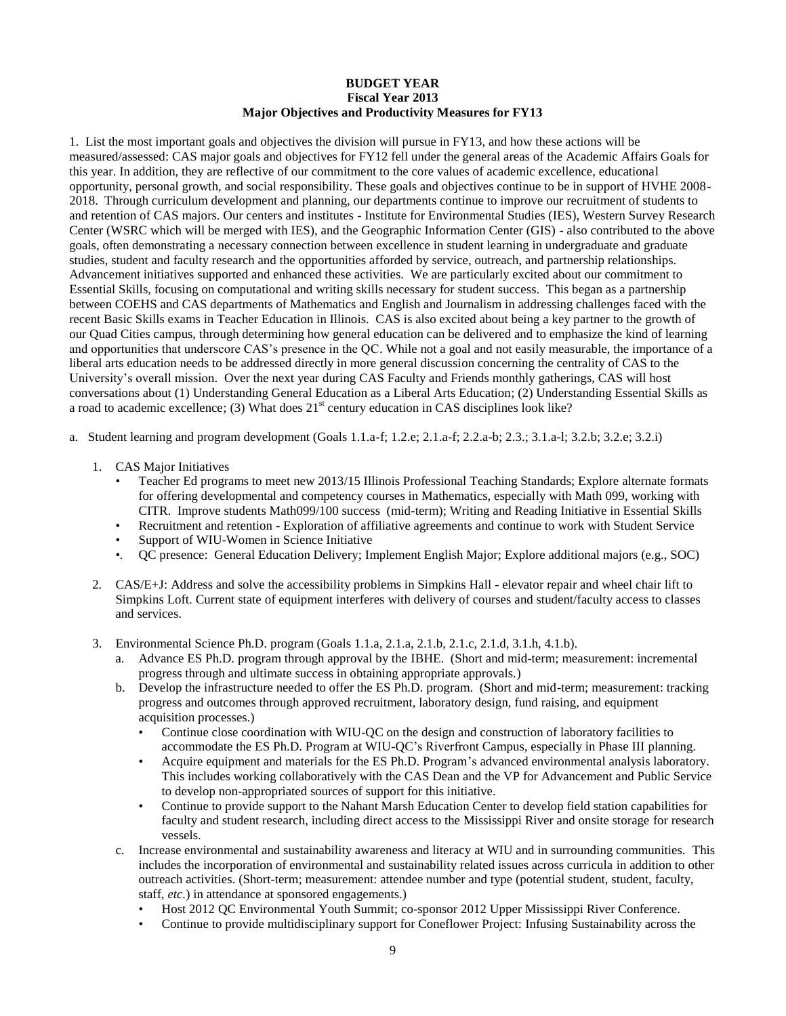#### **BUDGET YEAR Fiscal Year 2013 Major Objectives and Productivity Measures for FY13**

1. List the most important goals and objectives the division will pursue in FY13, and how these actions will be measured/assessed: CAS major goals and objectives for FY12 fell under the general areas of the Academic Affairs Goals for this year. In addition, they are reflective of our commitment to the core values of academic excellence, educational opportunity, personal growth, and social responsibility. These goals and objectives continue to be in support of HVHE 2008- 2018. Through curriculum development and planning, our departments continue to improve our recruitment of students to and retention of CAS majors. Our centers and institutes - Institute for Environmental Studies (IES), Western Survey Research Center (WSRC which will be merged with IES), and the Geographic Information Center (GIS) - also contributed to the above goals, often demonstrating a necessary connection between excellence in student learning in undergraduate and graduate studies, student and faculty research and the opportunities afforded by service, outreach, and partnership relationships. Advancement initiatives supported and enhanced these activities. We are particularly excited about our commitment to Essential Skills, focusing on computational and writing skills necessary for student success. This began as a partnership between COEHS and CAS departments of Mathematics and English and Journalism in addressing challenges faced with the recent Basic Skills exams in Teacher Education in Illinois. CAS is also excited about being a key partner to the growth of our Quad Cities campus, through determining how general education can be delivered and to emphasize the kind of learning and opportunities that underscore CAS's presence in the QC. While not a goal and not easily measurable, the importance of a liberal arts education needs to be addressed directly in more general discussion concerning the centrality of CAS to the University's overall mission. Over the next year during CAS Faculty and Friends monthly gatherings, CAS will host conversations about (1) Understanding General Education as a Liberal Arts Education; (2) Understanding Essential Skills as a road to academic excellence; (3) What does  $21<sup>st</sup>$  century education in CAS disciplines look like?

- a. Student learning and program development (Goals 1.1.a-f; 1.2.e; 2.1.a-f; 2.2.a-b; 2.3.; 3.1.a-l; 3.2.b; 3.2.e; 3.2.i)
	- 1. CAS Major Initiatives
		- Teacher Ed programs to meet new 2013/15 Illinois Professional Teaching Standards; Explore alternate formats for offering developmental and competency courses in Mathematics, especially with Math 099, working with CITR. Improve students Math099/100 success (mid-term); Writing and Reading Initiative in Essential Skills
		- Recruitment and retention Exploration of affiliative agreements and continue to work with Student Service
		- Support of WIU-Women in Science Initiative
		- •. QC presence: General Education Delivery; Implement English Major; Explore additional majors (e.g., SOC)
	- 2*.* CAS/E+J: Address and solve the accessibility problems in Simpkins Hall elevator repair and wheel chair lift to Simpkins Loft. Current state of equipment interferes with delivery of courses and student/faculty access to classes and services.
	- 3. Environmental Science Ph.D. program (Goals 1.1.a, 2.1.a, 2.1.b, 2.1.c, 2.1.d, 3.1.h, 4.1.b).
		- a. Advance ES Ph.D. program through approval by the IBHE. (Short and mid-term; measurement: incremental progress through and ultimate success in obtaining appropriate approvals.)
		- b. Develop the infrastructure needed to offer the ES Ph.D. program. (Short and mid-term; measurement: tracking progress and outcomes through approved recruitment, laboratory design, fund raising, and equipment acquisition processes.)
			- Continue close coordination with WIU-QC on the design and construction of laboratory facilities to accommodate the ES Ph.D. Program at WIU-QC's Riverfront Campus, especially in Phase III planning.
			- Acquire equipment and materials for the ES Ph.D. Program's advanced environmental analysis laboratory. This includes working collaboratively with the CAS Dean and the VP for Advancement and Public Service to develop non-appropriated sources of support for this initiative.
			- Continue to provide support to the Nahant Marsh Education Center to develop field station capabilities for faculty and student research, including direct access to the Mississippi River and onsite storage for research vessels.
		- c. Increase environmental and sustainability awareness and literacy at WIU and in surrounding communities. This includes the incorporation of environmental and sustainability related issues across curricula in addition to other outreach activities. (Short-term; measurement: attendee number and type (potential student, student, faculty, staff, *etc.*) in attendance at sponsored engagements.)
			- Host 2012 QC Environmental Youth Summit; co-sponsor 2012 Upper Mississippi River Conference.
			- Continue to provide multidisciplinary support for Coneflower Project: Infusing Sustainability across the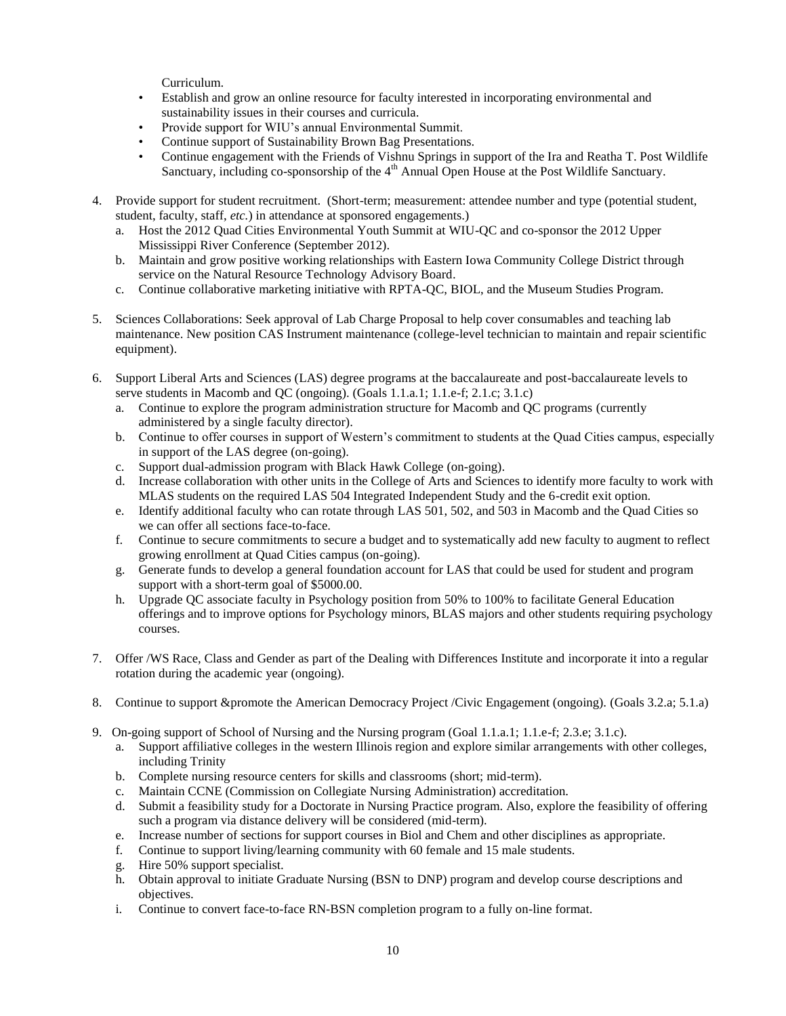Curriculum.

- Establish and grow an online resource for faculty interested in incorporating environmental and sustainability issues in their courses and curricula.
- Provide support for WIU's annual Environmental Summit.
- Continue support of Sustainability Brown Bag Presentations.
- Continue engagement with the Friends of Vishnu Springs in support of the Ira and Reatha T. Post Wildlife Sanctuary, including co-sponsorship of the  $4<sup>th</sup>$  Annual Open House at the Post Wildlife Sanctuary.
- 4. Provide support for student recruitment. (Short-term; measurement: attendee number and type (potential student, student, faculty, staff, *etc.*) in attendance at sponsored engagements.)
	- a. Host the 2012 Quad Cities Environmental Youth Summit at WIU-QC and co-sponsor the 2012 Upper Mississippi River Conference (September 2012).
	- b. Maintain and grow positive working relationships with Eastern Iowa Community College District through service on the Natural Resource Technology Advisory Board.
	- c. Continue collaborative marketing initiative with RPTA-QC, BIOL, and the Museum Studies Program.
- 5. Sciences Collaborations: Seek approval of Lab Charge Proposal to help cover consumables and teaching lab maintenance. New position CAS Instrument maintenance (college-level technician to maintain and repair scientific equipment).
- 6. Support Liberal Arts and Sciences (LAS) degree programs at the baccalaureate and post-baccalaureate levels to serve students in Macomb and QC (ongoing). (Goals 1.1.a.1; 1.1.e-f; 2.1.c; 3.1.c)
	- a. Continue to explore the program administration structure for Macomb and QC programs (currently administered by a single faculty director).
	- b. Continue to offer courses in support of Western's commitment to students at the Quad Cities campus, especially in support of the LAS degree (on-going).
	- c. Support dual-admission program with Black Hawk College (on-going).
	- d. Increase collaboration with other units in the College of Arts and Sciences to identify more faculty to work with MLAS students on the required LAS 504 Integrated Independent Study and the 6-credit exit option.
	- e. Identify additional faculty who can rotate through LAS 501, 502, and 503 in Macomb and the Quad Cities so we can offer all sections face-to-face.
	- f. Continue to secure commitments to secure a budget and to systematically add new faculty to augment to reflect growing enrollment at Quad Cities campus (on-going).
	- g. Generate funds to develop a general foundation account for LAS that could be used for student and program support with a short-term goal of \$5000.00.
	- h. Upgrade QC associate faculty in Psychology position from 50% to 100% to facilitate General Education offerings and to improve options for Psychology minors, BLAS majors and other students requiring psychology courses.
- 7. Offer /WS Race, Class and Gender as part of the Dealing with Differences Institute and incorporate it into a regular rotation during the academic year (ongoing).
- 8. Continue to support &promote the American Democracy Project /Civic Engagement (ongoing). (Goals 3.2.a; 5.1.a)
- 9. On-going support of School of Nursing and the Nursing program (Goal 1.1.a.1; 1.1.e-f; 2.3.e; 3.1.c).
	- a. Support affiliative colleges in the western Illinois region and explore similar arrangements with other colleges, including Trinity
	- b. Complete nursing resource centers for skills and classrooms (short; mid-term).
	- c. Maintain CCNE (Commission on Collegiate Nursing Administration) accreditation.
	- d. Submit a feasibility study for a Doctorate in Nursing Practice program. Also, explore the feasibility of offering such a program via distance delivery will be considered (mid-term).
	- e. Increase number of sections for support courses in Biol and Chem and other disciplines as appropriate.
	- f. Continue to support living/learning community with 60 female and 15 male students.
	- g. Hire 50% support specialist.
	- h. Obtain approval to initiate Graduate Nursing (BSN to DNP) program and develop course descriptions and objectives.
	- i. Continue to convert face-to-face RN-BSN completion program to a fully on-line format.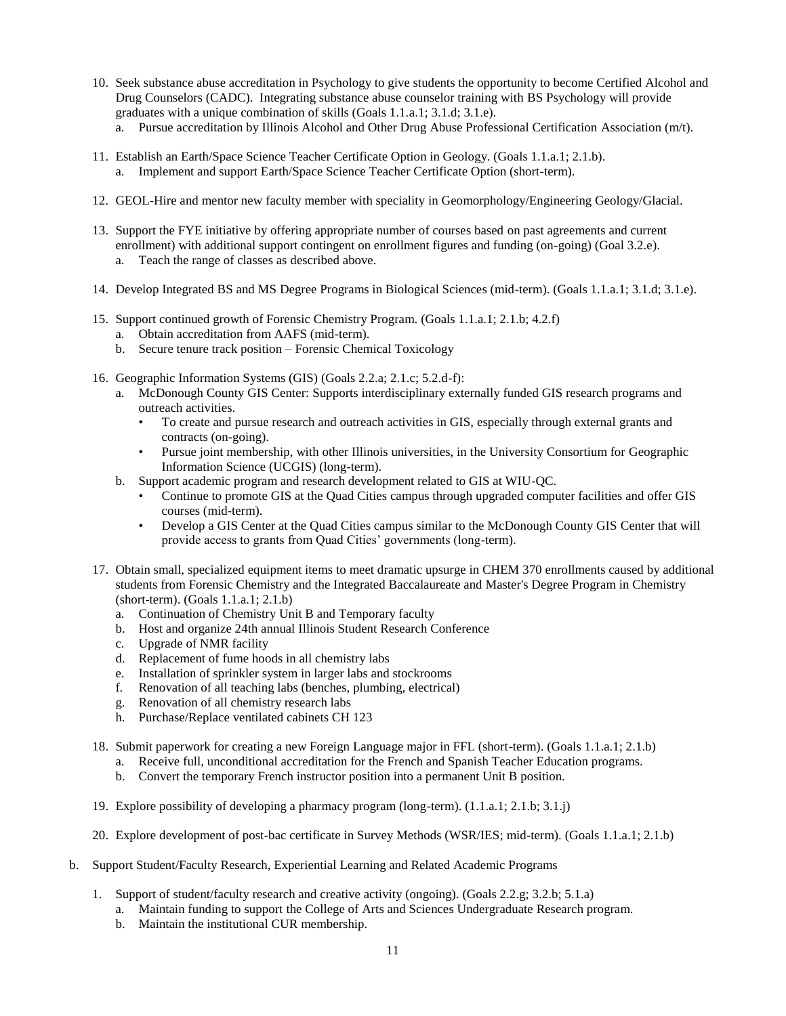- 10. Seek substance abuse accreditation in Psychology to give students the opportunity to become Certified Alcohol and Drug Counselors (CADC). Integrating substance abuse counselor training with BS Psychology will provide graduates with a unique combination of skills (Goals 1.1.a.1; 3.1.d; 3.1.e).
	- a. Pursue accreditation by Illinois Alcohol and Other Drug Abuse Professional Certification Association (m/t).
- 11. Establish an Earth/Space Science Teacher Certificate Option in Geology. (Goals 1.1.a.1; 2.1.b). a. Implement and support Earth/Space Science Teacher Certificate Option (short-term).
- 12. GEOL-Hire and mentor new faculty member with speciality in Geomorphology/Engineering Geology/Glacial.
- 13. Support the FYE initiative by offering appropriate number of courses based on past agreements and current enrollment) with additional support contingent on enrollment figures and funding (on-going) (Goal 3.2.e).
	- a. Teach the range of classes as described above.
- 14. Develop Integrated BS and MS Degree Programs in Biological Sciences (mid-term). (Goals 1.1.a.1; 3.1.d; 3.1.e).
- 15. Support continued growth of Forensic Chemistry Program. (Goals 1.1.a.1; 2.1.b; 4.2.f)
	- a. Obtain accreditation from AAFS (mid-term).
	- b. Secure tenure track position Forensic Chemical Toxicology
- 16. Geographic Information Systems (GIS) (Goals 2.2.a; 2.1.c; 5.2.d-f):
	- a. McDonough County GIS Center: Supports interdisciplinary externally funded GIS research programs and outreach activities.
		- To create and pursue research and outreach activities in GIS, especially through external grants and contracts (on-going).
		- Pursue joint membership, with other Illinois universities, in the University Consortium for Geographic Information Science (UCGIS) (long-term).
	- b. Support academic program and research development related to GIS at WIU-QC.
		- Continue to promote GIS at the Quad Cities campus through upgraded computer facilities and offer GIS courses (mid-term).
		- Develop a GIS Center at the Quad Cities campus similar to the McDonough County GIS Center that will provide access to grants from Quad Cities' governments (long-term).
- 17. Obtain small, specialized equipment items to meet dramatic upsurge in CHEM 370 enrollments caused by additional students from Forensic Chemistry and the Integrated Baccalaureate and Master's Degree Program in Chemistry (short-term). (Goals 1.1.a.1; 2.1.b)
	- a. Continuation of Chemistry Unit B and Temporary faculty
	- b. Host and organize 24th annual Illinois Student Research Conference
	- c. Upgrade of NMR facility
	- d. Replacement of fume hoods in all chemistry labs
	- e. Installation of sprinkler system in larger labs and stockrooms
	- f. Renovation of all teaching labs (benches, plumbing, electrical)
	- g. Renovation of all chemistry research labs
	- h. Purchase/Replace ventilated cabinets CH 123
- 18. Submit paperwork for creating a new Foreign Language major in FFL (short-term). (Goals 1.1.a.1; 2.1.b)
	- a. Receive full, unconditional accreditation for the French and Spanish Teacher Education programs.
	- b. Convert the temporary French instructor position into a permanent Unit B position.
- 19. Explore possibility of developing a pharmacy program (long-term). (1.1.a.1; 2.1.b; 3.1.j)
- 20. Explore development of post-bac certificate in Survey Methods (WSR/IES; mid-term). (Goals 1.1.a.1; 2.1.b)
- b. Support Student/Faculty Research, Experiential Learning and Related Academic Programs
	- 1. Support of student/faculty research and creative activity (ongoing). (Goals 2.2.g; 3.2.b; 5.1.a)
		- a. Maintain funding to support the College of Arts and Sciences Undergraduate Research program.
		- b. Maintain the institutional CUR membership.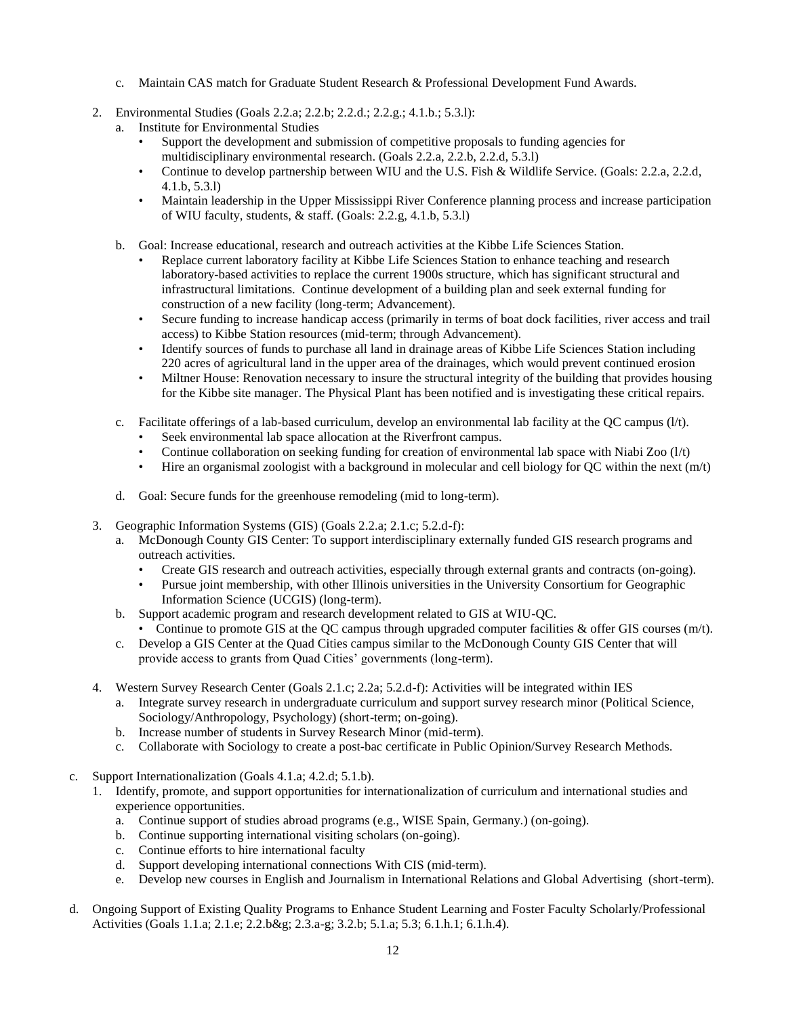- c. Maintain CAS match for Graduate Student Research & Professional Development Fund Awards.
- 2. Environmental Studies (Goals 2.2.a; 2.2.b; 2.2.d.; 2.2.g.; 4.1.b.; 5.3.l):
	- a. Institute for Environmental Studies
		- Support the development and submission of competitive proposals to funding agencies for multidisciplinary environmental research. (Goals 2.2.a, 2.2.b, 2.2.d, 5.3.l)
		- Continue to develop partnership between WIU and the U.S. Fish & Wildlife Service. (Goals: 2.2.a, 2.2.d, 4.1.b, 5.3.l)
		- Maintain leadership in the Upper Mississippi River Conference planning process and increase participation of WIU faculty, students, & staff. (Goals: 2.2.g, 4.1.b, 5.3.l)
	- b. Goal: Increase educational, research and outreach activities at the Kibbe Life Sciences Station.
		- Replace current laboratory facility at Kibbe Life Sciences Station to enhance teaching and research laboratory-based activities to replace the current 1900s structure, which has significant structural and infrastructural limitations. Continue development of a building plan and seek external funding for construction of a new facility (long-term; Advancement).
		- Secure funding to increase handicap access (primarily in terms of boat dock facilities, river access and trail access) to Kibbe Station resources (mid-term; through Advancement).
		- Identify sources of funds to purchase all land in drainage areas of Kibbe Life Sciences Station including 220 acres of agricultural land in the upper area of the drainages, which would prevent continued erosion
		- Miltner House: Renovation necessary to insure the structural integrity of the building that provides housing for the Kibbe site manager. The Physical Plant has been notified and is investigating these critical repairs.
	- c. Facilitate offerings of a lab-based curriculum, develop an environmental lab facility at the QC campus (l/t).
		- Seek environmental lab space allocation at the Riverfront campus.
		- Continue collaboration on seeking funding for creation of environmental lab space with Niabi Zoo (l/t)
		- Hire an organismal zoologist with a background in molecular and cell biology for QC within the next  $(m/t)$
	- d. Goal: Secure funds for the greenhouse remodeling (mid to long-term).
- 3. Geographic Information Systems (GIS) (Goals 2.2.a; 2.1.c; 5.2.d-f):
	- a. McDonough County GIS Center: To support interdisciplinary externally funded GIS research programs and outreach activities.
		- Create GIS research and outreach activities, especially through external grants and contracts (on-going).
		- Pursue joint membership, with other Illinois universities in the University Consortium for Geographic Information Science (UCGIS) (long-term).
	- b. Support academic program and research development related to GIS at WIU-QC.
		- Continue to promote GIS at the QC campus through upgraded computer facilities  $\&$  offer GIS courses (m/t).
	- c. Develop a GIS Center at the Quad Cities campus similar to the McDonough County GIS Center that will provide access to grants from Quad Cities' governments (long-term).
- 4. Western Survey Research Center (Goals 2.1.c; 2.2a; 5.2.d-f): Activities will be integrated within IES
	- a. Integrate survey research in undergraduate curriculum and support survey research minor (Political Science, Sociology/Anthropology, Psychology) (short-term; on-going).
	- b. Increase number of students in Survey Research Minor (mid-term).
	- c. Collaborate with Sociology to create a post-bac certificate in Public Opinion/Survey Research Methods.
- c. Support Internationalization (Goals 4.1.a; 4.2.d; 5.1.b).
	- 1. Identify, promote, and support opportunities for internationalization of curriculum and international studies and experience opportunities.
		- a. Continue support of studies abroad programs (e.g., WISE Spain, Germany.) (on-going).
		- b. Continue supporting international visiting scholars (on-going).
		- c. Continue efforts to hire international faculty
		- d. Support developing international connections With CIS (mid-term).
		- e. Develop new courses in English and Journalism in International Relations and Global Advertising (short-term).
- d. Ongoing Support of Existing Quality Programs to Enhance Student Learning and Foster Faculty Scholarly/Professional Activities (Goals 1.1.a; 2.1.e; 2.2.b&g; 2.3.a-g; 3.2.b; 5.1.a; 5.3; 6.1.h.1; 6.1.h.4).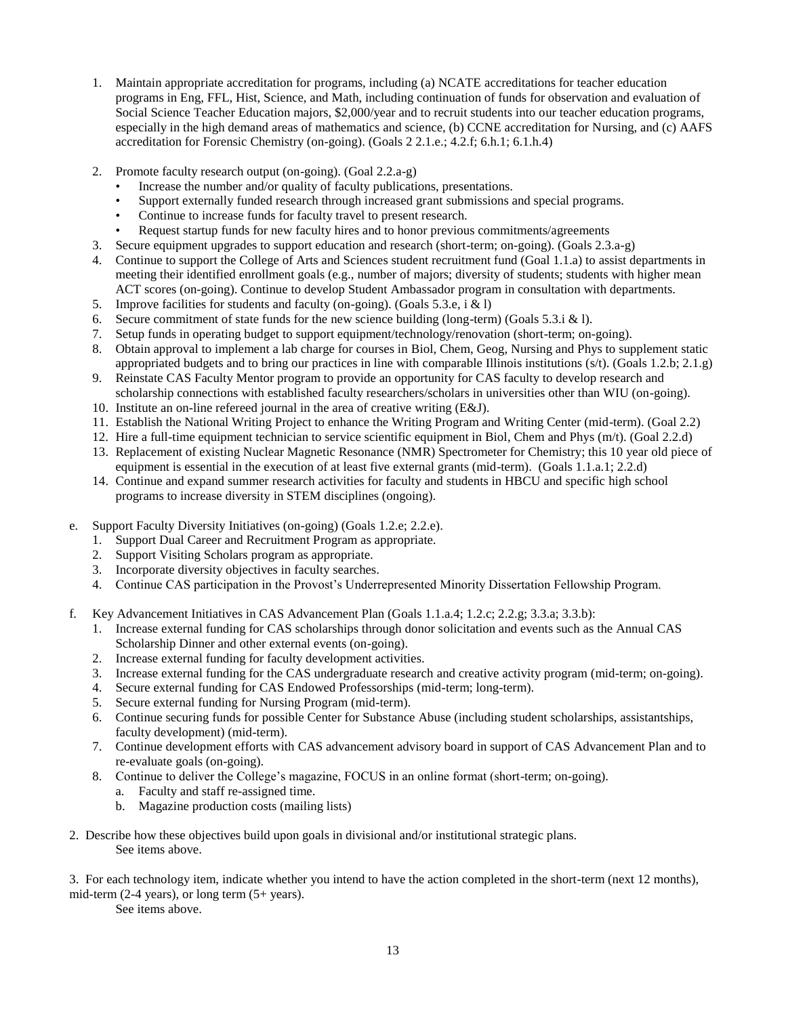- 1. Maintain appropriate accreditation for programs, including (a) NCATE accreditations for teacher education programs in Eng, FFL, Hist, Science, and Math, including continuation of funds for observation and evaluation of Social Science Teacher Education majors, \$2,000/year and to recruit students into our teacher education programs, especially in the high demand areas of mathematics and science, (b) CCNE accreditation for Nursing, and (c) AAFS accreditation for Forensic Chemistry (on-going). (Goals 2 2.1.e.; 4.2.f; 6.h.1; 6.1.h.4)
- 2. Promote faculty research output (on-going). (Goal 2.2.a-g)
	- Increase the number and/or quality of faculty publications, presentations.
	- Support externally funded research through increased grant submissions and special programs.
	- Continue to increase funds for faculty travel to present research.
	- Request startup funds for new faculty hires and to honor previous commitments/agreements
- 3. Secure equipment upgrades to support education and research (short-term; on-going). (Goals 2.3.a-g)
- 4. Continue to support the College of Arts and Sciences student recruitment fund (Goal 1.1.a) to assist departments in meeting their identified enrollment goals (e.g., number of majors; diversity of students; students with higher mean ACT scores (on-going). Continue to develop Student Ambassador program in consultation with departments.
- 5. Improve facilities for students and faculty (on-going). (Goals 5.3.e, i & l)
- 6. Secure commitment of state funds for the new science building (long-term) (Goals 5.3.i & l).
- 7. Setup funds in operating budget to support equipment/technology/renovation (short-term; on-going).
- 8. Obtain approval to implement a lab charge for courses in Biol, Chem, Geog, Nursing and Phys to supplement static appropriated budgets and to bring our practices in line with comparable Illinois institutions  $(s/t)$ . (Goals 1.2.b; 2.1.g)
- 9. Reinstate CAS Faculty Mentor program to provide an opportunity for CAS faculty to develop research and scholarship connections with established faculty researchers/scholars in universities other than WIU (on-going).
- 10. Institute an on-line refereed journal in the area of creative writing (E&J).
- 11. Establish the National Writing Project to enhance the Writing Program and Writing Center (mid-term). (Goal 2.2)
- 12. Hire a full-time equipment technician to service scientific equipment in Biol, Chem and Phys (m/t). (Goal 2.2.d)
- 13. Replacement of existing Nuclear Magnetic Resonance (NMR) Spectrometer for Chemistry; this 10 year old piece of equipment is essential in the execution of at least five external grants (mid-term). (Goals 1.1.a.1; 2.2.d)
- 14. Continue and expand summer research activities for faculty and students in HBCU and specific high school programs to increase diversity in STEM disciplines (ongoing).
- e. Support Faculty Diversity Initiatives (on-going) (Goals 1.2.e; 2.2.e).
	- 1. Support Dual Career and Recruitment Program as appropriate.
	- 2. Support Visiting Scholars program as appropriate.
	- 3. Incorporate diversity objectives in faculty searches.
	- 4. Continue CAS participation in the Provost's Underrepresented Minority Dissertation Fellowship Program.
- f. Key Advancement Initiatives in CAS Advancement Plan (Goals 1.1.a.4; 1.2.c; 2.2.g; 3.3.a; 3.3.b):
	- 1. Increase external funding for CAS scholarships through donor solicitation and events such as the Annual CAS Scholarship Dinner and other external events (on-going).
	- 2. Increase external funding for faculty development activities.
	- 3. Increase external funding for the CAS undergraduate research and creative activity program (mid-term; on-going).
	- 4. Secure external funding for CAS Endowed Professorships (mid-term; long-term).
	- 5. Secure external funding for Nursing Program (mid-term).
	- 6. Continue securing funds for possible Center for Substance Abuse (including student scholarships, assistantships, faculty development) (mid-term).
	- 7. Continue development efforts with CAS advancement advisory board in support of CAS Advancement Plan and to re-evaluate goals (on-going).
	- 8. Continue to deliver the College's magazine, FOCUS in an online format (short-term; on-going).
		- a. Faculty and staff re-assigned time.
		- b. Magazine production costs (mailing lists)
- 2. Describe how these objectives build upon goals in divisional and/or institutional strategic plans. See items above.

3. For each technology item, indicate whether you intend to have the action completed in the short-term (next 12 months), mid-term  $(2-4 \text{ years})$ , or long term  $(5+\text{ years})$ .

See items above.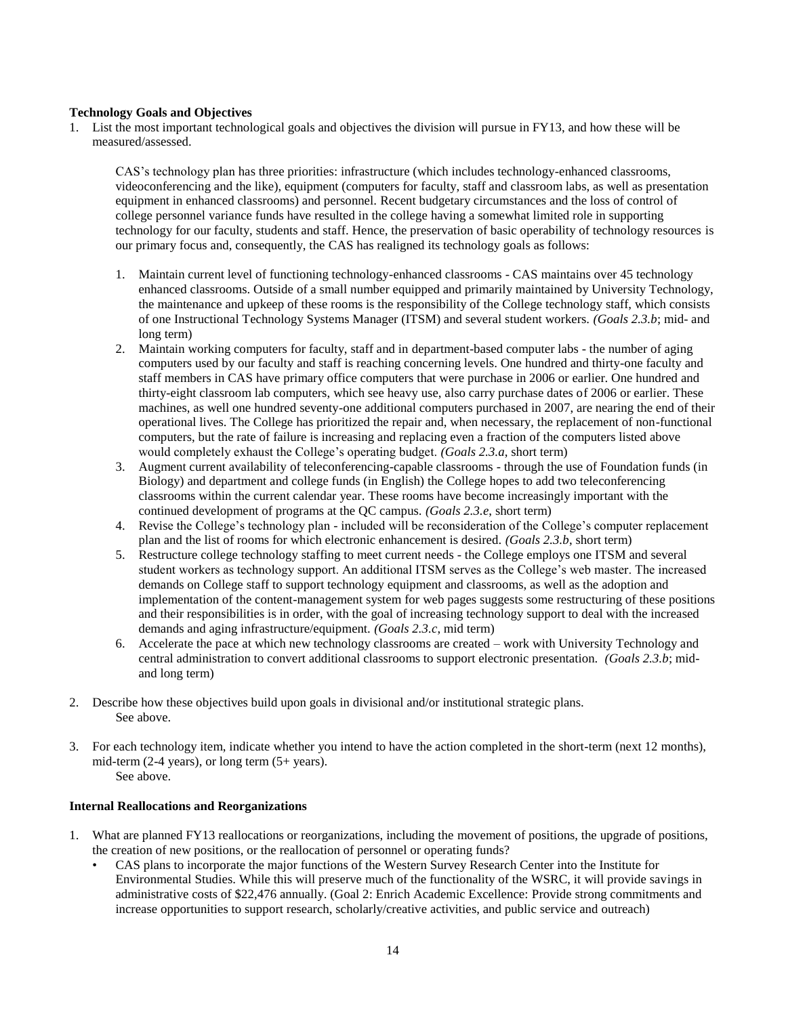### **Technology Goals and Objectives**

1. List the most important technological goals and objectives the division will pursue in FY13, and how these will be measured/assessed.

CAS's technology plan has three priorities: infrastructure (which includes technology-enhanced classrooms, videoconferencing and the like), equipment (computers for faculty, staff and classroom labs, as well as presentation equipment in enhanced classrooms) and personnel. Recent budgetary circumstances and the loss of control of college personnel variance funds have resulted in the college having a somewhat limited role in supporting technology for our faculty, students and staff. Hence, the preservation of basic operability of technology resources is our primary focus and, consequently, the CAS has realigned its technology goals as follows:

- 1. Maintain current level of functioning technology-enhanced classrooms CAS maintains over 45 technology enhanced classrooms. Outside of a small number equipped and primarily maintained by University Technology, the maintenance and upkeep of these rooms is the responsibility of the College technology staff, which consists of one Instructional Technology Systems Manager (ITSM) and several student workers. *(Goals 2.3.b*; mid- and long term)
- 2. Maintain working computers for faculty, staff and in department-based computer labs the number of aging computers used by our faculty and staff is reaching concerning levels. One hundred and thirty-one faculty and staff members in CAS have primary office computers that were purchase in 2006 or earlier. One hundred and thirty-eight classroom lab computers, which see heavy use, also carry purchase dates of 2006 or earlier. These machines, as well one hundred seventy-one additional computers purchased in 2007, are nearing the end of their operational lives. The College has prioritized the repair and, when necessary, the replacement of non-functional computers, but the rate of failure is increasing and replacing even a fraction of the computers listed above would completely exhaust the College's operating budget. *(Goals 2.3.a*, short term)
- 3. Augment current availability of teleconferencing-capable classrooms through the use of Foundation funds (in Biology) and department and college funds (in English) the College hopes to add two teleconferencing classrooms within the current calendar year. These rooms have become increasingly important with the continued development of programs at the QC campus. *(Goals 2.3.e*, short term)
- 4. Revise the College's technology plan included will be reconsideration of the College's computer replacement plan and the list of rooms for which electronic enhancement is desired. *(Goals 2.3.b*, short term)
- 5. Restructure college technology staffing to meet current needs the College employs one ITSM and several student workers as technology support. An additional ITSM serves as the College's web master. The increased demands on College staff to support technology equipment and classrooms, as well as the adoption and implementation of the content-management system for web pages suggests some restructuring of these positions and their responsibilities is in order, with the goal of increasing technology support to deal with the increased demands and aging infrastructure/equipment. *(Goals 2.3.c*, mid term)
- 6. Accelerate the pace at which new technology classrooms are created work with University Technology and central administration to convert additional classrooms to support electronic presentation. *(Goals 2.3.b*; midand long term)
- 2. Describe how these objectives build upon goals in divisional and/or institutional strategic plans. See above.
- 3. For each technology item, indicate whether you intend to have the action completed in the short-term (next 12 months), mid-term  $(2-4 \text{ years})$ , or long term  $(5+\text{ years})$ . See above.

### **Internal Reallocations and Reorganizations**

- 1. What are planned FY13 reallocations or reorganizations, including the movement of positions, the upgrade of positions, the creation of new positions, or the reallocation of personnel or operating funds?
	- CAS plans to incorporate the major functions of the Western Survey Research Center into the Institute for Environmental Studies. While this will preserve much of the functionality of the WSRC, it will provide savings in administrative costs of \$22,476 annually. (Goal 2: Enrich Academic Excellence: Provide strong commitments and increase opportunities to support research, scholarly/creative activities, and public service and outreach)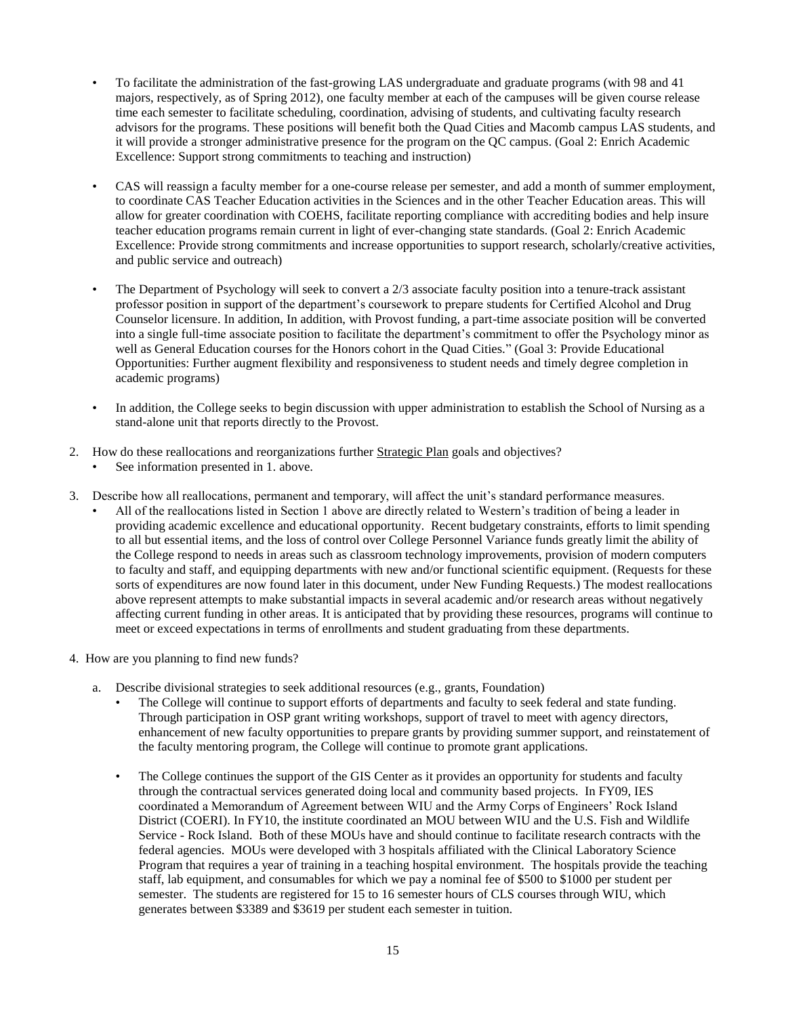- To facilitate the administration of the fast-growing LAS undergraduate and graduate programs (with 98 and 41 majors, respectively, as of Spring 2012), one faculty member at each of the campuses will be given course release time each semester to facilitate scheduling, coordination, advising of students, and cultivating faculty research advisors for the programs. These positions will benefit both the Quad Cities and Macomb campus LAS students, and it will provide a stronger administrative presence for the program on the QC campus. (Goal 2: Enrich Academic Excellence: Support strong commitments to teaching and instruction)
- CAS will reassign a faculty member for a one-course release per semester, and add a month of summer employment, to coordinate CAS Teacher Education activities in the Sciences and in the other Teacher Education areas. This will allow for greater coordination with COEHS, facilitate reporting compliance with accrediting bodies and help insure teacher education programs remain current in light of ever-changing state standards. (Goal 2: Enrich Academic Excellence: Provide strong commitments and increase opportunities to support research, scholarly/creative activities, and public service and outreach)
- The Department of Psychology will seek to convert a 2/3 associate faculty position into a tenure-track assistant professor position in support of the department's coursework to prepare students for Certified Alcohol and Drug Counselor licensure. In addition, In addition, with Provost funding, a part-time associate position will be converted into a single full-time associate position to facilitate the department's commitment to offer the Psychology minor as well as General Education courses for the Honors cohort in the Quad Cities." (Goal 3: Provide Educational Opportunities: Further augment flexibility and responsiveness to student needs and timely degree completion in academic programs)
- In addition, the College seeks to begin discussion with upper administration to establish the School of Nursing as a stand-alone unit that reports directly to the Provost.
- 2. How do these reallocations and reorganizations further **Strategic Plan** goals and objectives?
	- See information presented in 1. above.
- 3. Describe how all reallocations, permanent and temporary, will affect the unit's standard performance measures.
	- All of the reallocations listed in Section 1 above are directly related to Western's tradition of being a leader in providing academic excellence and educational opportunity. Recent budgetary constraints, efforts to limit spending to all but essential items, and the loss of control over College Personnel Variance funds greatly limit the ability of the College respond to needs in areas such as classroom technology improvements, provision of modern computers to faculty and staff, and equipping departments with new and/or functional scientific equipment. (Requests for these sorts of expenditures are now found later in this document, under New Funding Requests.) The modest reallocations above represent attempts to make substantial impacts in several academic and/or research areas without negatively affecting current funding in other areas. It is anticipated that by providing these resources, programs will continue to meet or exceed expectations in terms of enrollments and student graduating from these departments.
- 4. How are you planning to find new funds?
	- a. Describe divisional strategies to seek additional resources (e.g., grants, Foundation)
		- The College will continue to support efforts of departments and faculty to seek federal and state funding. Through participation in OSP grant writing workshops, support of travel to meet with agency directors, enhancement of new faculty opportunities to prepare grants by providing summer support, and reinstatement of the faculty mentoring program, the College will continue to promote grant applications.
		- The College continues the support of the GIS Center as it provides an opportunity for students and faculty through the contractual services generated doing local and community based projects. In FY09, IES coordinated a Memorandum of Agreement between WIU and the Army Corps of Engineers' Rock Island District (COERI). In FY10, the institute coordinated an MOU between WIU and the U.S. Fish and Wildlife Service - Rock Island. Both of these MOUs have and should continue to facilitate research contracts with the federal agencies. MOUs were developed with 3 hospitals affiliated with the Clinical Laboratory Science Program that requires a year of training in a teaching hospital environment. The hospitals provide the teaching staff, lab equipment, and consumables for which we pay a nominal fee of \$500 to \$1000 per student per semester. The students are registered for 15 to 16 semester hours of CLS courses through WIU, which generates between \$3389 and \$3619 per student each semester in tuition.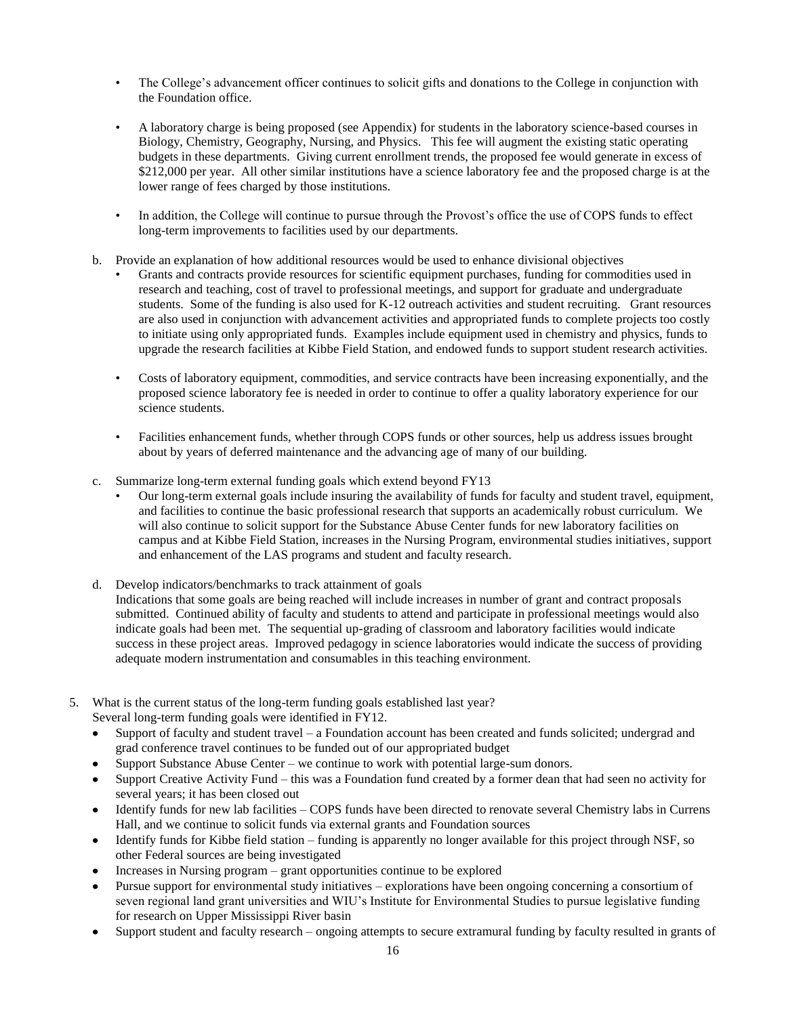- The College's advancement officer continues to solicit gifts and donations to the College in conjunction with the Foundation office.
- A laboratory charge is being proposed (see Appendix) for students in the laboratory science-based courses in Biology, Chemistry, Geography, Nursing, and Physics. This fee will augment the existing static operating budgets in these departments. Giving current enrollment trends, the proposed fee would generate in excess of \$212,000 per year. All other similar institutions have a science laboratory fee and the proposed charge is at the lower range of fees charged by those institutions.
- In addition, the College will continue to pursue through the Provost's office the use of COPS funds to effect long-term improvements to facilities used by our departments.
- b. Provide an explanation of how additional resources would be used to enhance divisional objectives
	- Grants and contracts provide resources for scientific equipment purchases, funding for commodities used in research and teaching, cost of travel to professional meetings, and support for graduate and undergraduate students. Some of the funding is also used for K-12 outreach activities and student recruiting. Grant resources are also used in conjunction with advancement activities and appropriated funds to complete projects too costly to initiate using only appropriated funds. Examples include equipment used in chemistry and physics, funds to upgrade the research facilities at Kibbe Field Station, and endowed funds to support student research activities.
	- Costs of laboratory equipment, commodities, and service contracts have been increasing exponentially, and the proposed science laboratory fee is needed in order to continue to offer a quality laboratory experience for our science students.
	- Facilities enhancement funds, whether through COPS funds or other sources, help us address issues brought about by years of deferred maintenance and the advancing age of many of our building.
- c. Summarize long-term external funding goals which extend beyond FY13
	- Our long-term external goals include insuring the availability of funds for faculty and student travel, equipment, and facilities to continue the basic professional research that supports an academically robust curriculum. We will also continue to solicit support for the Substance Abuse Center funds for new laboratory facilities on campus and at Kibbe Field Station, increases in the Nursing Program, environmental studies initiatives, support and enhancement of the LAS programs and student and faculty research.
- d. Develop indicators/benchmarks to track attainment of goals Indications that some goals are being reached will include increases in number of grant and contract proposals submitted. Continued ability of faculty and students to attend and participate in professional meetings would also indicate goals had been met. The sequential up-grading of classroom and laboratory facilities would indicate success in these project areas. Improved pedagogy in science laboratories would indicate the success of providing adequate modern instrumentation and consumables in this teaching environment.
- 5. What is the current status of the long-term funding goals established last year? Several long-term funding goals were identified in FY12.
	- Support of faculty and student travel a Foundation account has been created and funds solicited; undergrad and  $\bullet$ grad conference travel continues to be funded out of our appropriated budget
	- Support Substance Abuse Center we continue to work with potential large-sum donors.  $\bullet$
	- Support Creative Activity Fund this was a Foundation fund created by a former dean that had seen no activity for  $\bullet$ several years; it has been closed out
	- Identify funds for new lab facilities COPS funds have been directed to renovate several Chemistry labs in Currens Hall, and we continue to solicit funds via external grants and Foundation sources
	- Identify funds for Kibbe field station funding is apparently no longer available for this project through NSF, so other Federal sources are being investigated
	- Increases in Nursing program grant opportunities continue to be explored
	- Pursue support for environmental study initiatives explorations have been ongoing concerning a consortium of seven regional land grant universities and WIU's Institute for Environmental Studies to pursue legislative funding for research on Upper Mississippi River basin
	- Support student and faculty research ongoing attempts to secure extramural funding by faculty resulted in grants of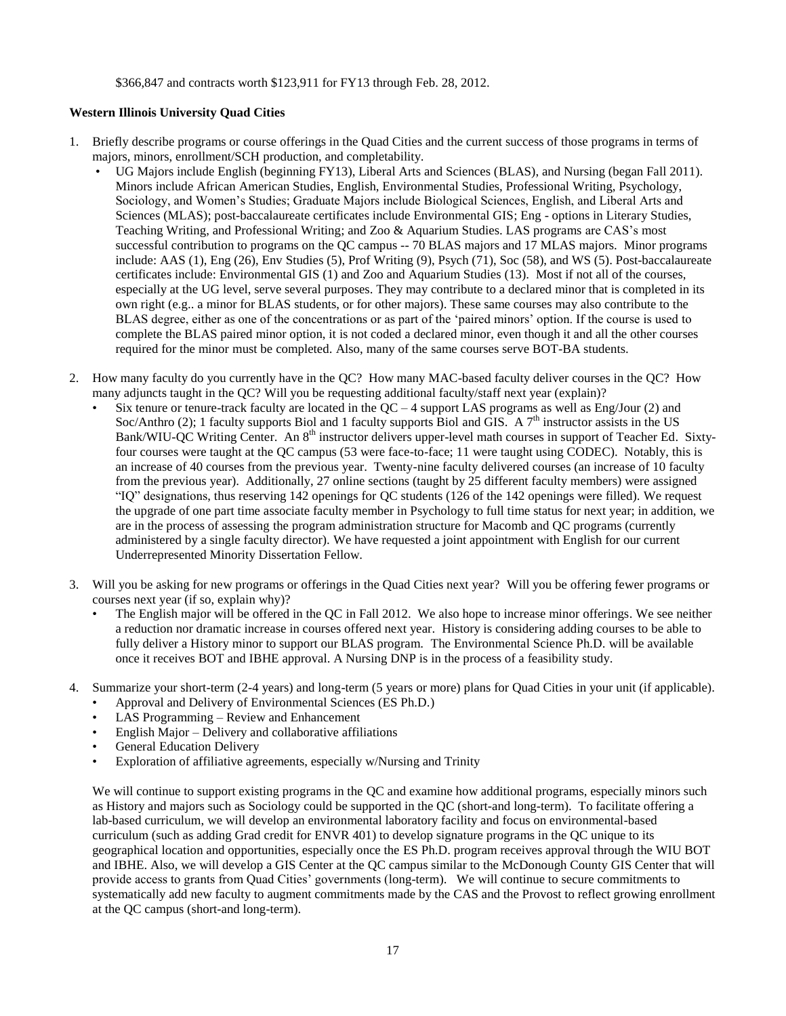\$366,847 and contracts worth \$123,911 for FY13 through Feb. 28, 2012.

### **Western Illinois University Quad Cities**

- 1. Briefly describe programs or course offerings in the Quad Cities and the current success of those programs in terms of majors, minors, enrollment/SCH production, and completability.
	- UG Majors include English (beginning FY13), Liberal Arts and Sciences (BLAS), and Nursing (began Fall 2011). Minors include African American Studies, English, Environmental Studies, Professional Writing, Psychology, Sociology, and Women's Studies; Graduate Majors include Biological Sciences, English, and Liberal Arts and Sciences (MLAS); post-baccalaureate certificates include Environmental GIS; Eng - options in Literary Studies, Teaching Writing, and Professional Writing; and Zoo & Aquarium Studies. LAS programs are CAS's most successful contribution to programs on the QC campus -- 70 BLAS majors and 17 MLAS majors. Minor programs include: AAS (1), Eng (26), Env Studies (5), Prof Writing (9), Psych (71), Soc (58), and WS (5). Post-baccalaureate certificates include: Environmental GIS (1) and Zoo and Aquarium Studies (13). Most if not all of the courses, especially at the UG level, serve several purposes. They may contribute to a declared minor that is completed in its own right (e.g.. a minor for BLAS students, or for other majors). These same courses may also contribute to the BLAS degree, either as one of the concentrations or as part of the 'paired minors' option. If the course is used to complete the BLAS paired minor option, it is not coded a declared minor, even though it and all the other courses required for the minor must be completed. Also, many of the same courses serve BOT-BA students.
- 2. How many faculty do you currently have in the QC? How many MAC-based faculty deliver courses in the QC? How many adjuncts taught in the QC? Will you be requesting additional faculty/staff next year (explain)?
	- Six tenure or tenure-track faculty are located in the  $QC 4$  support LAS programs as well as Eng/Jour (2) and Soc/Anthro (2); 1 faculty supports Biol and 1 faculty supports Biol and GIS. A  $7<sup>th</sup>$  instructor assists in the US Bank/WIU-QC Writing Center. An 8<sup>th</sup> instructor delivers upper-level math courses in support of Teacher Ed. Sixtyfour courses were taught at the QC campus (53 were face-to-face; 11 were taught using CODEC). Notably, this is an increase of 40 courses from the previous year. Twenty-nine faculty delivered courses (an increase of 10 faculty from the previous year). Additionally, 27 online sections (taught by 25 different faculty members) were assigned "IQ" designations, thus reserving 142 openings for QC students (126 of the 142 openings were filled). We request the upgrade of one part time associate faculty member in Psychology to full time status for next year; in addition, we are in the process of assessing the program administration structure for Macomb and QC programs (currently administered by a single faculty director). We have requested a joint appointment with English for our current Underrepresented Minority Dissertation Fellow.
- 3. Will you be asking for new programs or offerings in the Quad Cities next year? Will you be offering fewer programs or courses next year (if so, explain why)?
	- The English major will be offered in the QC in Fall 2012. We also hope to increase minor offerings. We see neither a reduction nor dramatic increase in courses offered next year. History is considering adding courses to be able to fully deliver a History minor to support our BLAS program. The Environmental Science Ph.D. will be available once it receives BOT and IBHE approval. A Nursing DNP is in the process of a feasibility study.
- 4. Summarize your short-term (2-4 years) and long-term (5 years or more) plans for Quad Cities in your unit (if applicable).
	- Approval and Delivery of Environmental Sciences (ES Ph.D.)
	- LAS Programming Review and Enhancement
	- English Major Delivery and collaborative affiliations
	- General Education Delivery
	- Exploration of affiliative agreements, especially w/Nursing and Trinity

We will continue to support existing programs in the QC and examine how additional programs, especially minors such as History and majors such as Sociology could be supported in the QC (short-and long-term). To facilitate offering a lab-based curriculum, we will develop an environmental laboratory facility and focus on environmental-based curriculum (such as adding Grad credit for ENVR 401) to develop signature programs in the QC unique to its geographical location and opportunities, especially once the ES Ph.D. program receives approval through the WIU BOT and IBHE. Also, we will develop a GIS Center at the QC campus similar to the McDonough County GIS Center that will provide access to grants from Quad Cities' governments (long-term). We will continue to secure commitments to systematically add new faculty to augment commitments made by the CAS and the Provost to reflect growing enrollment at the QC campus (short-and long-term).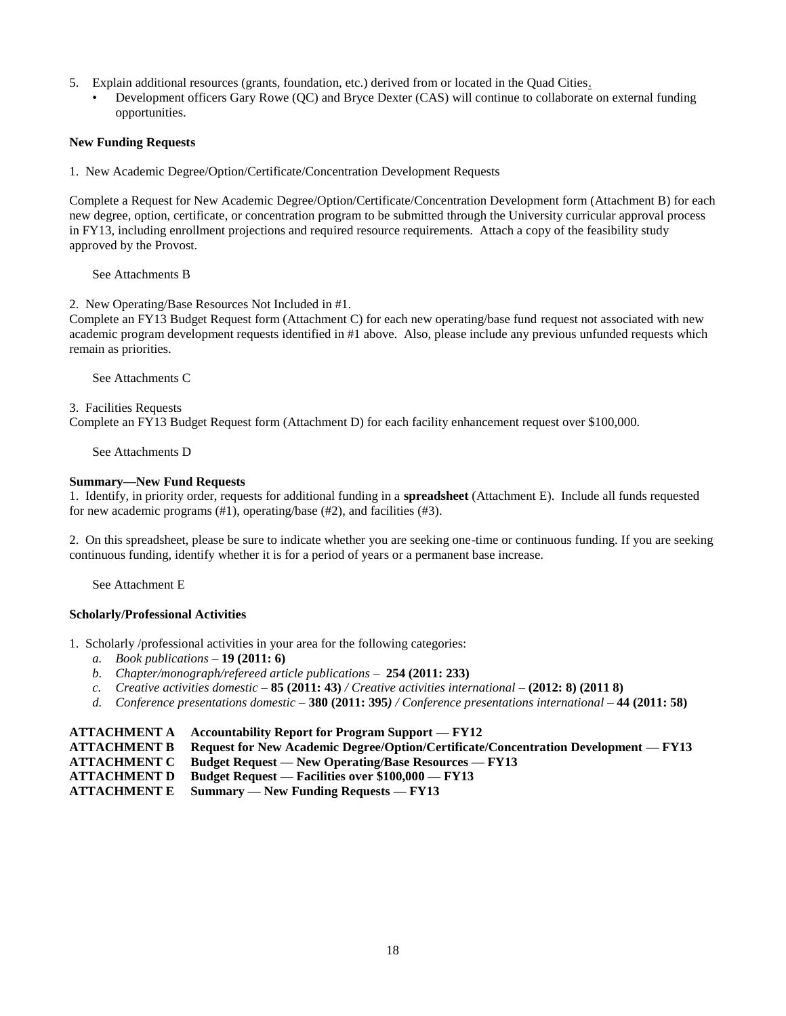- 5. Explain additional resources (grants, foundation, etc.) derived from or located in the Quad Cities.
	- Development officers Gary Rowe (QC) and Bryce Dexter (CAS) will continue to collaborate on external funding opportunities.

#### **New Funding Requests**

1. New Academic Degree/Option/Certificate/Concentration Development Requests

Complete a Request for New Academic Degree/Option/Certificate/Concentration Development form (Attachment B) for each new degree, option, certificate, or concentration program to be submitted through the University curricular approval process in FY13, including enrollment projections and required resource requirements. Attach a copy of the feasibility study approved by the Provost.

See Attachments B

2. New Operating/Base Resources Not Included in #1.

Complete an FY13 Budget Request form (Attachment C) for each new operating/base fund request not associated with new academic program development requests identified in #1 above. Also, please include any previous unfunded requests which remain as priorities.

See Attachments C

#### 3. Facilities Requests

Complete an FY13 Budget Request form (Attachment D) for each facility enhancement request over \$100,000.

See Attachments D

#### **Summary—New Fund Requests**

1. Identify, in priority order, requests for additional funding in a **spreadsheet** (Attachment E). Include all funds requested for new academic programs (#1), operating/base (#2), and facilities (#3).

2. On this spreadsheet, please be sure to indicate whether you are seeking one-time or continuous funding. If you are seeking continuous funding, identify whether it is for a period of years or a permanent base increase.

See Attachment E

### **Scholarly/Professional Activities**

1. Scholarly /professional activities in your area for the following categories:

- *a. Book publications –* **19 (2011: 6)**
- *b. Chapter/monograph/refereed article publications –* **254 (2011: 233)**
- *c. Creative activities domestic –* **85 (2011: 43)** */ Creative activities international –* **(2012: 8) (2011 8)**
- *d. Conference presentations domestic –* **380 (2011: 395***) / Conference presentations international –* **44 (2011: 58)**

#### **ATTACHMENT A Accountability Report for Program Support — FY12**

**ATTACHMENT B Request for New Academic Degree/Option/Certificate/Concentration Development — FY13**

- **ATTACHMENT C Budget Request — New Operating/Base Resources — FY13**
- **ATTACHMENT D Budget Request — Facilities over \$100,000 — FY13**

**ATTACHMENT E Summary — New Funding Requests — FY13**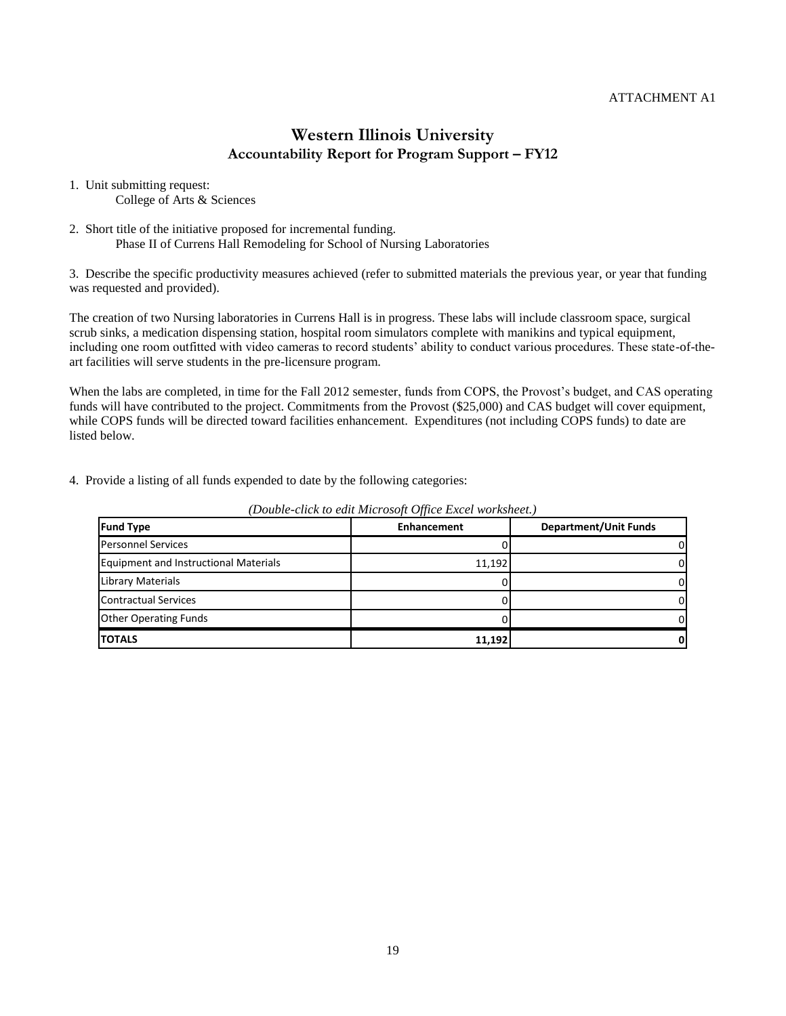- 1. Unit submitting request: College of Arts & Sciences
- 2. Short title of the initiative proposed for incremental funding. Phase II of Currens Hall Remodeling for School of Nursing Laboratories

3. Describe the specific productivity measures achieved (refer to submitted materials the previous year, or year that funding was requested and provided).

The creation of two Nursing laboratories in Currens Hall is in progress. These labs will include classroom space, surgical scrub sinks, a medication dispensing station, hospital room simulators complete with manikins and typical equipment, including one room outfitted with video cameras to record students' ability to conduct various procedures. These state-of-theart facilities will serve students in the pre-licensure program.

When the labs are completed, in time for the Fall 2012 semester, funds from COPS, the Provost's budget, and CAS operating funds will have contributed to the project. Commitments from the Provost (\$25,000) and CAS budget will cover equipment, while COPS funds will be directed toward facilities enhancement. Expenditures (not including COPS funds) to date are listed below.

4. Provide a listing of all funds expended to date by the following categories:

| <b>Fund Type</b>                             | $\sim$<br><b>Enhancement</b> | <b>Department/Unit Funds</b> |  |  |
|----------------------------------------------|------------------------------|------------------------------|--|--|
| <b>Personnel Services</b>                    |                              |                              |  |  |
| <b>Equipment and Instructional Materials</b> | 11,192                       |                              |  |  |
| <b>Library Materials</b>                     |                              |                              |  |  |
| <b>Contractual Services</b>                  |                              |                              |  |  |
| <b>Other Operating Funds</b>                 |                              |                              |  |  |
| <b>TOTALS</b>                                | 11,192                       |                              |  |  |

*(Double-click to edit Microsoft Office Excel worksheet.)*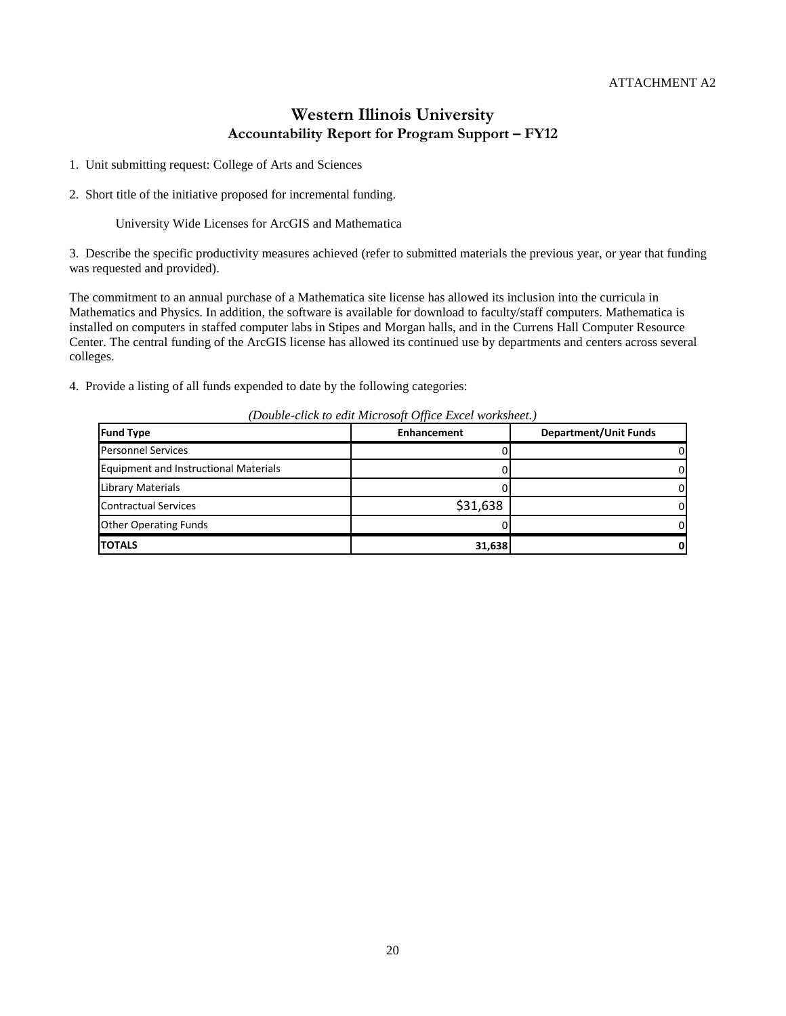1. Unit submitting request: College of Arts and Sciences

2. Short title of the initiative proposed for incremental funding.

University Wide Licenses for ArcGIS and Mathematica

3. Describe the specific productivity measures achieved (refer to submitted materials the previous year, or year that funding was requested and provided).

The commitment to an annual purchase of a Mathematica site license has allowed its inclusion into the curricula in Mathematics and Physics. In addition, the software is available for download to faculty/staff computers. Mathematica is installed on computers in staffed computer labs in Stipes and Morgan halls, and in the Currens Hall Computer Resource Center. The central funding of the ArcGIS license has allowed its continued use by departments and centers across several colleges.

4. Provide a listing of all funds expended to date by the following categories:

| <b>Enhancement</b> | <b>Department/Unit Funds</b> |  |  |  |  |  |  |
|--------------------|------------------------------|--|--|--|--|--|--|
|                    | 0                            |  |  |  |  |  |  |
|                    | 0                            |  |  |  |  |  |  |
|                    | $\Omega$                     |  |  |  |  |  |  |
| \$31,638           | 0                            |  |  |  |  |  |  |
|                    | 0                            |  |  |  |  |  |  |
| 31,638             | 0                            |  |  |  |  |  |  |
|                    |                              |  |  |  |  |  |  |

*(Double-click to edit Microsoft Office Excel worksheet.)*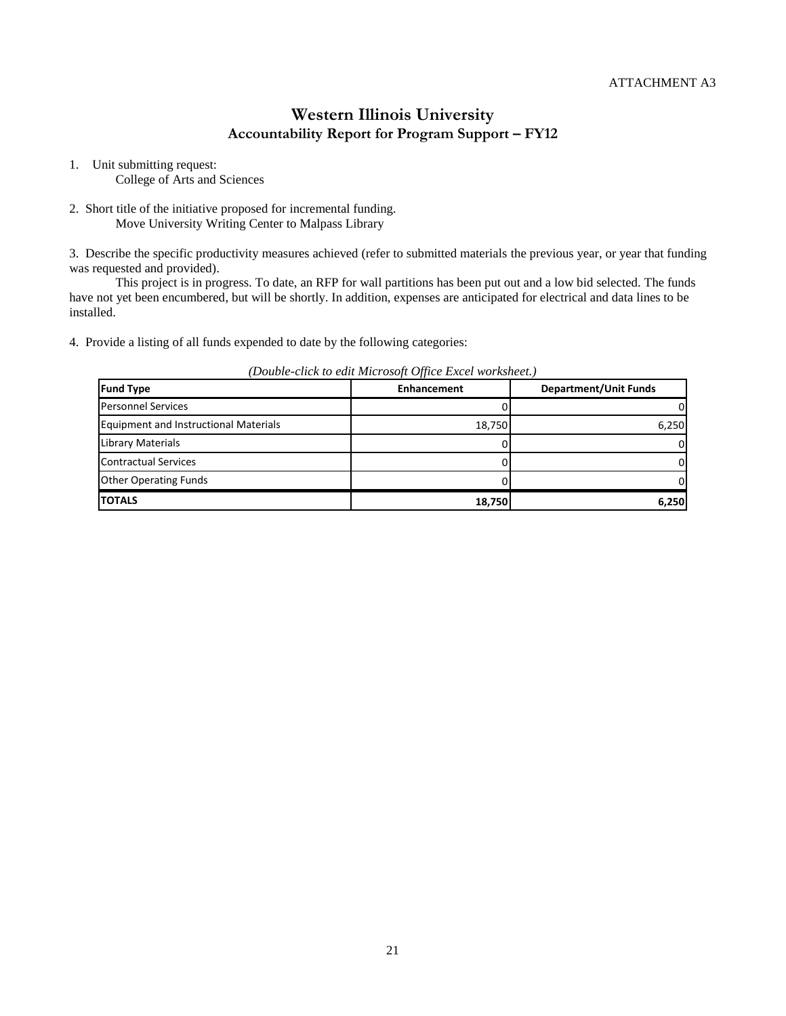1. Unit submitting request:

College of Arts and Sciences

2. Short title of the initiative proposed for incremental funding. Move University Writing Center to Malpass Library

3. Describe the specific productivity measures achieved (refer to submitted materials the previous year, or year that funding was requested and provided).

This project is in progress. To date, an RFP for wall partitions has been put out and a low bid selected. The funds have not yet been encumbered, but will be shortly. In addition, expenses are anticipated for electrical and data lines to be installed.

4. Provide a listing of all funds expended to date by the following categories:

| Denote enon to can miter obojt office Bricet Hornoncen |                    |       |  |  |  |  |
|--------------------------------------------------------|--------------------|-------|--|--|--|--|
| <b>Fund Type</b>                                       | <b>Enhancement</b> |       |  |  |  |  |
| <b>Personnel Services</b>                              |                    |       |  |  |  |  |
| <b>Equipment and Instructional Materials</b>           | 18,750             | 6,250 |  |  |  |  |
| Library Materials                                      |                    |       |  |  |  |  |
| <b>Contractual Services</b>                            |                    |       |  |  |  |  |
| <b>Other Operating Funds</b>                           |                    |       |  |  |  |  |
| <b>TOTALS</b>                                          | 18,750             | 6,250 |  |  |  |  |

*(Double-click to edit Microsoft Office Excel worksheet.)*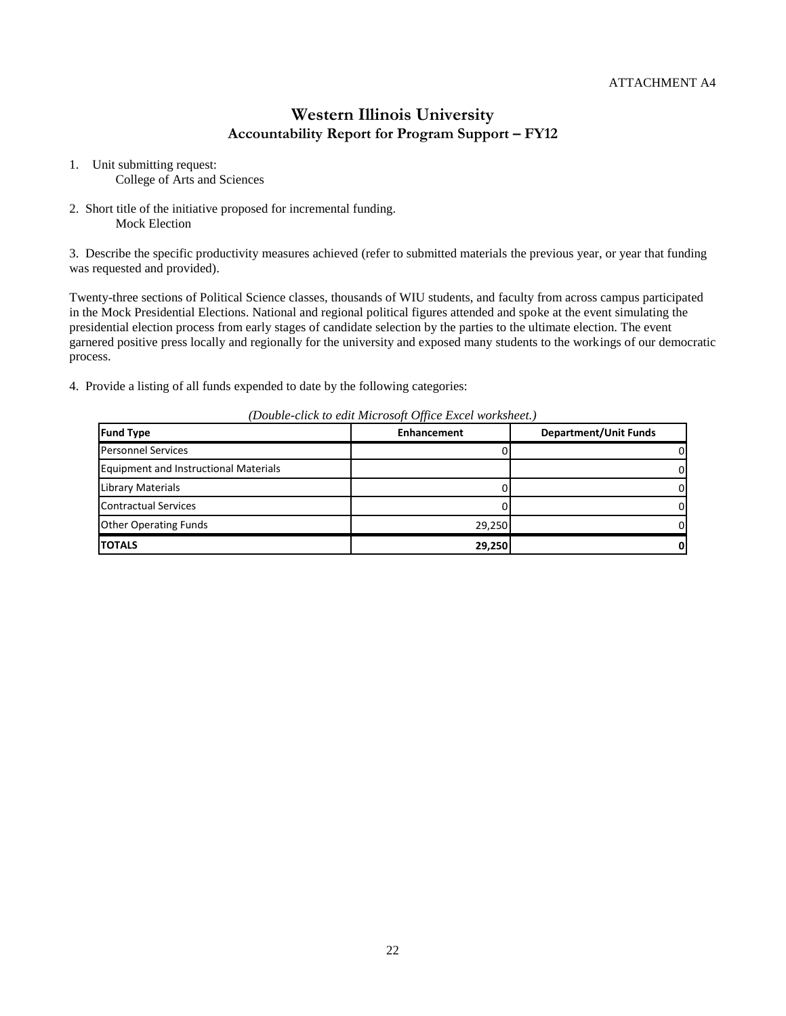- 1. Unit submitting request: College of Arts and Sciences
- 2. Short title of the initiative proposed for incremental funding. Mock Election

3. Describe the specific productivity measures achieved (refer to submitted materials the previous year, or year that funding was requested and provided).

Twenty-three sections of Political Science classes, thousands of WIU students, and faculty from across campus participated in the Mock Presidential Elections. National and regional political figures attended and spoke at the event simulating the presidential election process from early stages of candidate selection by the parties to the ultimate election. The event garnered positive press locally and regionally for the university and exposed many students to the workings of our democratic process.

4. Provide a listing of all funds expended to date by the following categories:

| <b>Fund Type</b>                             | <b>Enhancement</b> |  |
|----------------------------------------------|--------------------|--|
| <b>Personnel Services</b>                    |                    |  |
| <b>Equipment and Instructional Materials</b> |                    |  |
| Library Materials                            |                    |  |
| <b>Contractual Services</b>                  |                    |  |
| <b>Other Operating Funds</b>                 | 29,250             |  |
| <b>TOTALS</b>                                | 29,250             |  |

*(Double-click to edit Microsoft Office Excel worksheet.)*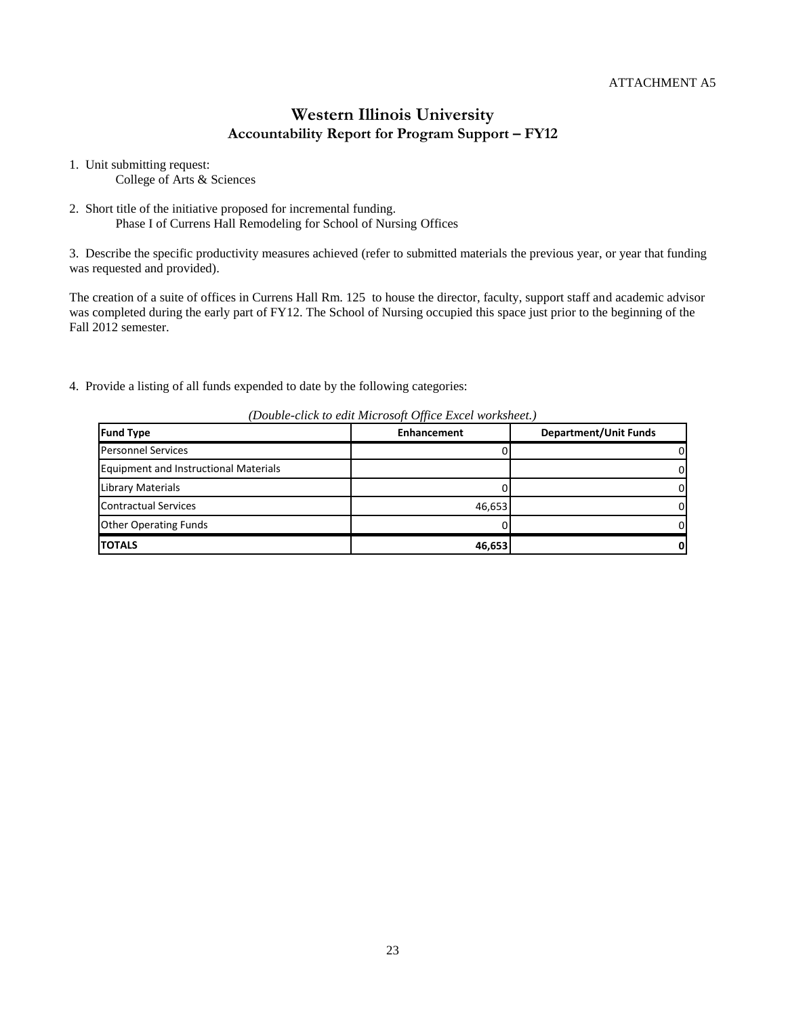1. Unit submitting request: College of Arts & Sciences

2. Short title of the initiative proposed for incremental funding. Phase I of Currens Hall Remodeling for School of Nursing Offices

3. Describe the specific productivity measures achieved (refer to submitted materials the previous year, or year that funding was requested and provided).

The creation of a suite of offices in Currens Hall Rm. 125 to house the director, faculty, support staff and academic advisor was completed during the early part of FY12. The School of Nursing occupied this space just prior to the beginning of the Fall 2012 semester.

4. Provide a listing of all funds expended to date by the following categories:

| $\sim$ 0.000 to 0.000 to 0.000 to 0.000 to 0.000 to 0.000 to 0.000 to 0.000 to 0.000 to 0.000 to 0.000 to 0.000 to 0.000 to 0.000 to 0.000 to 0.000 to 0.000 to 0.000 to 0.000 to 0.000 to 0.000 to 0.000 to 0.000 to 0.000 to |             |                              |  |  |  |  |
|--------------------------------------------------------------------------------------------------------------------------------------------------------------------------------------------------------------------------------|-------------|------------------------------|--|--|--|--|
| <b>Fund Type</b>                                                                                                                                                                                                               | Enhancement | <b>Department/Unit Funds</b> |  |  |  |  |
| <b>Personnel Services</b>                                                                                                                                                                                                      |             |                              |  |  |  |  |
| <b>Equipment and Instructional Materials</b>                                                                                                                                                                                   |             |                              |  |  |  |  |
| Library Materials                                                                                                                                                                                                              |             |                              |  |  |  |  |
| <b>Contractual Services</b>                                                                                                                                                                                                    | 46,653      |                              |  |  |  |  |
| <b>Other Operating Funds</b>                                                                                                                                                                                                   |             |                              |  |  |  |  |
| TOTALS                                                                                                                                                                                                                         | 46,653      |                              |  |  |  |  |

*(Double-click to edit Microsoft Office Excel worksheet.)*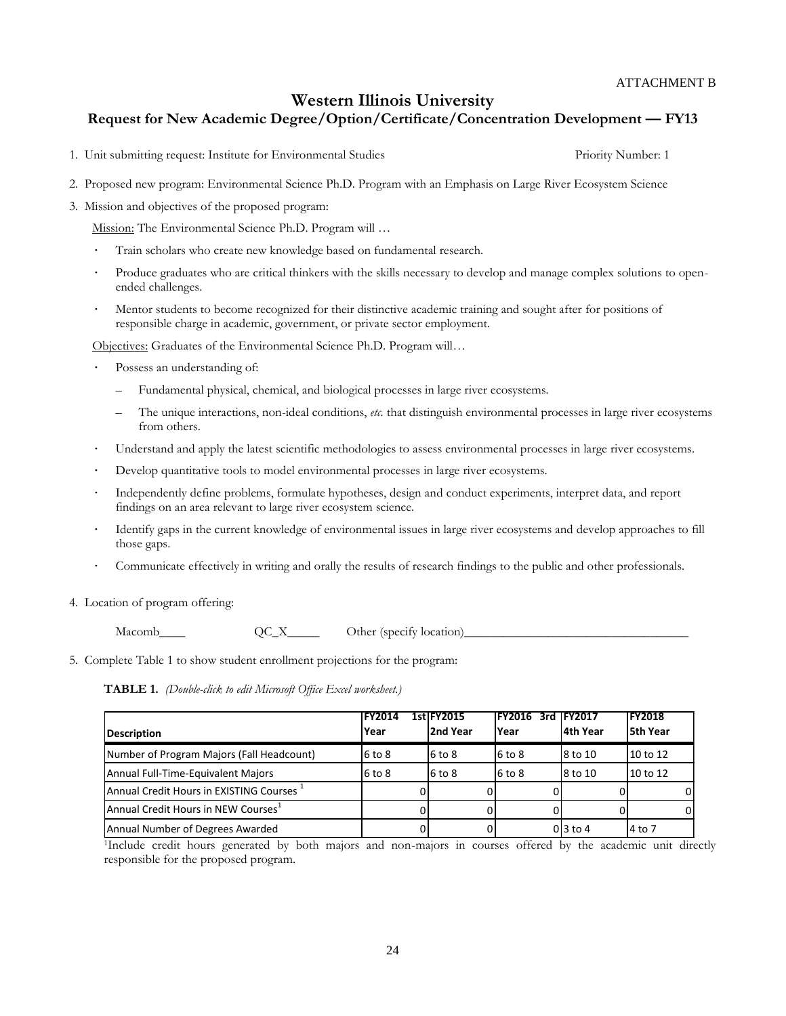### **Western Illinois University**

### **Request for New Academic Degree/Option/Certificate/Concentration Development — FY13**

- 1. Unit submitting request: Institute for Environmental Studies Priority Number: 1
- 2. Proposed new program: Environmental Science Ph.D. Program with an Emphasis on Large River Ecosystem Science
- 3. Mission and objectives of the proposed program:

Mission: The Environmental Science Ph.D. Program will …

- · Train scholars who create new knowledge based on fundamental research.
- Produce graduates who are critical thinkers with the skills necessary to develop and manage complex solutions to openended challenges.
- Mentor students to become recognized for their distinctive academic training and sought after for positions of responsible charge in academic, government, or private sector employment.

Objectives: Graduates of the Environmental Science Ph.D. Program will…

- Possess an understanding of:
	- Fundamental physical, chemical, and biological processes in large river ecosystems.
	- The unique interactions, non-ideal conditions, *etc.* that distinguish environmental processes in large river ecosystems from others.
- · Understand and apply the latest scientific methodologies to assess environmental processes in large river ecosystems.
- Develop quantitative tools to model environmental processes in large river ecosystems.
- Independently define problems, formulate hypotheses, design and conduct experiments, interpret data, and report findings on an area relevant to large river ecosystem science.
- Identify gaps in the current knowledge of environmental issues in large river ecosystems and develop approaches to fill those gaps.
- Communicate effectively in writing and orally the results of research findings to the public and other professionals.
- 4. Location of program offering:

 $\text{Macomb}_\text{max}$   $\text{QC}_X$  Other (specify location)

5. Complete Table 1 to show student enrollment projections for the program:

**TABLE 1.** *(Double-click to edit Microsoft Office Excel worksheet.)*

|                                                 | <b>IFY2014</b> | <b>1stlFY2015</b> | <b>FY2016</b> | 3rd IFY2017     | <b>FY2018</b> |
|-------------------------------------------------|----------------|-------------------|---------------|-----------------|---------------|
| Description                                     | Year           | 2nd Year          | <b>Year</b>   | l4th Year       | 5th Year      |
| Number of Program Majors (Fall Headcount)       | $6$ to $8$     | 6 to 8            | $6$ to $8$    | 8 to 10         | 10 to 12      |
| Annual Full-Time-Equivalent Majors              | $6$ to $8$     | 6 to 8            | $6$ to $8$    | 8 to 10         | 10 to 12      |
| Annual Credit Hours in EXISTING Courses 1       |                |                   |               |                 |               |
| Annual Credit Hours in NEW Courses <sup>1</sup> |                |                   |               |                 |               |
| Annual Number of Degrees Awarded                |                |                   |               | $0\vert$ 3 to 4 | 4 to 7        |

<sup>1</sup>Include credit hours generated by both majors and non-majors in courses offered by the academic unit directly responsible for the proposed program.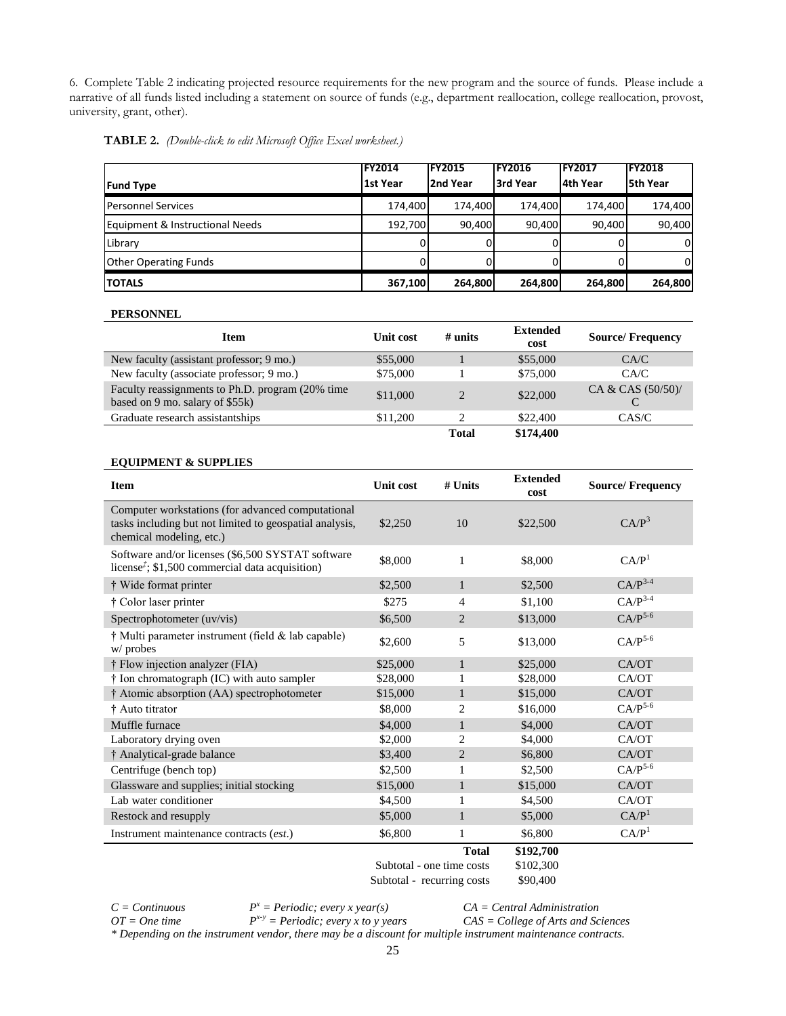6. Complete Table 2 indicating projected resource requirements for the new program and the source of funds. Please include a narrative of all funds listed including a statement on source of funds (e.g., department reallocation, college reallocation, provost, university, grant, other).

|  | TABLE 2. (Double-click to edit Microsoft Office Excel worksheet.) |  |  |
|--|-------------------------------------------------------------------|--|--|
|--|-------------------------------------------------------------------|--|--|

|                                 | <b>IFY2014</b> | <b>IFY2015</b> | <b>IFY2016</b> | <b>FY2017</b> | <b>FY2018</b> |
|---------------------------------|----------------|----------------|----------------|---------------|---------------|
| <b>Fund Type</b>                | 1st Year       | 2nd Year       | 3rd Year       | 4th Year      | 5th Year      |
| <b>Personnel Services</b>       | 174,400        | 174,400        | 174.400        | 174.400       | 174,400       |
| Equipment & Instructional Needs | 192.700        | 90.400         | 90,400         | 90,400        | 90,400        |
| Library                         | ΩI             |                |                |               |               |
| <b>Other Operating Funds</b>    | 0              |                |                |               | 0             |
| <b>ITOTALS</b>                  | 367,100        | 264,800        | 264,800        | 264,800       | 264,800       |

#### **PERSONNEL**

| <b>Item</b>                                                                         | Unit cost | $#$ units      | <b>Extended</b><br>cost | <b>Source/Frequency</b> |
|-------------------------------------------------------------------------------------|-----------|----------------|-------------------------|-------------------------|
| New faculty (assistant professor; 9 mo.)                                            | \$55,000  |                | \$55,000                | CA/C                    |
| New faculty (associate professor; 9 mo.)                                            | \$75,000  |                | \$75,000                | CA/C                    |
| Faculty reassignments to Ph.D. program (20% time<br>based on 9 mo. salary of \$55k) | \$11,000  | $\mathfrak{D}$ | \$22,000                | CA & CAS $(50/50)$ /    |
| Graduate research assistantships                                                    | \$11,200  |                | \$22,400                | CAS/C                   |
|                                                                                     |           | Total          | \$174,400               |                         |

#### **EQUIPMENT & SUPPLIES**

| <b>Item</b>                                                                                                                              | <b>Unit cost</b>           | $#$ Units                 | <b>Extended</b><br>cost | <b>Source/Frequency</b> |
|------------------------------------------------------------------------------------------------------------------------------------------|----------------------------|---------------------------|-------------------------|-------------------------|
| Computer workstations (for advanced computational<br>tasks including but not limited to geospatial analysis,<br>chemical modeling, etc.) | \$2,250                    | 10                        | \$22,500                | C A/P <sup>3</sup>      |
| Software and/or licenses (\$6,500 SYSTAT software<br>license <sup><math>\dot{z}</math></sup> ; \$1,500 commercial data acquisition)      | \$8,000                    | 1                         | \$8,000                 | CA/P <sup>1</sup>       |
| † Wide format printer                                                                                                                    | \$2,500                    | $\mathbf{1}$              | \$2,500                 | $CAP^{3-4}$             |
| † Color laser printer                                                                                                                    | \$275                      | $\overline{4}$            | \$1,100                 | $CAP^{3-4}$             |
| Spectrophotometer (uv/vis)                                                                                                               | \$6,500                    | $\overline{2}$            | \$13,000                | $CAP^{5-6}$             |
| † Multi parameter instrument (field & lab capable)<br>w/probes                                                                           | \$2,600                    | 5                         | \$13,000                | $CA/P^{5-6}$            |
| † Flow injection analyzer (FIA)                                                                                                          | \$25,000                   | $\mathbf{1}$              | \$25,000                | CA/OT                   |
| † Ion chromatograph (IC) with auto sampler                                                                                               | \$28,000                   | 1                         | \$28,000                | CA/OT                   |
| † Atomic absorption (AA) spectrophotometer                                                                                               | \$15,000                   | $\mathbf{1}$              | \$15,000                | CA/OT                   |
| † Auto titrator                                                                                                                          | \$8,000                    | $\overline{2}$            | \$16,000                | $CA/P^{5-6}$            |
| Muffle furnace                                                                                                                           | \$4,000                    | $\mathbf{1}$              | \$4,000                 | CA/OT                   |
| Laboratory drying oven                                                                                                                   | \$2,000                    | $\overline{c}$            | \$4,000                 | CA/OT                   |
| † Analytical-grade balance                                                                                                               | \$3,400                    | $\overline{2}$            | \$6,800                 | CA/OT                   |
| Centrifuge (bench top)                                                                                                                   | \$2,500                    | 1                         | \$2,500                 | $CAP^{5-6}$             |
| Glassware and supplies; initial stocking                                                                                                 | \$15,000                   | $\mathbf{1}$              | \$15,000                | CA/OT                   |
| Lab water conditioner                                                                                                                    | \$4,500                    | 1                         | \$4,500                 | CA/OT                   |
| Restock and resupply                                                                                                                     | \$5,000                    | $\mathbf{1}$              | \$5,000                 | CAP <sup>1</sup>        |
| Instrument maintenance contracts (est.)                                                                                                  | \$6,800                    | 1                         | \$6,800                 | CAP <sup>1</sup>        |
|                                                                                                                                          |                            | <b>Total</b>              | \$192,700               |                         |
|                                                                                                                                          |                            | Subtotal - one time costs | \$102,300               |                         |
|                                                                                                                                          | Subtotal - recurring costs |                           | \$90,400                |                         |

*C = Continuous*

*OT = One time*

*P <sup>x</sup> = Periodic; every x year(s) P x-y = Periodic; every x to y years*

*CA = Central Administration CAS = College of Arts and Sciences*

*\* Depending on the instrument vendor, there may be a discount for multiple instrument maintenance contracts.*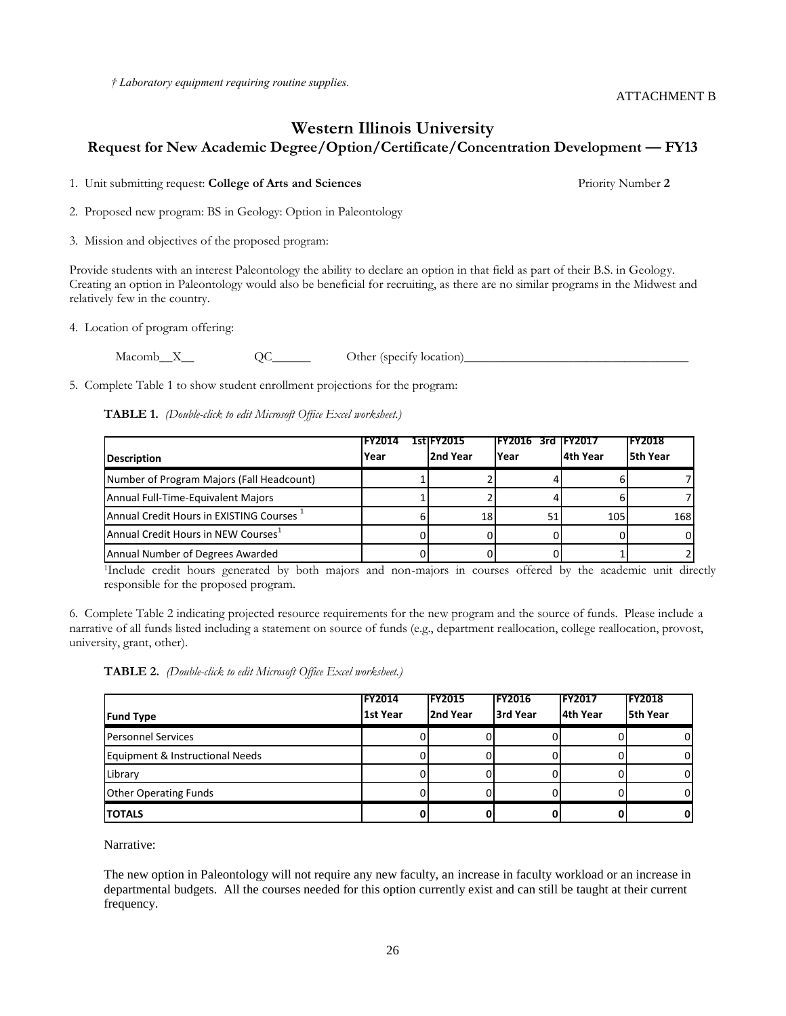*† Laboratory equipment requiring routine supplies.*

### **Western Illinois University Request for New Academic Degree/Option/Certificate/Concentration Development — FY13**

1. Unit submitting request: **College of Arts and Sciences** Priority Number **2**

ATTACHMENT B

2. Proposed new program: BS in Geology: Option in Paleontology

3. Mission and objectives of the proposed program:

Provide students with an interest Paleontology the ability to declare an option in that field as part of their B.S. in Geology. Creating an option in Paleontology would also be beneficial for recruiting, as there are no similar programs in the Midwest and relatively few in the country.

4. Location of program offering:

Macomb\_X\_\_\_ QC\_\_\_\_\_\_ Other (specify location)\_\_\_\_\_\_\_\_\_\_\_\_\_\_\_\_\_\_\_\_\_\_\_\_\_\_\_\_\_\_\_\_\_\_\_

5. Complete Table 1 to show student enrollment projections for the program:

**TABLE 1.** *(Double-click to edit Microsoft Office Excel worksheet.)*

|                                                      | <b>FY2014</b> | 1stlFY2015 | IFY2016 | <b>IFY2017</b> | <b>FY2018</b>   |
|------------------------------------------------------|---------------|------------|---------|----------------|-----------------|
| <b>Description</b>                                   | Year          | 2nd Year   | Year    | 4th Year       | <b>5th Year</b> |
| Number of Program Majors (Fall Headcount)            |               |            |         |                |                 |
| Annual Full-Time-Equivalent Majors                   |               |            |         |                |                 |
| Annual Credit Hours in EXISTING Courses <sup>+</sup> |               | 18         | 51      | 105            | 168             |
| Annual Credit Hours in NEW Courses <sup>+</sup>      |               |            |         |                |                 |
| Annual Number of Degrees Awarded                     |               |            |         |                |                 |

<sup>1</sup>Include credit hours generated by both majors and non-majors in courses offered by the academic unit directly responsible for the proposed program.

6. Complete Table 2 indicating projected resource requirements for the new program and the source of funds. Please include a narrative of all funds listed including a statement on source of funds (e.g., department reallocation, college reallocation, provost, university, grant, other).

|  |  | TABLE 2. (Double-click to edit Microsoft Office Excel worksheet.) |  |  |  |
|--|--|-------------------------------------------------------------------|--|--|--|
|--|--|-------------------------------------------------------------------|--|--|--|

| <b>Fund Type</b>                | <b>IFY2014</b><br>1st Year | <b>IFY2015</b><br>2nd Year | <b>FY2016</b><br>3rd Year | <b>IFY2017</b><br>4th Year | <b>FY2018</b><br><b>5th Year</b> |
|---------------------------------|----------------------------|----------------------------|---------------------------|----------------------------|----------------------------------|
| <b>Personnel Services</b>       |                            |                            |                           |                            |                                  |
| Equipment & Instructional Needs |                            |                            |                           |                            |                                  |
| Library                         |                            |                            |                           |                            |                                  |
| <b>Other Operating Funds</b>    |                            |                            |                           |                            |                                  |
| <b>TOTALS</b>                   |                            |                            |                           |                            |                                  |

Narrative:

The new option in Paleontology will not require any new faculty, an increase in faculty workload or an increase in departmental budgets. All the courses needed for this option currently exist and can still be taught at their current frequency.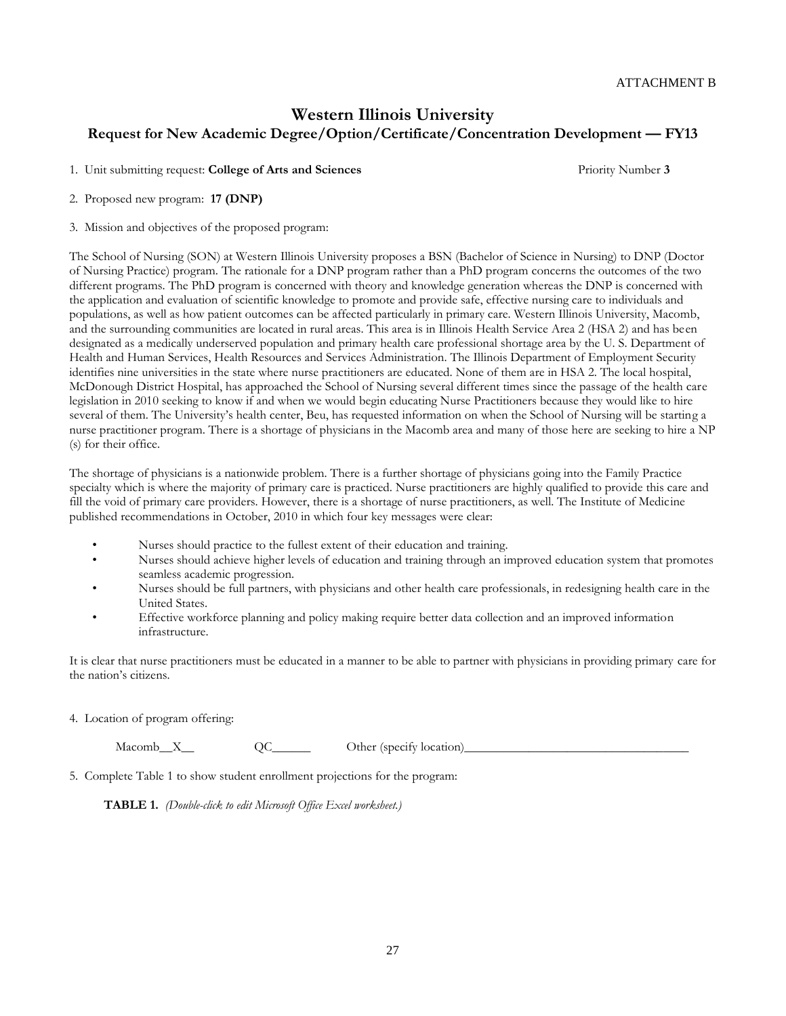## **Western Illinois University Request for New Academic Degree/Option/Certificate/Concentration Development — FY13**

1. Unit submitting request: **College of Arts and Sciences** Priority Number **3**

2. Proposed new program: **17 (DNP)**

3. Mission and objectives of the proposed program:

The School of Nursing (SON) at Western Illinois University proposes a BSN (Bachelor of Science in Nursing) to DNP (Doctor of Nursing Practice) program. The rationale for a DNP program rather than a PhD program concerns the outcomes of the two different programs. The PhD program is concerned with theory and knowledge generation whereas the DNP is concerned with the application and evaluation of scientific knowledge to promote and provide safe, effective nursing care to individuals and populations, as well as how patient outcomes can be affected particularly in primary care. Western Illinois University, Macomb, and the surrounding communities are located in rural areas. This area is in Illinois Health Service Area 2 (HSA 2) and has been designated as a medically underserved population and primary health care professional shortage area by the U. S. Department of Health and Human Services, Health Resources and Services Administration. The Illinois Department of Employment Security identifies nine universities in the state where nurse practitioners are educated. None of them are in HSA 2. The local hospital, McDonough District Hospital, has approached the School of Nursing several different times since the passage of the health care legislation in 2010 seeking to know if and when we would begin educating Nurse Practitioners because they would like to hire several of them. The University's health center, Beu, has requested information on when the School of Nursing will be starting a nurse practitioner program. There is a shortage of physicians in the Macomb area and many of those here are seeking to hire a NP (s) for their office.

The shortage of physicians is a nationwide problem. There is a further shortage of physicians going into the Family Practice specialty which is where the majority of primary care is practiced. Nurse practitioners are highly qualified to provide this care and fill the void of primary care providers. However, there is a shortage of nurse practitioners, as well. The Institute of Medicine published recommendations in October, 2010 in which four key messages were clear:

- Nurses should practice to the fullest extent of their education and training.
- Nurses should achieve higher levels of education and training through an improved education system that promotes seamless academic progression.
- Nurses should be full partners, with physicians and other health care professionals, in redesigning health care in the United States.
- Effective workforce planning and policy making require better data collection and an improved information infrastructure.

It is clear that nurse practitioners must be educated in a manner to be able to partner with physicians in providing primary care for the nation's citizens.

4. Location of program offering:

Macomb\_X\_\_\_ QC\_\_\_\_\_\_\_\_ Other (specify location)\_

5. Complete Table 1 to show student enrollment projections for the program:

**TABLE 1.** *(Double-click to edit Microsoft Office Excel worksheet.)*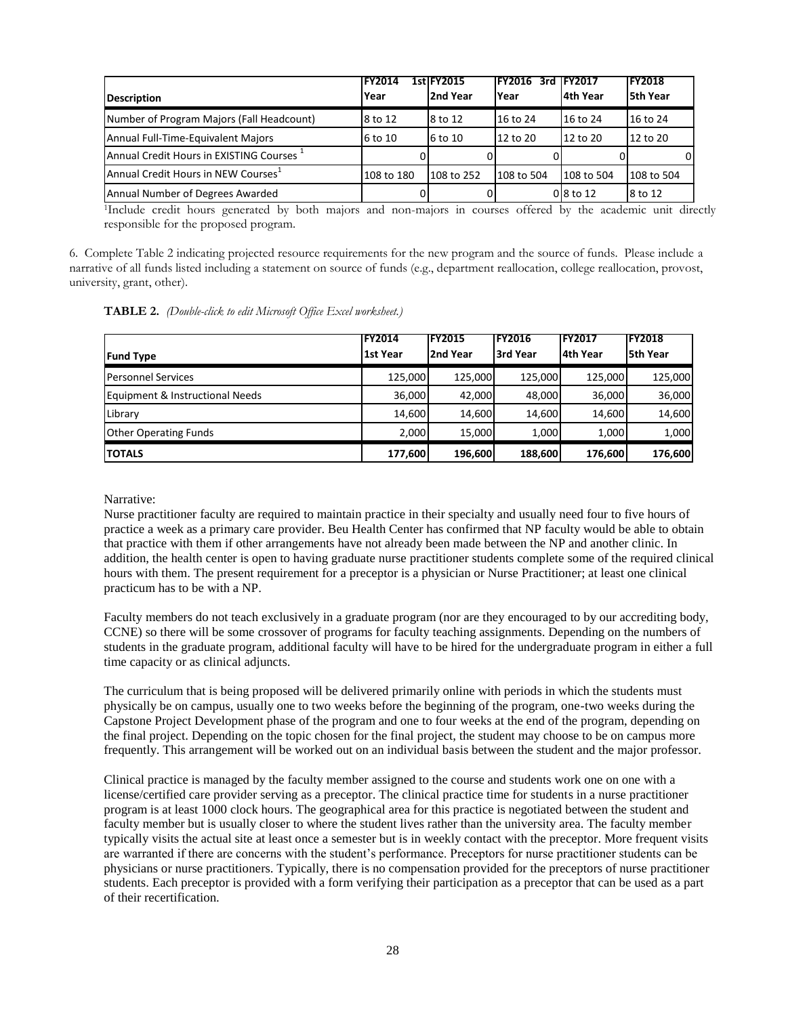| <b>Description</b>                                   | <b>IFY2014</b><br>Year | 1stlFY2015<br>2nd Year | <b>IFY2016</b><br>3rd<br>Year | <b>IFY2017</b><br>l4th Year | <b>FY2018</b><br>5th Year |
|------------------------------------------------------|------------------------|------------------------|-------------------------------|-----------------------------|---------------------------|
| Number of Program Majors (Fall Headcount)            | 8 to 12                | 8 to 12                | 16 to 24                      | 16 to 24                    | 16 to 24                  |
| Annual Full-Time-Equivalent Majors                   | 6 to 10                | 6 to 10                | 12 to 20                      | 12 to 20                    | 12 to 20                  |
| Annual Credit Hours in EXISTING Courses <sup>1</sup> |                        |                        |                               |                             |                           |
| Annual Credit Hours in NEW Courses <sup>1</sup>      | 108 to 180             | 108 to 252             | 108 to 504                    | 108 to 504                  | 108 to 504                |
| Annual Number of Degrees Awarded                     |                        |                        |                               | $0\,8$ to 12                | 8 to 12                   |

<sup>1</sup>Include credit hours generated by both majors and non-majors in courses offered by the academic unit directly responsible for the proposed program.

6. Complete Table 2 indicating projected resource requirements for the new program and the source of funds. Please include a narrative of all funds listed including a statement on source of funds (e.g., department reallocation, college reallocation, provost, university, grant, other).

| <b>TABLE 2.</b> (Double-click to edit Microsoft Office Excel worksheet.) |  |  |
|--------------------------------------------------------------------------|--|--|
|--------------------------------------------------------------------------|--|--|

|                                 | <b>IFY2014</b> | <b>FY2015</b> | <b>FY2016</b> | <b>IFY2017</b> | <b>IFY2018</b>  |
|---------------------------------|----------------|---------------|---------------|----------------|-----------------|
| <b>Fund Type</b>                | 1st Year       | 2nd Year      | 3rd Year      | 4th Year       | <b>5th Year</b> |
| <b>Personnel Services</b>       | 125,000        | 125.000       | 125.000       | 125.000        | 125,000         |
| Equipment & Instructional Needs | 36,000         | 42.000        | 48,000        | 36,000         | 36,000          |
| Library                         | 14,600         | 14,600        | 14,600        | 14,600         | 14,600          |
| <b>Other Operating Funds</b>    | 2,000          | 15,000        | 1,000         | 1,000          | 1,000           |
| <b>TOTALS</b>                   | 177,600        | 196,600       | 188,600       | 176,600        | 176,600         |

Narrative:

Nurse practitioner faculty are required to maintain practice in their specialty and usually need four to five hours of practice a week as a primary care provider. Beu Health Center has confirmed that NP faculty would be able to obtain that practice with them if other arrangements have not already been made between the NP and another clinic. In addition, the health center is open to having graduate nurse practitioner students complete some of the required clinical hours with them. The present requirement for a preceptor is a physician or Nurse Practitioner; at least one clinical practicum has to be with a NP.

Faculty members do not teach exclusively in a graduate program (nor are they encouraged to by our accrediting body, CCNE) so there will be some crossover of programs for faculty teaching assignments. Depending on the numbers of students in the graduate program, additional faculty will have to be hired for the undergraduate program in either a full time capacity or as clinical adjuncts.

The curriculum that is being proposed will be delivered primarily online with periods in which the students must physically be on campus, usually one to two weeks before the beginning of the program, one-two weeks during the Capstone Project Development phase of the program and one to four weeks at the end of the program, depending on the final project. Depending on the topic chosen for the final project, the student may choose to be on campus more frequently. This arrangement will be worked out on an individual basis between the student and the major professor.

Clinical practice is managed by the faculty member assigned to the course and students work one on one with a license/certified care provider serving as a preceptor. The clinical practice time for students in a nurse practitioner program is at least 1000 clock hours. The geographical area for this practice is negotiated between the student and faculty member but is usually closer to where the student lives rather than the university area. The faculty member typically visits the actual site at least once a semester but is in weekly contact with the preceptor. More frequent visits are warranted if there are concerns with the student's performance. Preceptors for nurse practitioner students can be physicians or nurse practitioners. Typically, there is no compensation provided for the preceptors of nurse practitioner students. Each preceptor is provided with a form verifying their participation as a preceptor that can be used as a part of their recertification.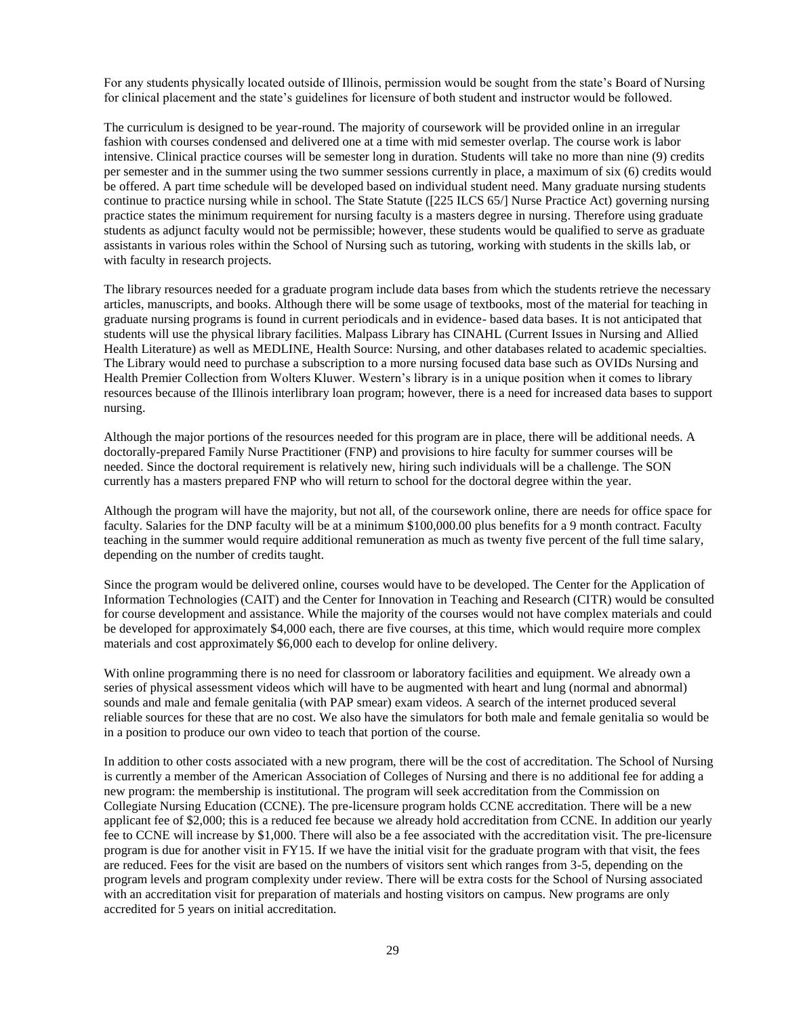For any students physically located outside of Illinois, permission would be sought from the state's Board of Nursing for clinical placement and the state's guidelines for licensure of both student and instructor would be followed.

The curriculum is designed to be year-round. The majority of coursework will be provided online in an irregular fashion with courses condensed and delivered one at a time with mid semester overlap. The course work is labor intensive. Clinical practice courses will be semester long in duration. Students will take no more than nine (9) credits per semester and in the summer using the two summer sessions currently in place, a maximum of six (6) credits would be offered. A part time schedule will be developed based on individual student need. Many graduate nursing students continue to practice nursing while in school. The State Statute ([225 ILCS 65/] Nurse Practice Act) governing nursing practice states the minimum requirement for nursing faculty is a masters degree in nursing. Therefore using graduate students as adjunct faculty would not be permissible; however, these students would be qualified to serve as graduate assistants in various roles within the School of Nursing such as tutoring, working with students in the skills lab, or with faculty in research projects.

The library resources needed for a graduate program include data bases from which the students retrieve the necessary articles, manuscripts, and books. Although there will be some usage of textbooks, most of the material for teaching in graduate nursing programs is found in current periodicals and in evidence- based data bases. It is not anticipated that students will use the physical library facilities. Malpass Library has CINAHL (Current Issues in Nursing and Allied Health Literature) as well as MEDLINE, Health Source: Nursing, and other databases related to academic specialties. The Library would need to purchase a subscription to a more nursing focused data base such as OVIDs Nursing and Health Premier Collection from Wolters Kluwer. Western's library is in a unique position when it comes to library resources because of the Illinois interlibrary loan program; however, there is a need for increased data bases to support nursing.

Although the major portions of the resources needed for this program are in place, there will be additional needs. A doctorally-prepared Family Nurse Practitioner (FNP) and provisions to hire faculty for summer courses will be needed. Since the doctoral requirement is relatively new, hiring such individuals will be a challenge. The SON currently has a masters prepared FNP who will return to school for the doctoral degree within the year.

Although the program will have the majority, but not all, of the coursework online, there are needs for office space for faculty. Salaries for the DNP faculty will be at a minimum \$100,000.00 plus benefits for a 9 month contract. Faculty teaching in the summer would require additional remuneration as much as twenty five percent of the full time salary, depending on the number of credits taught.

Since the program would be delivered online, courses would have to be developed. The Center for the Application of Information Technologies (CAIT) and the Center for Innovation in Teaching and Research (CITR) would be consulted for course development and assistance. While the majority of the courses would not have complex materials and could be developed for approximately \$4,000 each, there are five courses, at this time, which would require more complex materials and cost approximately \$6,000 each to develop for online delivery.

With online programming there is no need for classroom or laboratory facilities and equipment. We already own a series of physical assessment videos which will have to be augmented with heart and lung (normal and abnormal) sounds and male and female genitalia (with PAP smear) exam videos. A search of the internet produced several reliable sources for these that are no cost. We also have the simulators for both male and female genitalia so would be in a position to produce our own video to teach that portion of the course.

In addition to other costs associated with a new program, there will be the cost of accreditation. The School of Nursing is currently a member of the American Association of Colleges of Nursing and there is no additional fee for adding a new program: the membership is institutional. The program will seek accreditation from the Commission on Collegiate Nursing Education (CCNE). The pre-licensure program holds CCNE accreditation. There will be a new applicant fee of \$2,000; this is a reduced fee because we already hold accreditation from CCNE. In addition our yearly fee to CCNE will increase by \$1,000. There will also be a fee associated with the accreditation visit. The pre-licensure program is due for another visit in FY15. If we have the initial visit for the graduate program with that visit, the fees are reduced. Fees for the visit are based on the numbers of visitors sent which ranges from 3-5, depending on the program levels and program complexity under review. There will be extra costs for the School of Nursing associated with an accreditation visit for preparation of materials and hosting visitors on campus. New programs are only accredited for 5 years on initial accreditation.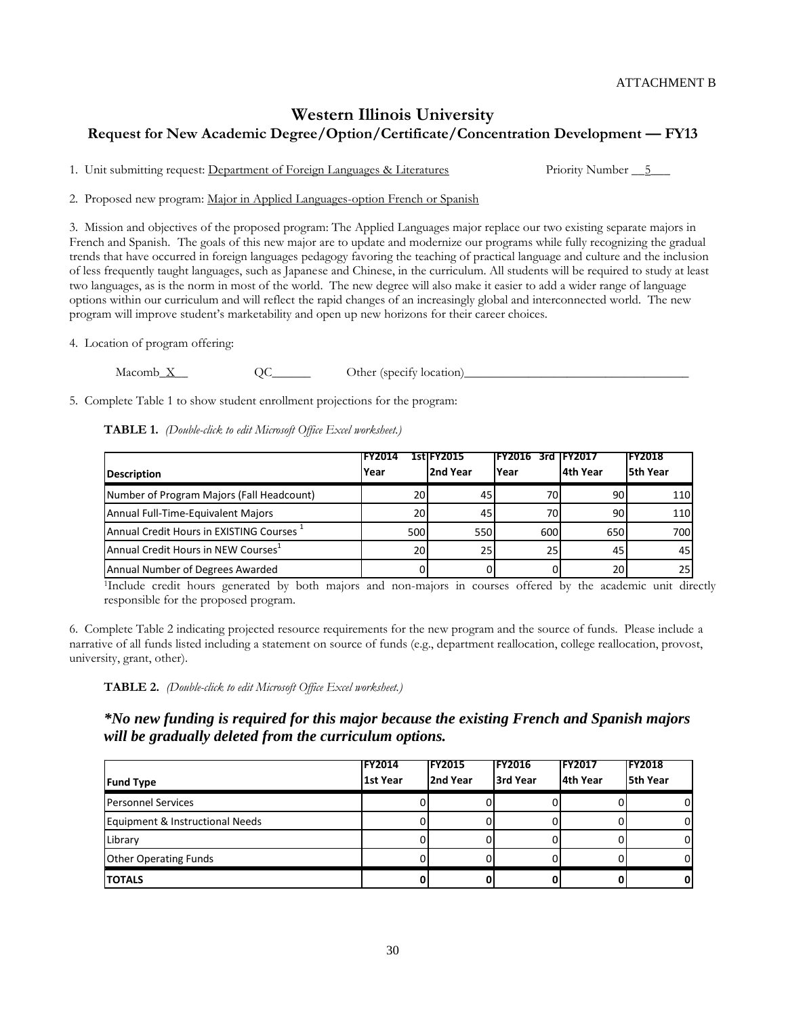## **Western Illinois University Request for New Academic Degree/Option/Certificate/Concentration Development — FY13**

1. Unit submitting request: Department of Foreign Languages & Literatures Priority Number \_\_5\_\_\_

2. Proposed new program: Major in Applied Languages-option French or Spanish

3. Mission and objectives of the proposed program: The Applied Languages major replace our two existing separate majors in French and Spanish. The goals of this new major are to update and modernize our programs while fully recognizing the gradual trends that have occurred in foreign languages pedagogy favoring the teaching of practical language and culture and the inclusion of less frequently taught languages, such as Japanese and Chinese, in the curriculum. All students will be required to study at least two languages, as is the norm in most of the world. The new degree will also make it easier to add a wider range of language options within our curriculum and will reflect the rapid changes of an increasingly global and interconnected world. The new program will improve student's marketability and open up new horizons for their career choices.

4. Location of program offering:

Macomb\_X\_\_ QC\_\_\_\_\_\_ Other (specify location)\_\_\_\_\_\_\_\_\_\_\_\_\_\_\_\_\_\_\_\_\_\_\_\_\_\_\_\_\_\_\_\_\_\_\_

5. Complete Table 1 to show student enrollment projections for the program:

**TABLE 1.** *(Double-click to edit Microsoft Office Excel worksheet.)*

|                                                      | <b>FY2014</b>   | <b>1stlFY2015</b> | IFY2016   | 3rd IFY2017 | <b>IFY2018</b> |
|------------------------------------------------------|-----------------|-------------------|-----------|-------------|----------------|
| <b>Description</b>                                   | Year            | 2nd Year          | Year      | 4th Year    | l5th Year      |
| Number of Program Majors (Fall Headcount)            | 20I             | 45                | 70I       | 90I         | 110            |
| Annual Full-Time-Equivalent Majors                   | 20I             | 45                | <b>70</b> | 90          | 110            |
| Annual Credit Hours in EXISTING Courses <sup>1</sup> | 500             | 550l              | 600       | 650         | 700            |
| Annual Credit Hours in NEW Courses <sup>1</sup>      | 20 <sup>1</sup> | 25 I              | 25        | 45          | 45             |
| Annual Number of Degrees Awarded                     |                 |                   |           | 20          | 25             |

<sup>1</sup>Include credit hours generated by both majors and non-majors in courses offered by the academic unit directly responsible for the proposed program.

6. Complete Table 2 indicating projected resource requirements for the new program and the source of funds. Please include a narrative of all funds listed including a statement on source of funds (e.g., department reallocation, college reallocation, provost, university, grant, other).

**TABLE 2.** *(Double-click to edit Microsoft Office Excel worksheet.)*

*\*No new funding is required for this major because the existing French and Spanish majors will be gradually deleted from the curriculum options.*

| <b>Fund Type</b>                | <b>FY2014</b><br>1st Year | <b>FY2015</b><br>2nd Year | <b>FY2016</b><br>3rd Year | IFY2017<br>4th Year | <b>FY2018</b><br><b>5th Year</b> |
|---------------------------------|---------------------------|---------------------------|---------------------------|---------------------|----------------------------------|
| <b>Personnel Services</b>       |                           |                           |                           |                     | 01                               |
| Equipment & Instructional Needs |                           |                           |                           |                     | ΟI                               |
| Library                         |                           |                           |                           |                     | ΟI                               |
| <b>Other Operating Funds</b>    |                           |                           |                           |                     | 01                               |
| <b>TOTALS</b>                   |                           |                           |                           |                     | 01                               |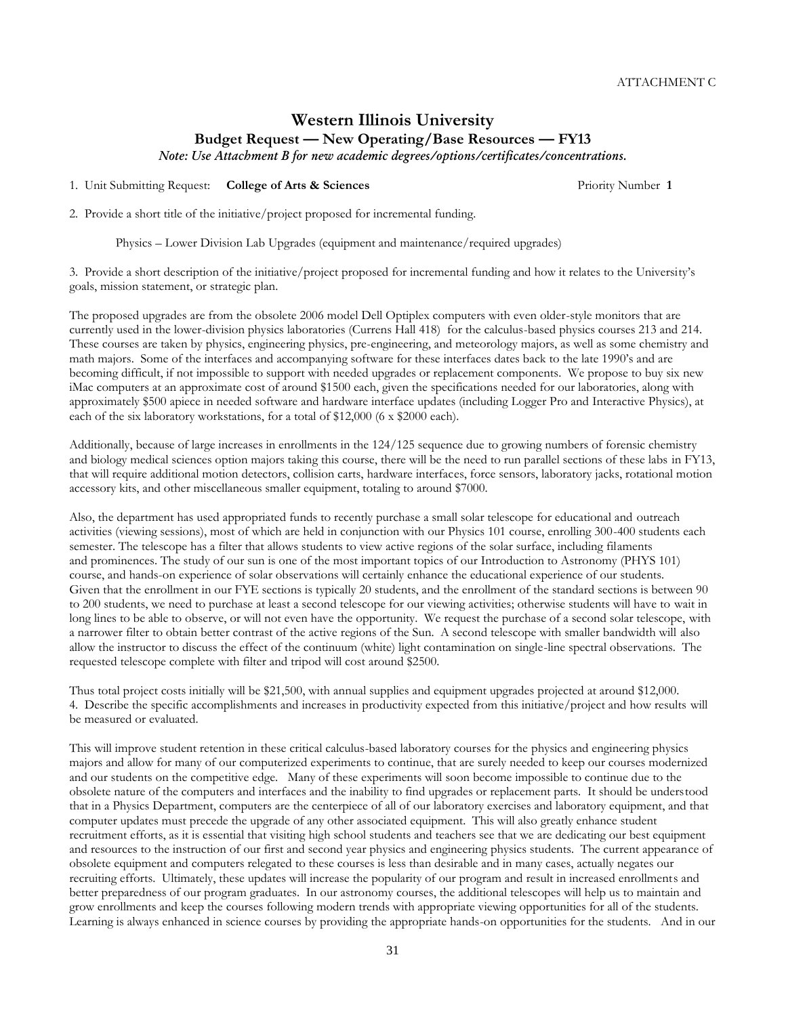# **Western Illinois University Budget Request — New Operating/Base Resources — FY13**

*Note: Use Attachment B for new academic degrees/options/certificates/concentrations.*

1. Unit Submitting Request: **College of Arts & Sciences** Priority Number **1**

2. Provide a short title of the initiative/project proposed for incremental funding.

Physics – Lower Division Lab Upgrades (equipment and maintenance/required upgrades)

3. Provide a short description of the initiative/project proposed for incremental funding and how it relates to the University's goals, mission statement, or strategic plan.

The proposed upgrades are from the obsolete 2006 model Dell Optiplex computers with even older-style monitors that are currently used in the lower-division physics laboratories (Currens Hall 418) for the calculus-based physics courses 213 and 214. These courses are taken by physics, engineering physics, pre-engineering, and meteorology majors, as well as some chemistry and math majors. Some of the interfaces and accompanying software for these interfaces dates back to the late 1990's and are becoming difficult, if not impossible to support with needed upgrades or replacement components. We propose to buy six new iMac computers at an approximate cost of around \$1500 each, given the specifications needed for our laboratories, along with approximately \$500 apiece in needed software and hardware interface updates (including Logger Pro and Interactive Physics), at each of the six laboratory workstations, for a total of \$12,000 (6 x \$2000 each).

Additionally, because of large increases in enrollments in the 124/125 sequence due to growing numbers of forensic chemistry and biology medical sciences option majors taking this course, there will be the need to run parallel sections of these labs in FY13, that will require additional motion detectors, collision carts, hardware interfaces, force sensors, laboratory jacks, rotational motion accessory kits, and other miscellaneous smaller equipment, totaling to around \$7000.

Also, the department has used appropriated funds to recently purchase a small solar telescope for educational and outreach activities (viewing sessions), most of which are held in conjunction with our Physics 101 course, enrolling 300-400 students each semester. The telescope has a filter that allows students to view active regions of the solar surface, including filaments and prominences. The study of our sun is one of the most important topics of our Introduction to Astronomy (PHYS 101) course, and hands-on experience of solar observations will certainly enhance the educational experience of our students. Given that the enrollment in our FYE sections is typically 20 students, and the enrollment of the standard sections is between 90 to 200 students, we need to purchase at least a second telescope for our viewing activities; otherwise students will have to wait in long lines to be able to observe, or will not even have the opportunity. We request the purchase of a second solar telescope, with a narrower filter to obtain better contrast of the active regions of the Sun. A second telescope with smaller bandwidth will also allow the instructor to discuss the effect of the continuum (white) light contamination on single-line spectral observations. The requested telescope complete with filter and tripod will cost around \$2500.

Thus total project costs initially will be \$21,500, with annual supplies and equipment upgrades projected at around \$12,000. 4. Describe the specific accomplishments and increases in productivity expected from this initiative/project and how results will be measured or evaluated.

This will improve student retention in these critical calculus-based laboratory courses for the physics and engineering physics majors and allow for many of our computerized experiments to continue, that are surely needed to keep our courses modernized and our students on the competitive edge. Many of these experiments will soon become impossible to continue due to the obsolete nature of the computers and interfaces and the inability to find upgrades or replacement parts. It should be understood that in a Physics Department, computers are the centerpiece of all of our laboratory exercises and laboratory equipment, and that computer updates must precede the upgrade of any other associated equipment. This will also greatly enhance student recruitment efforts, as it is essential that visiting high school students and teachers see that we are dedicating our best equipment and resources to the instruction of our first and second year physics and engineering physics students. The current appearance of obsolete equipment and computers relegated to these courses is less than desirable and in many cases, actually negates our recruiting efforts. Ultimately, these updates will increase the popularity of our program and result in increased enrollments and better preparedness of our program graduates. In our astronomy courses, the additional telescopes will help us to maintain and grow enrollments and keep the courses following modern trends with appropriate viewing opportunities for all of the students. Learning is always enhanced in science courses by providing the appropriate hands-on opportunities for the students. And in our

31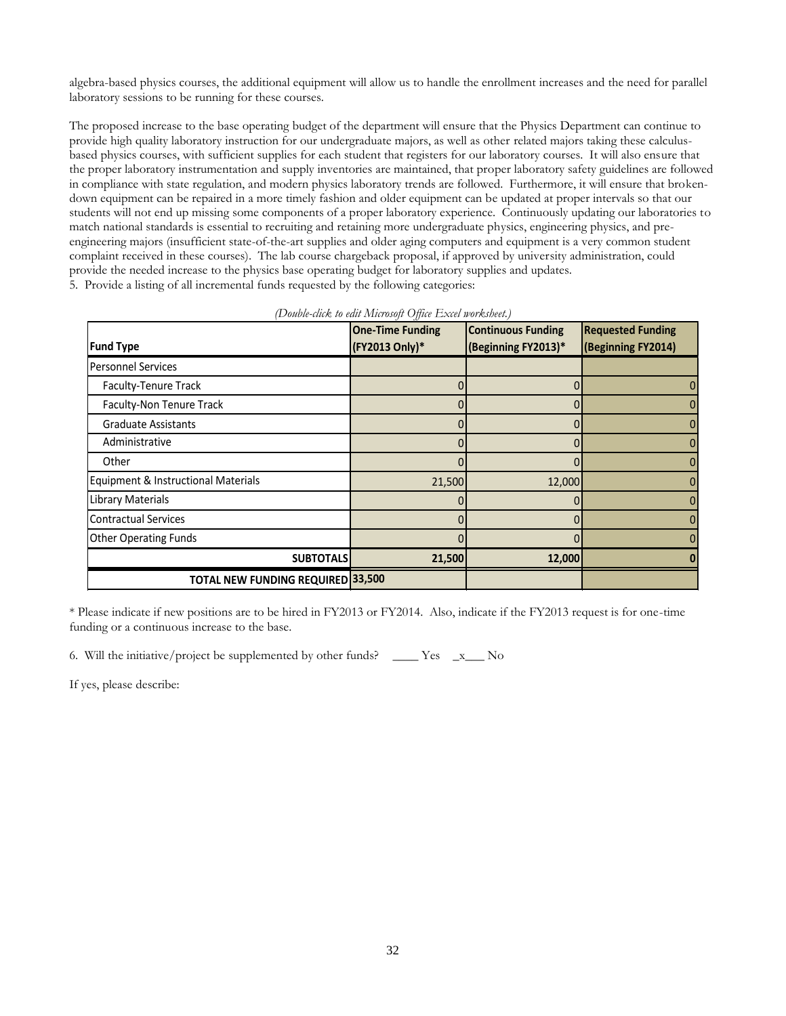algebra-based physics courses, the additional equipment will allow us to handle the enrollment increases and the need for parallel laboratory sessions to be running for these courses.

The proposed increase to the base operating budget of the department will ensure that the Physics Department can continue to provide high quality laboratory instruction for our undergraduate majors, as well as other related majors taking these calculusbased physics courses, with sufficient supplies for each student that registers for our laboratory courses. It will also ensure that the proper laboratory instrumentation and supply inventories are maintained, that proper laboratory safety guidelines are followed in compliance with state regulation, and modern physics laboratory trends are followed. Furthermore, it will ensure that brokendown equipment can be repaired in a more timely fashion and older equipment can be updated at proper intervals so that our students will not end up missing some components of a proper laboratory experience. Continuously updating our laboratories to match national standards is essential to recruiting and retaining more undergraduate physics, engineering physics, and preengineering majors (insufficient state-of-the-art supplies and older aging computers and equipment is a very common student complaint received in these courses). The lab course chargeback proposal, if approved by university administration, could provide the needed increase to the physics base operating budget for laboratory supplies and updates. 5. Provide a listing of all incremental funds requested by the following categories:

|                                          | <b>One-Time Funding</b> | <b>Continuous Funding</b> | <b>Requested Funding</b> |
|------------------------------------------|-------------------------|---------------------------|--------------------------|
| <b>Fund Type</b>                         | (FY2013 Only)*          | (Beginning FY2013)*       | (Beginning FY2014)       |
| <b>Personnel Services</b>                |                         |                           |                          |
| Faculty-Tenure Track                     |                         |                           | 0                        |
| Faculty-Non Tenure Track                 |                         |                           |                          |
| <b>Graduate Assistants</b>               |                         | 0                         |                          |
| Administrative                           |                         | 0                         | 0                        |
| Other                                    |                         |                           |                          |
| Equipment & Instructional Materials      | 21,500                  | 12,000                    |                          |
| <b>Library Materials</b>                 |                         | 0                         | 0                        |
| <b>Contractual Services</b>              |                         |                           |                          |
| <b>Other Operating Funds</b>             |                         |                           |                          |
| <b>SUBTOTALS</b>                         | 21,500                  | 12,000                    |                          |
| <b>TOTAL NEW FUNDING REQUIRED 33,500</b> |                         |                           |                          |

| (Double-click to edit Microsoft Office Excel worksheet.) |  |  |  |
|----------------------------------------------------------|--|--|--|
|                                                          |  |  |  |

\* Please indicate if new positions are to be hired in FY2013 or FY2014. Also, indicate if the FY2013 request is for one-time funding or a continuous increase to the base.

6. Will the initiative/project be supplemented by other funds? \_\_\_\_ Yes \_x\_\_ No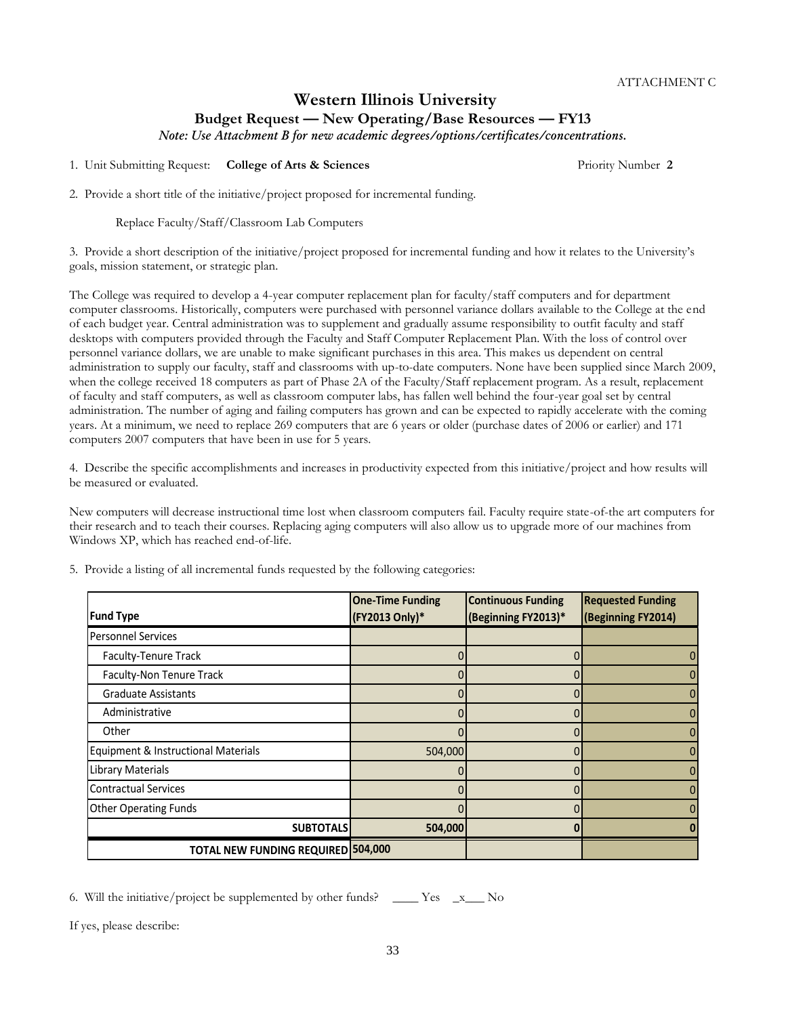## **Western Illinois University Budget Request — New Operating/Base Resources — FY13**

*Note: Use Attachment B for new academic degrees/options/certificates/concentrations.*

1. Unit Submitting Request: **College of Arts & Sciences** Priority Number **2**

2. Provide a short title of the initiative/project proposed for incremental funding.

Replace Faculty/Staff/Classroom Lab Computers

3. Provide a short description of the initiative/project proposed for incremental funding and how it relates to the University's goals, mission statement, or strategic plan.

The College was required to develop a 4-year computer replacement plan for faculty/staff computers and for department computer classrooms. Historically, computers were purchased with personnel variance dollars available to the College at the end of each budget year. Central administration was to supplement and gradually assume responsibility to outfit faculty and staff desktops with computers provided through the Faculty and Staff Computer Replacement Plan. With the loss of control over personnel variance dollars, we are unable to make significant purchases in this area. This makes us dependent on central administration to supply our faculty, staff and classrooms with up-to-date computers. None have been supplied since March 2009, when the college received 18 computers as part of Phase 2A of the Faculty/Staff replacement program. As a result, replacement of faculty and staff computers, as well as classroom computer labs, has fallen well behind the four-year goal set by central administration. The number of aging and failing computers has grown and can be expected to rapidly accelerate with the coming years. At a minimum, we need to replace 269 computers that are 6 years or older (purchase dates of 2006 or earlier) and 171 computers 2007 computers that have been in use for 5 years.

4. Describe the specific accomplishments and increases in productivity expected from this initiative/project and how results will be measured or evaluated.

New computers will decrease instructional time lost when classroom computers fail. Faculty require state-of-the art computers for their research and to teach their courses. Replacing aging computers will also allow us to upgrade more of our machines from Windows XP, which has reached end-of-life.

|                                           | <b>One-Time Funding</b> | <b>Continuous Funding</b> | <b>Requested Funding</b> |
|-------------------------------------------|-------------------------|---------------------------|--------------------------|
| <b>Fund Type</b>                          | (FY2013 Only)*          | (Beginning FY2013)*       | (Beginning FY2014)       |
| <b>Personnel Services</b>                 |                         |                           |                          |
| Faculty-Tenure Track                      |                         | 0                         |                          |
| Faculty-Non Tenure Track                  |                         | 0                         |                          |
| <b>Graduate Assistants</b>                |                         | 0                         | 0                        |
| Administrative                            |                         | 0                         |                          |
| Other                                     |                         | 0                         |                          |
| Equipment & Instructional Materials       | 504,000                 | 0                         | 0                        |
| Library Materials                         |                         | 0                         |                          |
| <b>Contractual Services</b>               |                         | 0                         |                          |
| <b>Other Operating Funds</b>              |                         | 0                         |                          |
| <b>SUBTOTALS</b>                          | 504,000                 |                           |                          |
| <b>TOTAL NEW FUNDING REQUIRED 504,000</b> |                         |                           |                          |

5. Provide a listing of all incremental funds requested by the following categories:

6. Will the initiative/project be supplemented by other funds?  $\qquad \qquad$  Yes  $\qquad x \qquad$  No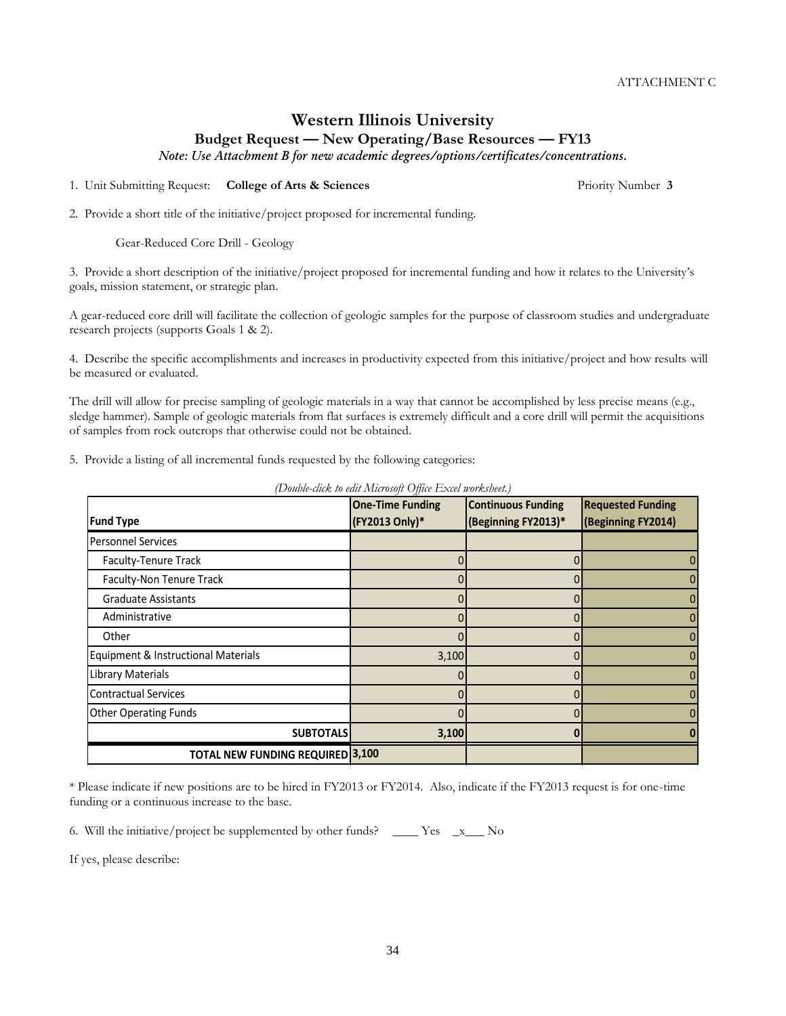# **Western Illinois University Budget Request — New Operating/Base Resources — FY13**

*Note: Use Attachment B for new academic degrees/options/certificates/concentrations.*

1. Unit Submitting Request: **College of Arts & Sciences** Priority Number **3**

2. Provide a short title of the initiative/project proposed for incremental funding.

Gear-Reduced Core Drill - Geology

3. Provide a short description of the initiative/project proposed for incremental funding and how it relates to the University's goals, mission statement, or strategic plan.

A gear-reduced core drill will facilitate the collection of geologic samples for the purpose of classroom studies and undergraduate research projects (supports Goals 1 & 2).

4. Describe the specific accomplishments and increases in productivity expected from this initiative/project and how results will be measured or evaluated.

The drill will allow for precise sampling of geologic materials in a way that cannot be accomplished by less precise means (e.g., sledge hammer). Sample of geologic materials from flat surfaces is extremely difficult and a core drill will permit the acquisitions of samples from rock outcrops that otherwise could not be obtained.

5. Provide a listing of all incremental funds requested by the following categories:

|                                         | <b>One-Time Funding</b> | <b>Continuous Funding</b> | <b>Requested Funding</b> |
|-----------------------------------------|-------------------------|---------------------------|--------------------------|
| <b>Fund Type</b>                        | (FY2013 Only)*          | (Beginning FY2013)*       | (Beginning FY2014)       |
| <b>Personnel Services</b>               |                         |                           |                          |
| Faculty-Tenure Track                    |                         | 0                         | 0                        |
| Faculty-Non Tenure Track                |                         |                           | 0                        |
| <b>Graduate Assistants</b>              |                         |                           | 0                        |
| Administrative                          |                         | 0                         | $\mathbf{0}$             |
| Other                                   |                         |                           | 0                        |
| Equipment & Instructional Materials     | 3,100                   |                           | 0                        |
| Library Materials                       |                         | 0                         | 0                        |
| <b>Contractual Services</b>             |                         | 0                         | 0                        |
| <b>Other Operating Funds</b>            |                         |                           | $\mathbf{0}$             |
| <b>SUBTOTALS</b>                        | 3,100                   |                           |                          |
| <b>TOTAL NEW FUNDING REQUIRED 3,100</b> |                         |                           |                          |

*(Double-click to edit Microsoft Office Excel worksheet.)*

\* Please indicate if new positions are to be hired in FY2013 or FY2014. Also, indicate if the FY2013 request is for one-time funding or a continuous increase to the base.

6. Will the initiative/project be supplemented by other funds? \_\_\_\_ Yes \_x\_\_\_ No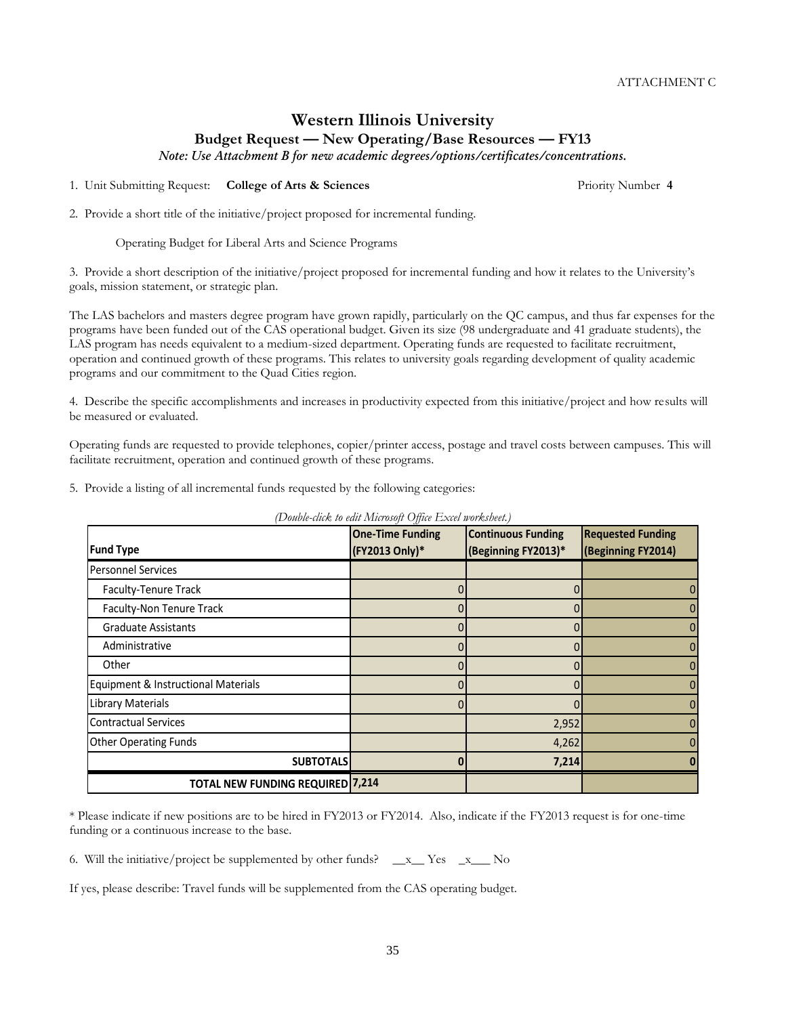# **Western Illinois University Budget Request — New Operating/Base Resources — FY13**

*Note: Use Attachment B for new academic degrees/options/certificates/concentrations.*

1. Unit Submitting Request: **College of Arts & Sciences** Priority Number **4**

2. Provide a short title of the initiative/project proposed for incremental funding.

Operating Budget for Liberal Arts and Science Programs

3. Provide a short description of the initiative/project proposed for incremental funding and how it relates to the University's goals, mission statement, or strategic plan.

The LAS bachelors and masters degree program have grown rapidly, particularly on the QC campus, and thus far expenses for the programs have been funded out of the CAS operational budget. Given its size (98 undergraduate and 41 graduate students), the LAS program has needs equivalent to a medium-sized department. Operating funds are requested to facilitate recruitment, operation and continued growth of these programs. This relates to university goals regarding development of quality academic programs and our commitment to the Quad Cities region.

4. Describe the specific accomplishments and increases in productivity expected from this initiative/project and how results will be measured or evaluated.

Operating funds are requested to provide telephones, copier/printer access, postage and travel costs between campuses. This will facilitate recruitment, operation and continued growth of these programs.

5. Provide a listing of all incremental funds requested by the following categories:

| <b>Fund Type</b>                        | <b>One-Time Funding</b><br>(FY2013 Only)* | <b>Continuous Funding</b><br>(Beginning FY2013)* | <b>Requested Funding</b><br>(Beginning FY2014) |
|-----------------------------------------|-------------------------------------------|--------------------------------------------------|------------------------------------------------|
| <b>Personnel Services</b>               |                                           |                                                  |                                                |
| Faculty-Tenure Track                    |                                           |                                                  |                                                |
| Faculty-Non Tenure Track                |                                           | 0                                                | 0                                              |
| <b>Graduate Assistants</b>              |                                           | 0                                                |                                                |
| Administrative                          |                                           |                                                  | 0                                              |
| Other                                   | 0                                         | 0                                                | 0                                              |
| Equipment & Instructional Materials     |                                           |                                                  | 0                                              |
| Library Materials                       |                                           |                                                  |                                                |
| <b>Contractual Services</b>             |                                           | 2,952                                            | 0                                              |
| <b>Other Operating Funds</b>            |                                           | 4,262                                            |                                                |
| <b>SUBTOTALS</b>                        | ŋ                                         | 7,214                                            |                                                |
| <b>TOTAL NEW FUNDING REQUIRED 7,214</b> |                                           |                                                  |                                                |

*(Double-click to edit Microsoft Office Excel worksheet.)*

\* Please indicate if new positions are to be hired in FY2013 or FY2014. Also, indicate if the FY2013 request is for one-time funding or a continuous increase to the base.

35

6. Will the initiative/project be supplemented by other funds?  $\_\ x$  Yes  $\_\ x$  No

If yes, please describe: Travel funds will be supplemented from the CAS operating budget.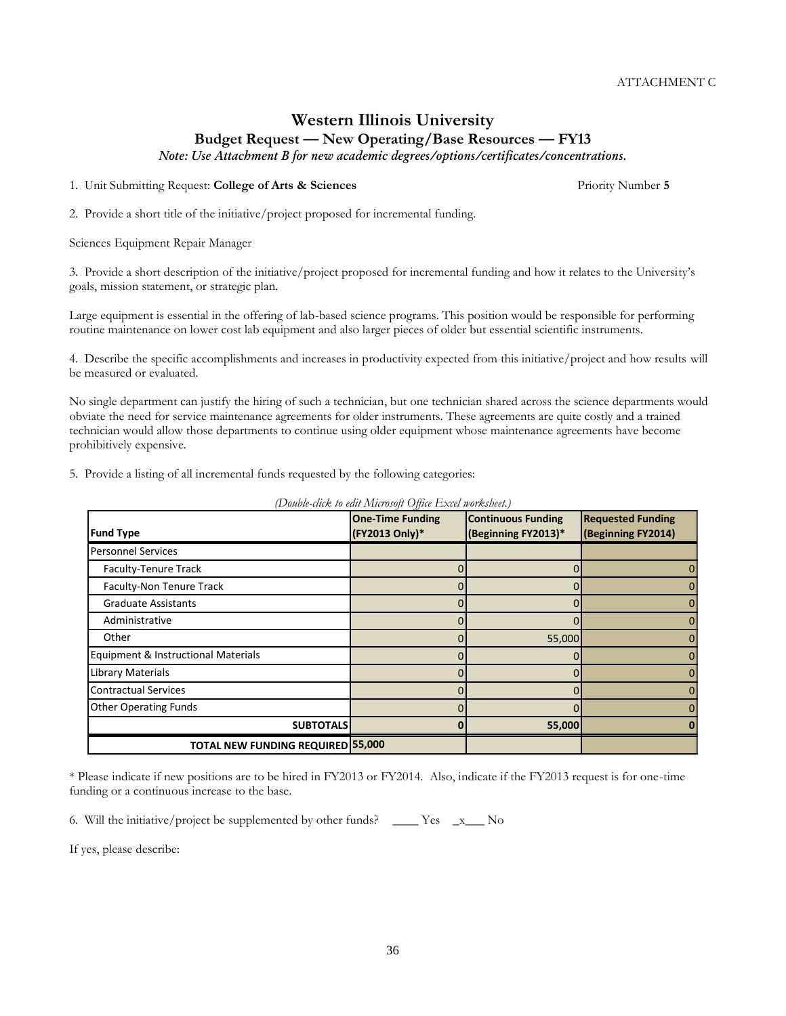## **Western Illinois University Budget Request — New Operating/Base Resources — FY13**

*Note: Use Attachment B for new academic degrees/options/certificates/concentrations.*

1. Unit Submitting Request: **College of Arts & Sciences** Priority Number **5**

2. Provide a short title of the initiative/project proposed for incremental funding.

Sciences Equipment Repair Manager

3. Provide a short description of the initiative/project proposed for incremental funding and how it relates to the University's goals, mission statement, or strategic plan.

Large equipment is essential in the offering of lab-based science programs. This position would be responsible for performing routine maintenance on lower cost lab equipment and also larger pieces of older but essential scientific instruments.

4. Describe the specific accomplishments and increases in productivity expected from this initiative/project and how results will be measured or evaluated.

No single department can justify the hiring of such a technician, but one technician shared across the science departments would obviate the need for service maintenance agreements for older instruments. These agreements are quite costly and a trained technician would allow those departments to continue using older equipment whose maintenance agreements have become prohibitively expensive.

5. Provide a listing of all incremental funds requested by the following categories:

|                                          | <b>One-Time Funding</b> | <b>Continuous Funding</b> | <b>Requested Funding</b> |
|------------------------------------------|-------------------------|---------------------------|--------------------------|
| <b>Fund Type</b>                         | (FY2013 Only)*          | (Beginning FY2013)*       | (Beginning FY2014)       |
| <b>Personnel Services</b>                |                         |                           |                          |
| Faculty-Tenure Track                     |                         |                           |                          |
| Faculty-Non Tenure Track                 |                         |                           |                          |
| <b>Graduate Assistants</b>               |                         |                           |                          |
| Administrative                           |                         |                           |                          |
| Other                                    |                         | 55,000                    |                          |
| Equipment & Instructional Materials      |                         |                           |                          |
| <b>Library Materials</b>                 |                         |                           | O                        |
| <b>Contractual Services</b>              |                         |                           |                          |
| <b>Other Operating Funds</b>             |                         |                           |                          |
| <b>SUBTOTALS</b>                         |                         | 55,000                    |                          |
| <b>TOTAL NEW FUNDING REQUIRED 55,000</b> |                         |                           |                          |

*(Double-click to edit Microsoft Office Excel worksheet.)*

\* Please indicate if new positions are to be hired in FY2013 or FY2014. Also, indicate if the FY2013 request is for one-time funding or a continuous increase to the base.

6. Will the initiative/project be supplemented by other funds? \_\_\_\_ Yes \_x\_\_\_ No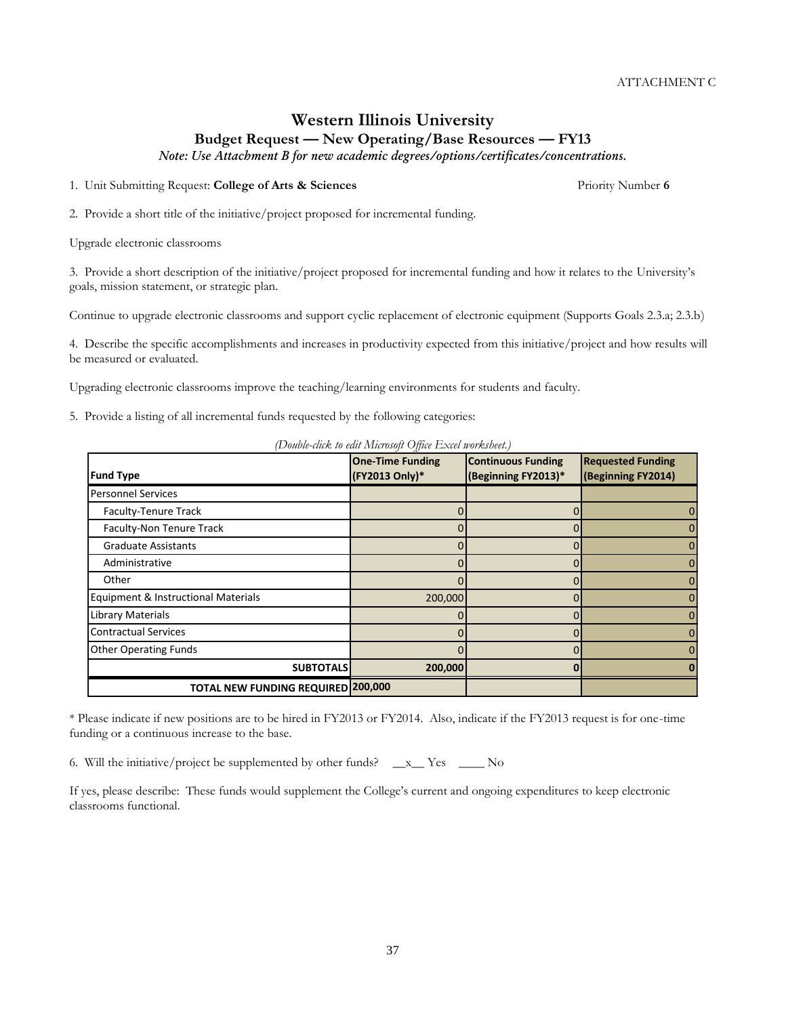## **Western Illinois University Budget Request — New Operating/Base Resources — FY13**

*Note: Use Attachment B for new academic degrees/options/certificates/concentrations.*

1. Unit Submitting Request: **College of Arts & Sciences** Priority Number **6**

2. Provide a short title of the initiative/project proposed for incremental funding.

Upgrade electronic classrooms

3. Provide a short description of the initiative/project proposed for incremental funding and how it relates to the University's goals, mission statement, or strategic plan.

Continue to upgrade electronic classrooms and support cyclic replacement of electronic equipment (Supports Goals 2.3.a; 2.3.b)

4. Describe the specific accomplishments and increases in productivity expected from this initiative/project and how results will be measured or evaluated.

Upgrading electronic classrooms improve the teaching/learning environments for students and faculty.

5. Provide a listing of all incremental funds requested by the following categories:

| (Double-click to edit Microsoft Office Excel worksheet.) |  |  |
|----------------------------------------------------------|--|--|
|                                                          |  |  |

| <b>Fund Type</b>                    | <b>One-Time Funding</b><br>(FY2013 Only)* | <b>Continuous Funding</b><br>(Beginning FY2013)* | <b>Requested Funding</b><br>(Beginning FY2014) |
|-------------------------------------|-------------------------------------------|--------------------------------------------------|------------------------------------------------|
| <b>Personnel Services</b>           |                                           |                                                  |                                                |
| Faculty-Tenure Track                |                                           |                                                  | 0                                              |
| Faculty-Non Tenure Track            |                                           |                                                  | $\Omega$                                       |
| <b>Graduate Assistants</b>          |                                           |                                                  | 0                                              |
| Administrative                      |                                           |                                                  | 0                                              |
| Other                               |                                           |                                                  | $\Omega$                                       |
| Equipment & Instructional Materials | 200,000                                   |                                                  | 0                                              |
| Library Materials                   |                                           |                                                  | 0                                              |
| <b>Contractual Services</b>         |                                           |                                                  | 0                                              |
| <b>Other Operating Funds</b>        |                                           |                                                  | $\Omega$                                       |
| <b>SUBTOTALS</b>                    | 200,000                                   |                                                  |                                                |
| TOTAL NEW FUNDING REQUIRED 200,000  |                                           |                                                  |                                                |

\* Please indicate if new positions are to be hired in FY2013 or FY2014. Also, indicate if the FY2013 request is for one-time funding or a continuous increase to the base.

6. Will the initiative/project be supplemented by other funds? \_\_x\_\_ Yes \_\_\_\_ No

If yes, please describe: These funds would supplement the College's current and ongoing expenditures to keep electronic classrooms functional.

37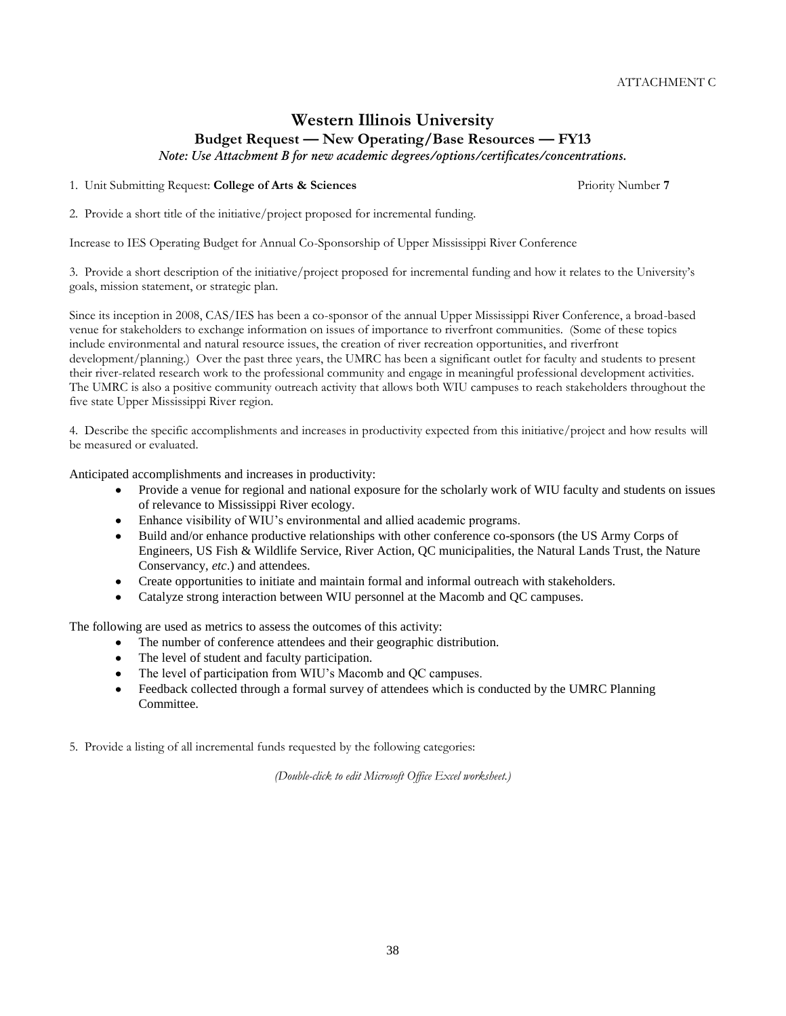# **Western Illinois University Budget Request — New Operating/Base Resources — FY13**

*Note: Use Attachment B for new academic degrees/options/certificates/concentrations.*

1. Unit Submitting Request: **College of Arts & Sciences** Priority Number **7**

2. Provide a short title of the initiative/project proposed for incremental funding.

Increase to IES Operating Budget for Annual Co-Sponsorship of Upper Mississippi River Conference

3. Provide a short description of the initiative/project proposed for incremental funding and how it relates to the University's goals, mission statement, or strategic plan.

Since its inception in 2008, CAS/IES has been a co-sponsor of the annual Upper Mississippi River Conference, a broad-based venue for stakeholders to exchange information on issues of importance to riverfront communities. (Some of these topics include environmental and natural resource issues, the creation of river recreation opportunities, and riverfront development/planning.) Over the past three years, the UMRC has been a significant outlet for faculty and students to present their river-related research work to the professional community and engage in meaningful professional development activities. The UMRC is also a positive community outreach activity that allows both WIU campuses to reach stakeholders throughout the five state Upper Mississippi River region.

4. Describe the specific accomplishments and increases in productivity expected from this initiative/project and how results will be measured or evaluated.

Anticipated accomplishments and increases in productivity:

- Provide a venue for regional and national exposure for the scholarly work of WIU faculty and students on issues  $\bullet$ of relevance to Mississippi River ecology.
- Enhance visibility of WIU's environmental and allied academic programs.
- $\bullet$ Build and/or enhance productive relationships with other conference co-sponsors (the US Army Corps of Engineers, US Fish & Wildlife Service, River Action, QC municipalities, the Natural Lands Trust, the Nature Conservancy, *etc*.) and attendees.
- $\bullet$ Create opportunities to initiate and maintain formal and informal outreach with stakeholders.
- Catalyze strong interaction between WIU personnel at the Macomb and QC campuses.

The following are used as metrics to assess the outcomes of this activity:

- The number of conference attendees and their geographic distribution.
- The level of student and faculty participation.
- The level of participation from WIU's Macomb and QC campuses.
- Feedback collected through a formal survey of attendees which is conducted by the UMRC Planning Committee.

5. Provide a listing of all incremental funds requested by the following categories:

*(Double-click to edit Microsoft Office Excel worksheet.)*

38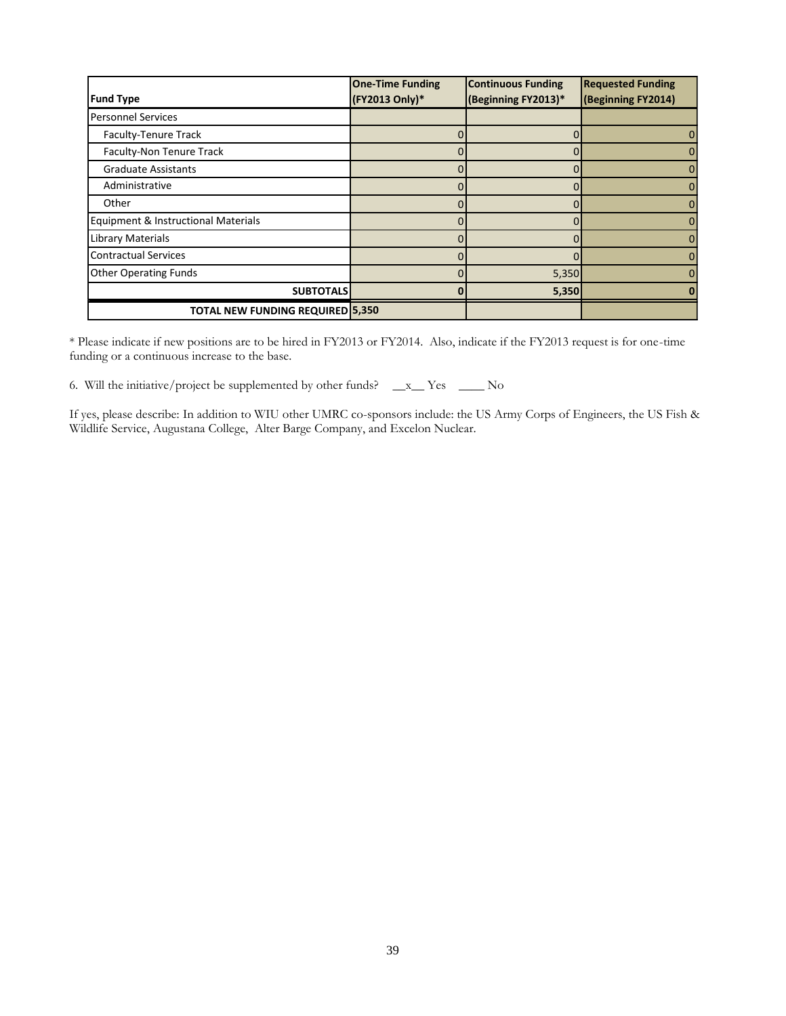| <b>Fund Type</b>                        | <b>One-Time Funding</b><br>(FY2013 Only)* | <b>Continuous Funding</b><br>(Beginning FY2013)* | <b>Requested Funding</b><br>(Beginning FY2014) |
|-----------------------------------------|-------------------------------------------|--------------------------------------------------|------------------------------------------------|
| <b>Personnel Services</b>               |                                           |                                                  |                                                |
| Faculty-Tenure Track                    |                                           |                                                  | 0                                              |
| Faculty-Non Tenure Track                |                                           |                                                  | 0                                              |
| <b>Graduate Assistants</b>              |                                           |                                                  | 0                                              |
| Administrative                          |                                           |                                                  | 0                                              |
| Other                                   |                                           |                                                  | 0                                              |
| Equipment & Instructional Materials     |                                           |                                                  | $\Omega$                                       |
| Library Materials                       |                                           |                                                  | 0                                              |
| <b>Contractual Services</b>             |                                           |                                                  | $\Omega$                                       |
| <b>Other Operating Funds</b>            |                                           | 5,350                                            | 0                                              |
| <b>SUBTOTALS</b>                        |                                           | 5,350                                            |                                                |
| <b>TOTAL NEW FUNDING REQUIRED 5,350</b> |                                           |                                                  |                                                |

\* Please indicate if new positions are to be hired in FY2013 or FY2014. Also, indicate if the FY2013 request is for one-time funding or a continuous increase to the base.

6. Will the initiative/project be supplemented by other funds? \_\_x\_\_ Yes \_\_\_\_ No

If yes, please describe: In addition to WIU other UMRC co-sponsors include: the US Army Corps of Engineers, the US Fish & Wildlife Service, Augustana College, Alter Barge Company, and Excelon Nuclear.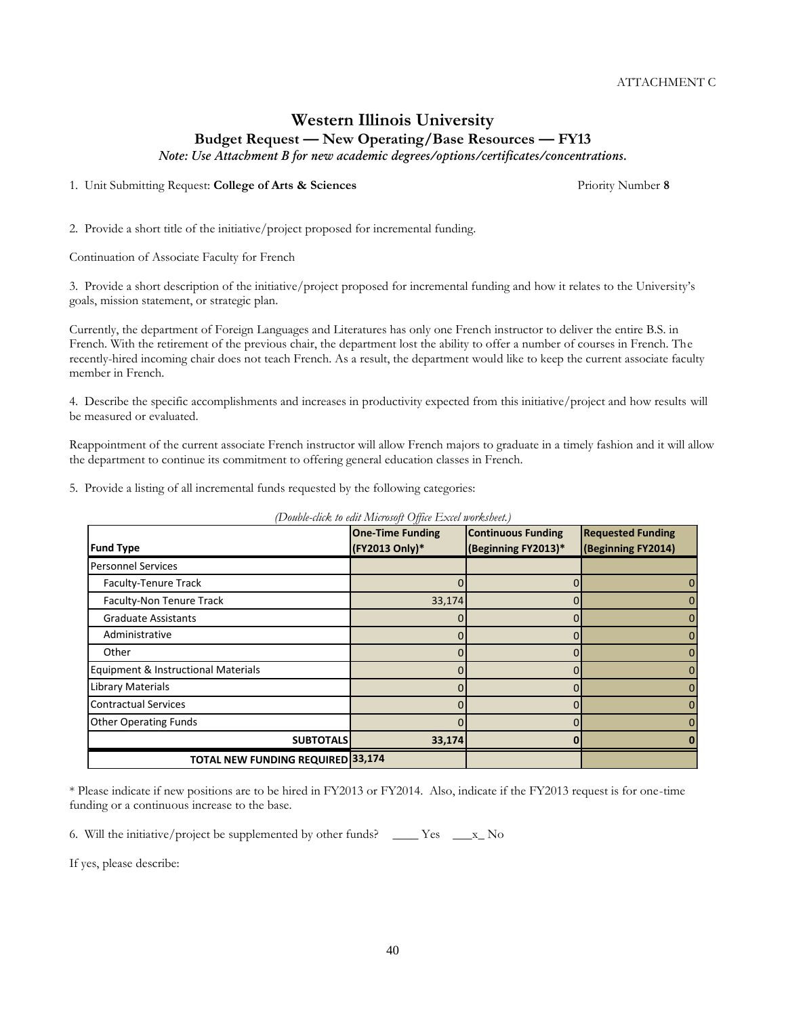# **Western Illinois University Budget Request — New Operating/Base Resources — FY13**

*Note: Use Attachment B for new academic degrees/options/certificates/concentrations.*

1. Unit Submitting Request: **College of Arts & Sciences** Priority Number **8**

2. Provide a short title of the initiative/project proposed for incremental funding.

Continuation of Associate Faculty for French

3. Provide a short description of the initiative/project proposed for incremental funding and how it relates to the University's goals, mission statement, or strategic plan.

Currently, the department of Foreign Languages and Literatures has only one French instructor to deliver the entire B.S. in French. With the retirement of the previous chair, the department lost the ability to offer a number of courses in French. The recently-hired incoming chair does not teach French. As a result, the department would like to keep the current associate faculty member in French.

4. Describe the specific accomplishments and increases in productivity expected from this initiative/project and how results will be measured or evaluated.

Reappointment of the current associate French instructor will allow French majors to graduate in a timely fashion and it will allow the department to continue its commitment to offering general education classes in French.

5. Provide a listing of all incremental funds requested by the following categories:

*(Double-click to edit Microsoft Office Excel worksheet.)*

| <b>Fund Type</b>                         | <b>One-Time Funding</b><br>(FY2013 Only)* | <b>Continuous Funding</b><br>(Beginning FY2013)* | <b>Requested Funding</b><br>(Beginning FY2014) |
|------------------------------------------|-------------------------------------------|--------------------------------------------------|------------------------------------------------|
| <b>Personnel Services</b>                |                                           |                                                  |                                                |
| Faculty-Tenure Track                     |                                           |                                                  | 0                                              |
| Faculty-Non Tenure Track                 | 33,174                                    |                                                  | 0                                              |
| <b>Graduate Assistants</b>               |                                           |                                                  | 0                                              |
| Administrative                           |                                           |                                                  | 0                                              |
| Other                                    |                                           |                                                  | 0                                              |
| Equipment & Instructional Materials      |                                           |                                                  | 0                                              |
| <b>Library Materials</b>                 |                                           |                                                  | 0                                              |
| <b>Contractual Services</b>              |                                           |                                                  | 0                                              |
| <b>Other Operating Funds</b>             |                                           |                                                  | 0                                              |
| <b>SUBTOTALS</b>                         | 33,174                                    |                                                  | n                                              |
| <b>TOTAL NEW FUNDING REQUIRED 33,174</b> |                                           |                                                  |                                                |

\* Please indicate if new positions are to be hired in FY2013 or FY2014. Also, indicate if the FY2013 request is for one-time funding or a continuous increase to the base.

6. Will the initiative/project be supplemented by other funds? \_\_\_\_ Yes \_\_\_x\_ No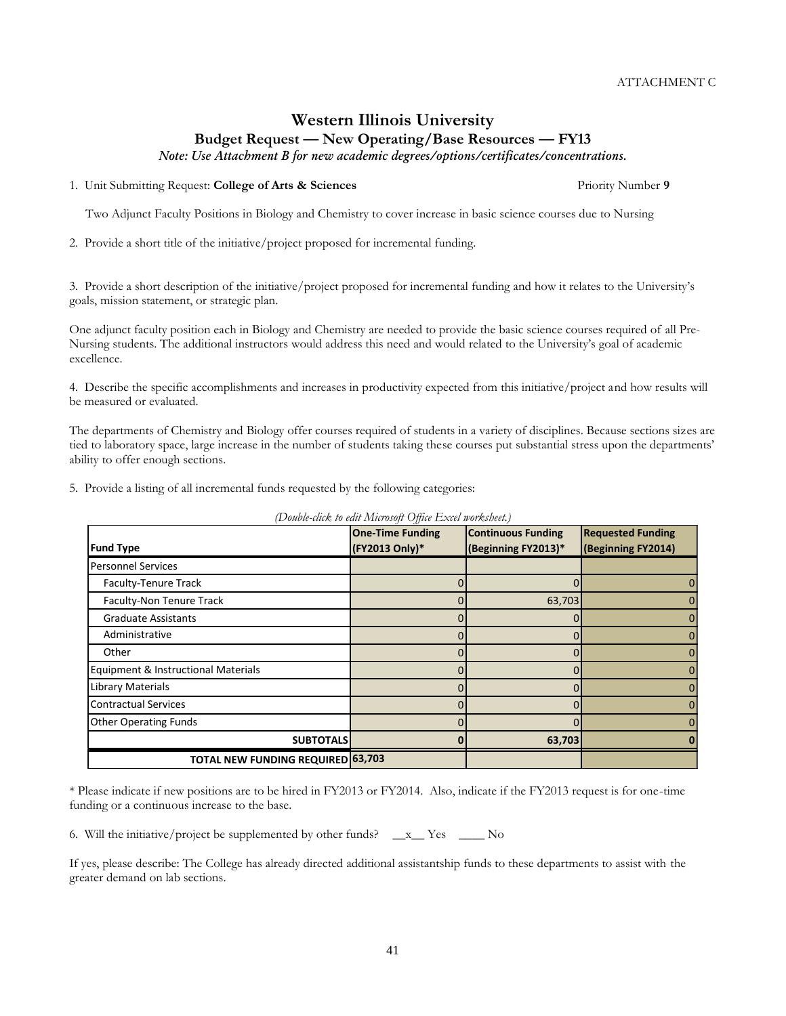# **Western Illinois University Budget Request — New Operating/Base Resources — FY13**

*Note: Use Attachment B for new academic degrees/options/certificates/concentrations.*

#### 1. Unit Submitting Request: **College of Arts & Sciences** Priority Number **9**

Two Adjunct Faculty Positions in Biology and Chemistry to cover increase in basic science courses due to Nursing

2. Provide a short title of the initiative/project proposed for incremental funding.

3. Provide a short description of the initiative/project proposed for incremental funding and how it relates to the University's goals, mission statement, or strategic plan.

One adjunct faculty position each in Biology and Chemistry are needed to provide the basic science courses required of all Pre-Nursing students. The additional instructors would address this need and would related to the University's goal of academic excellence.

4. Describe the specific accomplishments and increases in productivity expected from this initiative/project and how results will be measured or evaluated.

The departments of Chemistry and Biology offer courses required of students in a variety of disciplines. Because sections sizes are tied to laboratory space, large increase in the number of students taking these courses put substantial stress upon the departments' ability to offer enough sections.

5. Provide a listing of all incremental funds requested by the following categories:

*(Double-click to edit Microsoft Office Excel worksheet.)*

| * Please indicate if new positions are to be hired in FY2013 or FY2014. Also, indicate if the FY2013 request is for one-time |  |
|------------------------------------------------------------------------------------------------------------------------------|--|
| funding or a continuous increase to the base.                                                                                |  |

6. Will the initiative/project be supplemented by other funds?  $\_\ x$  Yes  $\_\_\_\$  No

If yes, please describe: The College has already directed additional assistantship funds to these departments to assist with the greater demand on lab sections.

41

| <b>Fund Type</b>                         | <b>One-Time Funding</b><br>(FY2013 Only)* | <b>Continuous Funding</b><br>(Beginning FY2013)* | <b>Requested Funding</b><br>(Beginning FY2014) |
|------------------------------------------|-------------------------------------------|--------------------------------------------------|------------------------------------------------|
| <b>Personnel Services</b>                |                                           |                                                  |                                                |
| Faculty-Tenure Track                     |                                           |                                                  | 0                                              |
| Faculty-Non Tenure Track                 | 0                                         | 63,703                                           | 0                                              |
| <b>Graduate Assistants</b>               | 0                                         |                                                  | 0                                              |
| Administrative                           |                                           |                                                  | 0                                              |
| Other                                    | O                                         | 0                                                | 0                                              |
| Equipment & Instructional Materials      | 0                                         | 0                                                | 0                                              |
| Library Materials                        | Ω                                         | O                                                | $\mathbf{0}$                                   |
| <b>Contractual Services</b>              | O                                         | O                                                | 0                                              |
| <b>Other Operating Funds</b>             | 0                                         |                                                  | 0                                              |
| <b>SUBTOTALS</b>                         | 0                                         | 63,703                                           | ŋ                                              |
| <b>TOTAL NEW FUNDING REQUIRED 63,703</b> |                                           |                                                  |                                                |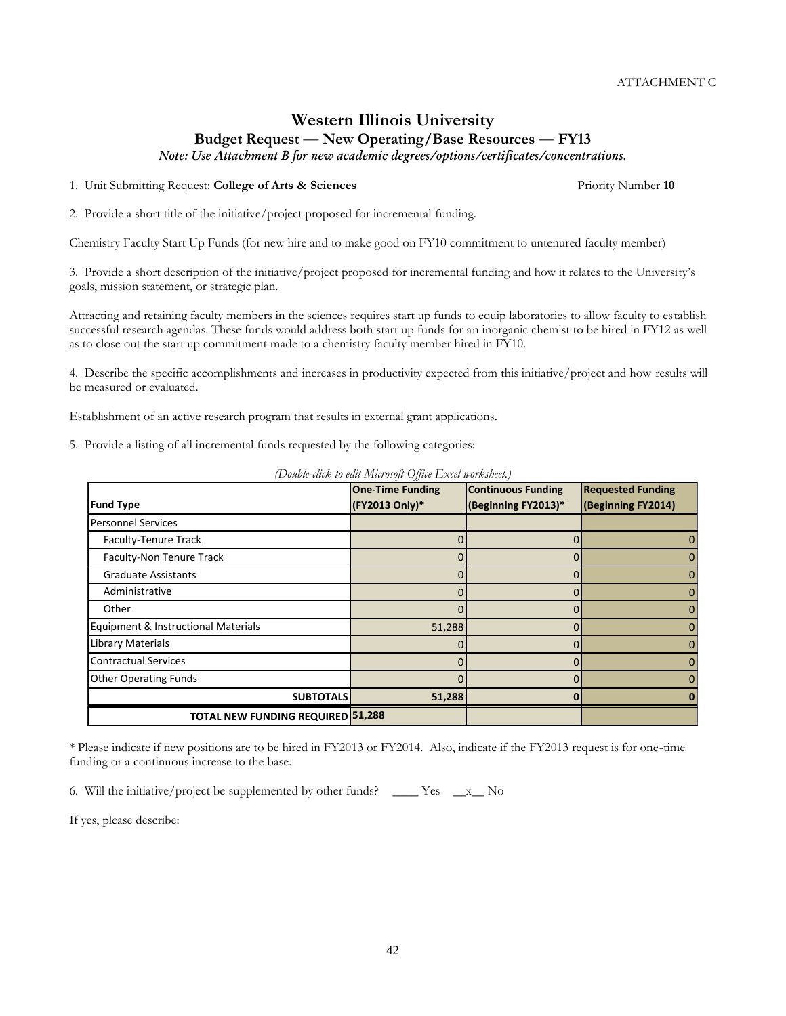## **Western Illinois University Budget Request — New Operating/Base Resources — FY13**

*Note: Use Attachment B for new academic degrees/options/certificates/concentrations.*

1. Unit Submitting Request: **College of Arts & Sciences** Priority Number **10**

2. Provide a short title of the initiative/project proposed for incremental funding.

Chemistry Faculty Start Up Funds (for new hire and to make good on FY10 commitment to untenured faculty member)

3. Provide a short description of the initiative/project proposed for incremental funding and how it relates to the University's goals, mission statement, or strategic plan.

Attracting and retaining faculty members in the sciences requires start up funds to equip laboratories to allow faculty to establish successful research agendas. These funds would address both start up funds for an inorganic chemist to be hired in FY12 as well as to close out the start up commitment made to a chemistry faculty member hired in FY10.

4. Describe the specific accomplishments and increases in productivity expected from this initiative/project and how results will be measured or evaluated.

Establishment of an active research program that results in external grant applications.

5. Provide a listing of all incremental funds requested by the following categories:

| <b>Fund Type</b>                         | <b>One-Time Funding</b><br>(FY2013 Only)* | <b>Continuous Funding</b><br>(Beginning FY2013)* | <b>Requested Funding</b><br>(Beginning FY2014) |
|------------------------------------------|-------------------------------------------|--------------------------------------------------|------------------------------------------------|
| <b>Personnel Services</b>                |                                           |                                                  |                                                |
| Faculty-Tenure Track                     |                                           |                                                  | 0                                              |
| Faculty-Non Tenure Track                 |                                           |                                                  | 0                                              |
| <b>Graduate Assistants</b>               |                                           |                                                  | $\Omega$                                       |
| Administrative                           |                                           |                                                  | 0                                              |
| Other                                    |                                           |                                                  | $\Omega$                                       |
| Equipment & Instructional Materials      | 51,288                                    |                                                  | $\Omega$                                       |
| <b>Library Materials</b>                 |                                           |                                                  | 0                                              |
| <b>Contractual Services</b>              |                                           |                                                  | $\Omega$                                       |
| <b>Other Operating Funds</b>             |                                           |                                                  | 0                                              |
| <b>SUBTOTALS</b>                         | 51,288                                    |                                                  |                                                |
| <b>TOTAL NEW FUNDING REQUIRED 51,288</b> |                                           |                                                  |                                                |

*(Double-click to edit Microsoft Office Excel worksheet.)*

\* Please indicate if new positions are to be hired in FY2013 or FY2014. Also, indicate if the FY2013 request is for one-time funding or a continuous increase to the base.

6. Will the initiative/project be supplemented by other funds? \_\_\_\_ Yes  $\_\ x$  No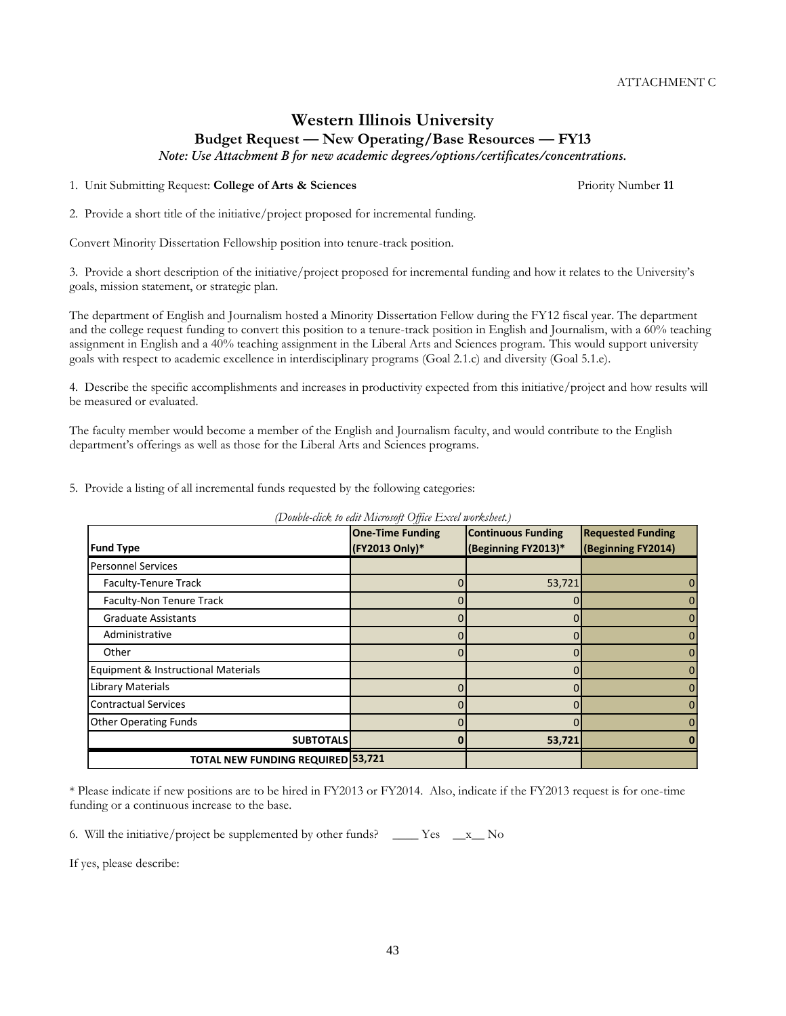# **Western Illinois University Budget Request — New Operating/Base Resources — FY13**

*Note: Use Attachment B for new academic degrees/options/certificates/concentrations.*

1. Unit Submitting Request: **College of Arts & Sciences** Priority Number **11**

2. Provide a short title of the initiative/project proposed for incremental funding.

Convert Minority Dissertation Fellowship position into tenure-track position.

3. Provide a short description of the initiative/project proposed for incremental funding and how it relates to the University's goals, mission statement, or strategic plan.

The department of English and Journalism hosted a Minority Dissertation Fellow during the FY12 fiscal year. The department and the college request funding to convert this position to a tenure-track position in English and Journalism, with a 60% teaching assignment in English and a 40% teaching assignment in the Liberal Arts and Sciences program. This would support university goals with respect to academic excellence in interdisciplinary programs (Goal 2.1.c) and diversity (Goal 5.1.e).

4. Describe the specific accomplishments and increases in productivity expected from this initiative/project and how results will be measured or evaluated.

The faculty member would become a member of the English and Journalism faculty, and would contribute to the English department's offerings as well as those for the Liberal Arts and Sciences programs.

5. Provide a listing of all incremental funds requested by the following categories:

*(Double-click to edit Microsoft Office Excel worksheet.)* **Fund Type One-Time Funding (FY2013 Only)\* Continuous Funding (Beginning FY2013)\* Requested Funding (Beginning FY2014)** Personnel Services Faculty-Tenure Track and the contract of the contract of the contract of the contract of the contract of the contract of the contract of the contract of the contract of the contract of the contract of the contract of the c Faculty-Non Tenure Track  $\begin{array}{ccc} 0 & 0 & 0 \end{array}$ Graduate Assistants  $\begin{array}{ccc} 0 & 0 & 0 \end{array}$  Administrative 0 0 0 Other 0 0 0 Equipment & Instructional Materials 0 0 Library Materials 0 0 0 Contractual Services 0 0 0 Other Operating Funds 0 0 0 **SUBTOTALS 0 53,721 0 TOTAL NEW FUNDING REQUIRED 53,721**

\* Please indicate if new positions are to be hired in FY2013 or FY2014. Also, indicate if the FY2013 request is for one-time funding or a continuous increase to the base.

43

6. Will the initiative/project be supplemented by other funds?  $\_\_\_\_\$  Yes  $\_\_\_x\_\_\$  No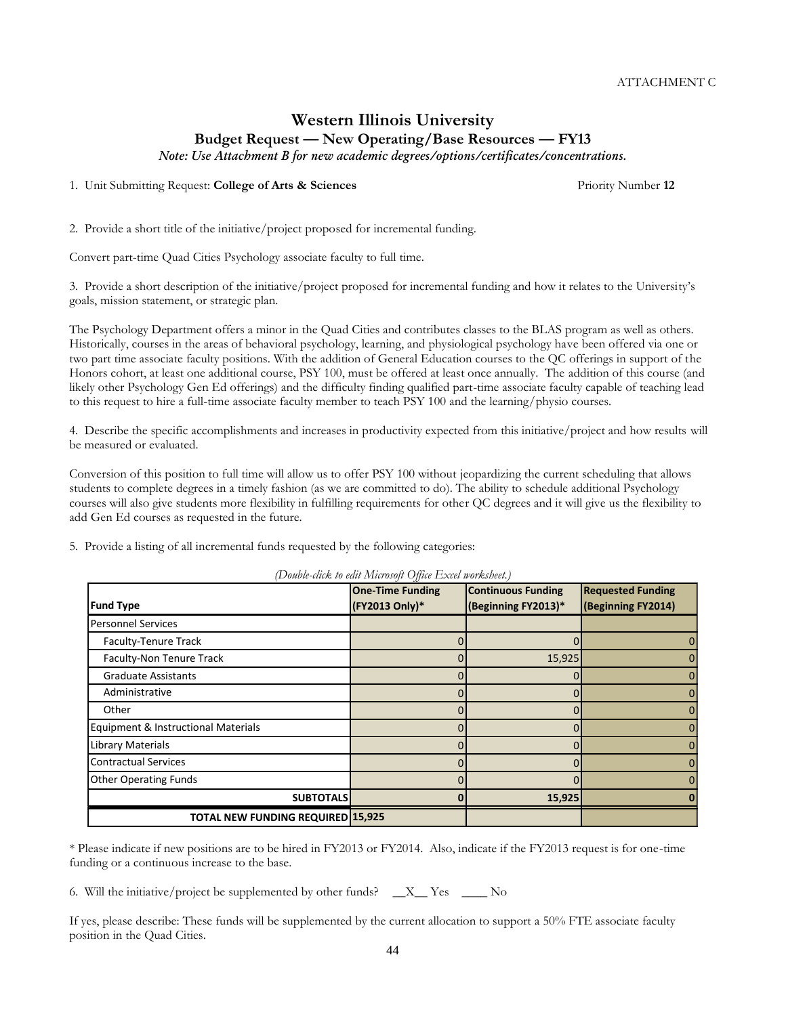# **Western Illinois University Budget Request — New Operating/Base Resources — FY13**

*Note: Use Attachment B for new academic degrees/options/certificates/concentrations.*

1. Unit Submitting Request: **College of Arts & Sciences** Priority Number **12**

2. Provide a short title of the initiative/project proposed for incremental funding.

Convert part-time Quad Cities Psychology associate faculty to full time.

3. Provide a short description of the initiative/project proposed for incremental funding and how it relates to the University's goals, mission statement, or strategic plan.

The Psychology Department offers a minor in the Quad Cities and contributes classes to the BLAS program as well as others. Historically, courses in the areas of behavioral psychology, learning, and physiological psychology have been offered via one or two part time associate faculty positions. With the addition of General Education courses to the QC offerings in support of the Honors cohort, at least one additional course, PSY 100, must be offered at least once annually. The addition of this course (and likely other Psychology Gen Ed offerings) and the difficulty finding qualified part-time associate faculty capable of teaching lead to this request to hire a full-time associate faculty member to teach PSY 100 and the learning/physio courses.

4. Describe the specific accomplishments and increases in productivity expected from this initiative/project and how results will be measured or evaluated.

Conversion of this position to full time will allow us to offer PSY 100 without jeopardizing the current scheduling that allows students to complete degrees in a timely fashion (as we are committed to do). The ability to schedule additional Psychology courses will also give students more flexibility in fulfilling requirements for other QC degrees and it will give us the flexibility to add Gen Ed courses as requested in the future.

5. Provide a listing of all incremental funds requested by the following categories:

|                                          | <b>One-Time Funding</b> | <b>Continuous Funding</b> | <b>Requested Funding</b> |
|------------------------------------------|-------------------------|---------------------------|--------------------------|
| <b>Fund Type</b>                         | (FY2013 Only)*          | (Beginning FY2013)*       | (Beginning FY2014)       |
| <b>Personnel Services</b>                |                         |                           |                          |
| Faculty-Tenure Track                     |                         |                           | 0                        |
| Faculty-Non Tenure Track                 |                         | 15,925                    | 0                        |
| <b>Graduate Assistants</b>               |                         |                           | 0                        |
| Administrative                           |                         |                           | 0                        |
| Other                                    |                         |                           | $\mathbf{0}$             |
| Equipment & Instructional Materials      |                         |                           | 0                        |
| Library Materials                        |                         |                           | 0                        |
| <b>Contractual Services</b>              |                         |                           | $\mathbf{0}$             |
| <b>Other Operating Funds</b>             |                         | 0                         | $\Omega$                 |
| <b>SUBTOTALS</b>                         |                         | 15,925                    |                          |
| <b>TOTAL NEW FUNDING REQUIRED 15,925</b> |                         |                           |                          |

*(Double-click to edit Microsoft Office Excel worksheet.)*

\* Please indicate if new positions are to be hired in FY2013 or FY2014. Also, indicate if the FY2013 request is for one-time funding or a continuous increase to the base.

6. Will the initiative/project be supplemented by other funds?  $X_{\text{max}}$  Yes  $\text{No}$ 

If yes, please describe: These funds will be supplemented by the current allocation to support a 50% FTE associate faculty position in the Quad Cities.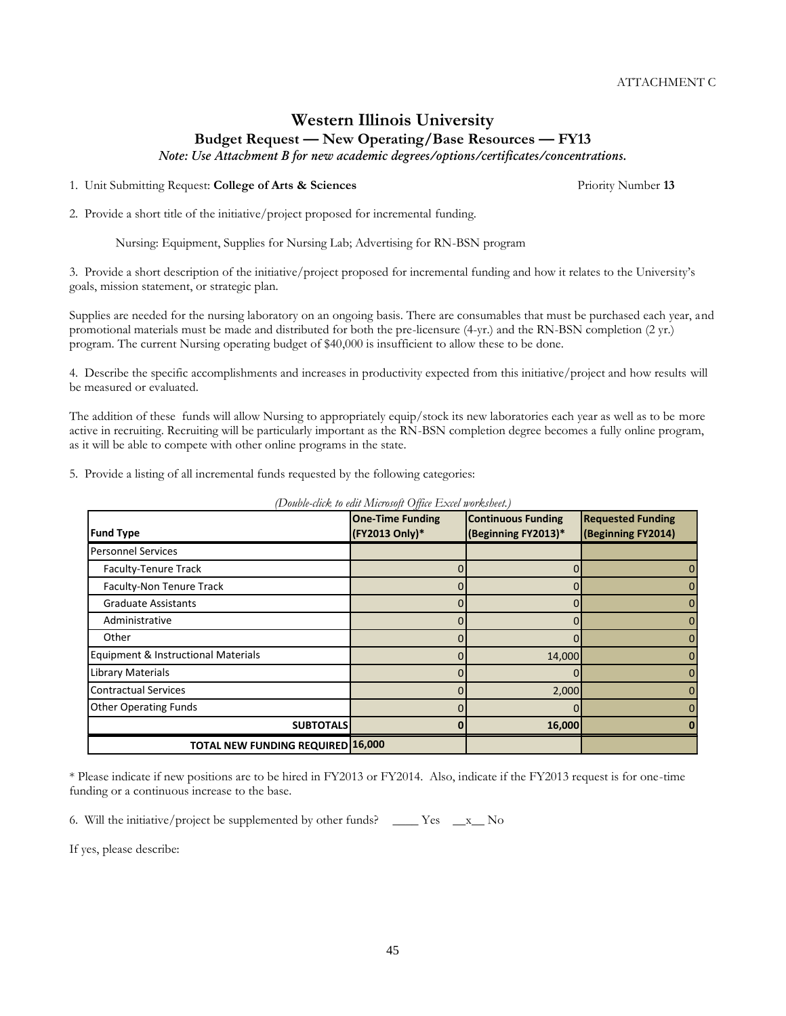# **Western Illinois University Budget Request — New Operating/Base Resources — FY13**

*Note: Use Attachment B for new academic degrees/options/certificates/concentrations.*

1. Unit Submitting Request: **College of Arts & Sciences** Priority Number **13**

2. Provide a short title of the initiative/project proposed for incremental funding.

Nursing: Equipment, Supplies for Nursing Lab; Advertising for RN-BSN program

3. Provide a short description of the initiative/project proposed for incremental funding and how it relates to the University's goals, mission statement, or strategic plan.

Supplies are needed for the nursing laboratory on an ongoing basis. There are consumables that must be purchased each year, and promotional materials must be made and distributed for both the pre-licensure (4-yr.) and the RN-BSN completion (2 yr.) program. The current Nursing operating budget of \$40,000 is insufficient to allow these to be done.

4. Describe the specific accomplishments and increases in productivity expected from this initiative/project and how results will be measured or evaluated.

The addition of these funds will allow Nursing to appropriately equip/stock its new laboratories each year as well as to be more active in recruiting. Recruiting will be particularly important as the RN-BSN completion degree becomes a fully online program, as it will be able to compete with other online programs in the state.

5. Provide a listing of all incremental funds requested by the following categories:

|                                          | <b>One-Time Funding</b> | <b>Continuous Funding</b> | <b>Requested Funding</b> |
|------------------------------------------|-------------------------|---------------------------|--------------------------|
| <b>Fund Type</b>                         | (FY2013 Only)*          | (Beginning FY2013)*       | (Beginning FY2014)       |
| <b>Personnel Services</b>                |                         |                           |                          |
| Faculty-Tenure Track                     |                         |                           |                          |
| Faculty-Non Tenure Track                 |                         |                           |                          |
| <b>Graduate Assistants</b>               |                         |                           |                          |
| Administrative                           |                         |                           |                          |
| Other                                    |                         |                           |                          |
| Equipment & Instructional Materials      |                         | 14,000                    |                          |
| <b>Library Materials</b>                 |                         |                           | O                        |
| <b>Contractual Services</b>              |                         | 2,000                     |                          |
| <b>Other Operating Funds</b>             |                         |                           |                          |
| <b>SUBTOTALS</b>                         |                         | 16,000                    |                          |
| <b>TOTAL NEW FUNDING REQUIRED 16,000</b> |                         |                           |                          |

*(Double-click to edit Microsoft Office Excel worksheet.)*

\* Please indicate if new positions are to be hired in FY2013 or FY2014. Also, indicate if the FY2013 request is for one-time funding or a continuous increase to the base.

45

6. Will the initiative/project be supplemented by other funds? \_\_\_\_ Yes \_\_x\_\_ No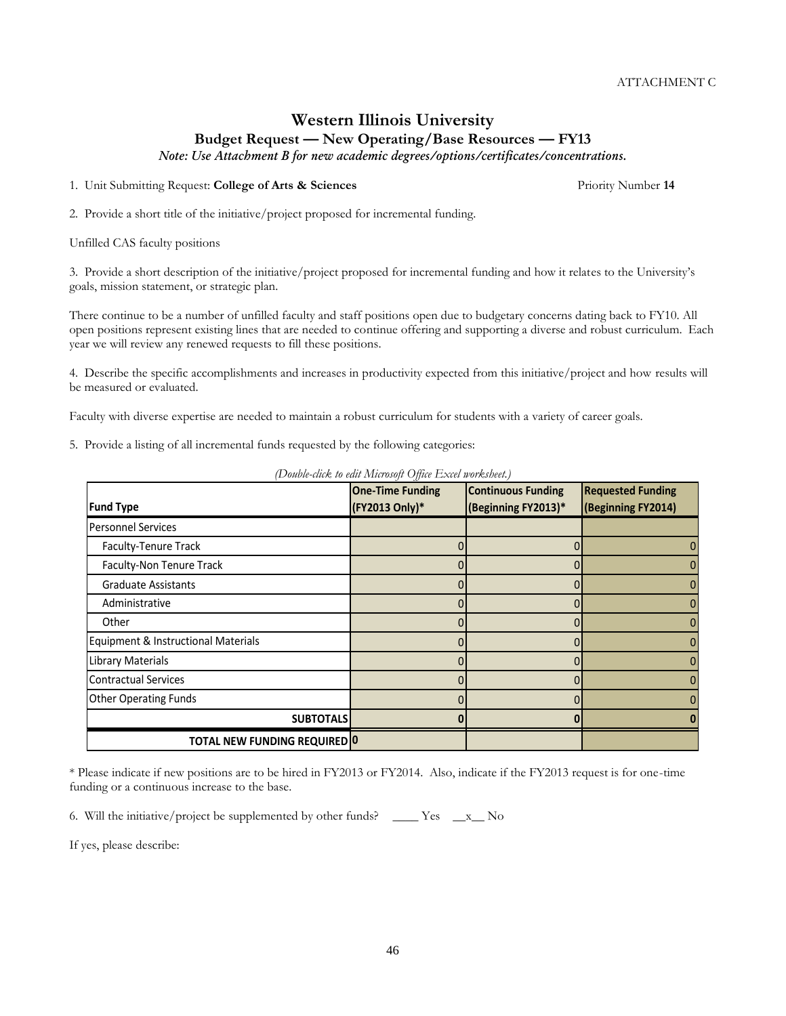## **Western Illinois University Budget Request — New Operating/Base Resources — FY13**

*Note: Use Attachment B for new academic degrees/options/certificates/concentrations.*

1. Unit Submitting Request: **College of Arts & Sciences** Priority Number **14**

2. Provide a short title of the initiative/project proposed for incremental funding.

Unfilled CAS faculty positions

3. Provide a short description of the initiative/project proposed for incremental funding and how it relates to the University's goals, mission statement, or strategic plan.

There continue to be a number of unfilled faculty and staff positions open due to budgetary concerns dating back to FY10. All open positions represent existing lines that are needed to continue offering and supporting a diverse and robust curriculum. Each year we will review any renewed requests to fill these positions.

4. Describe the specific accomplishments and increases in productivity expected from this initiative/project and how results will be measured or evaluated.

Faculty with diverse expertise are needed to maintain a robust curriculum for students with a variety of career goals.

5. Provide a listing of all incremental funds requested by the following categories:

|                                     | <b>One-Time Funding</b> | <b>Continuous Funding</b> | <b>Requested Funding</b> |
|-------------------------------------|-------------------------|---------------------------|--------------------------|
| <b>Fund Type</b>                    | (FY2013 Only)*          | (Beginning FY2013)*       | (Beginning FY2014)       |
| <b>Personnel Services</b>           |                         |                           |                          |
| Faculty-Tenure Track                |                         |                           | 0                        |
| Faculty-Non Tenure Track            |                         |                           | $\mathbf{0}$             |
| <b>Graduate Assistants</b>          |                         |                           | 0                        |
| Administrative                      |                         | 0                         | $\overline{0}$           |
| Other                               |                         |                           | 0                        |
| Equipment & Instructional Materials |                         |                           | 0                        |
| <b>Library Materials</b>            |                         |                           | $\mathbf{0}$             |
| <b>Contractual Services</b>         |                         |                           | 0                        |
| <b>Other Operating Funds</b>        |                         |                           | $\mathbf{0}$             |
| <b>SUBTOTALS</b>                    |                         |                           |                          |
| <b>TOTAL NEW FUNDING REQUIRED 0</b> |                         |                           |                          |

*(Double-click to edit Microsoft Office Excel worksheet.)*

\* Please indicate if new positions are to be hired in FY2013 or FY2014. Also, indicate if the FY2013 request is for one-time funding or a continuous increase to the base.

6. Will the initiative/project be supplemented by other funds?  $\_\_\_\_\_\$  Yes  $\_\_\_x\_\_\$  No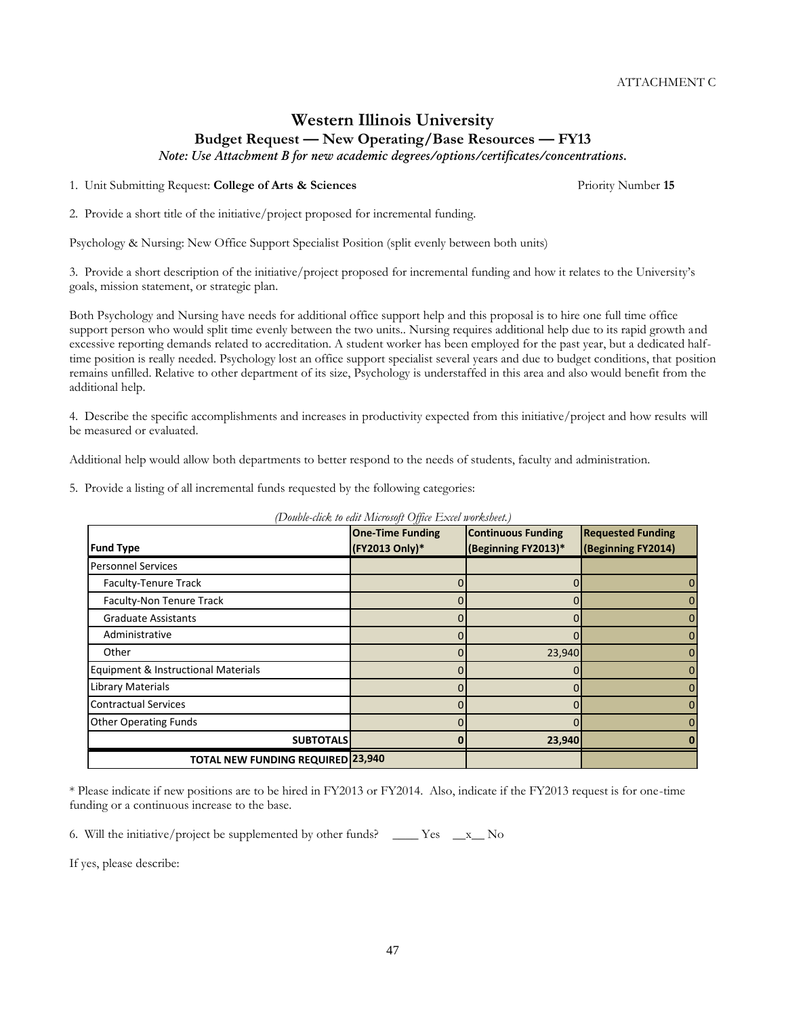# **Western Illinois University Budget Request — New Operating/Base Resources — FY13**

*Note: Use Attachment B for new academic degrees/options/certificates/concentrations.*

1. Unit Submitting Request: **College of Arts & Sciences** Priority Number **15**

2. Provide a short title of the initiative/project proposed for incremental funding.

Psychology & Nursing: New Office Support Specialist Position (split evenly between both units)

3. Provide a short description of the initiative/project proposed for incremental funding and how it relates to the University's goals, mission statement, or strategic plan.

Both Psychology and Nursing have needs for additional office support help and this proposal is to hire one full time office support person who would split time evenly between the two units.. Nursing requires additional help due to its rapid growth and excessive reporting demands related to accreditation. A student worker has been employed for the past year, but a dedicated halftime position is really needed. Psychology lost an office support specialist several years and due to budget conditions, that position remains unfilled. Relative to other department of its size, Psychology is understaffed in this area and also would benefit from the additional help.

4. Describe the specific accomplishments and increases in productivity expected from this initiative/project and how results will be measured or evaluated.

Additional help would allow both departments to better respond to the needs of students, faculty and administration.

5. Provide a listing of all incremental funds requested by the following categories:

| <b>Fund Type</b>                         | <b>One-Time Funding</b><br>(FY2013 Only)* | <b>Continuous Funding</b><br>(Beginning FY2013)* | <b>Requested Funding</b><br>(Beginning FY2014) |
|------------------------------------------|-------------------------------------------|--------------------------------------------------|------------------------------------------------|
| <b>Personnel Services</b>                |                                           |                                                  |                                                |
| Faculty-Tenure Track                     |                                           |                                                  |                                                |
| Faculty-Non Tenure Track                 |                                           |                                                  |                                                |
| <b>Graduate Assistants</b>               |                                           |                                                  |                                                |
| Administrative                           |                                           |                                                  |                                                |
| Other                                    |                                           | 23,940                                           |                                                |
| Equipment & Instructional Materials      |                                           |                                                  |                                                |
| Library Materials                        |                                           |                                                  |                                                |
| <b>Contractual Services</b>              |                                           |                                                  | 0                                              |
| <b>Other Operating Funds</b>             |                                           |                                                  |                                                |
| <b>SUBTOTALS</b>                         |                                           | 23,940                                           |                                                |
| <b>TOTAL NEW FUNDING REQUIRED 23,940</b> |                                           |                                                  |                                                |

*(Double-click to edit Microsoft Office Excel worksheet.)*

\* Please indicate if new positions are to be hired in FY2013 or FY2014. Also, indicate if the FY2013 request is for one-time funding or a continuous increase to the base.

47

6. Will the initiative/project be supplemented by other funds? \_\_\_\_ Yes  $\_\ x$  No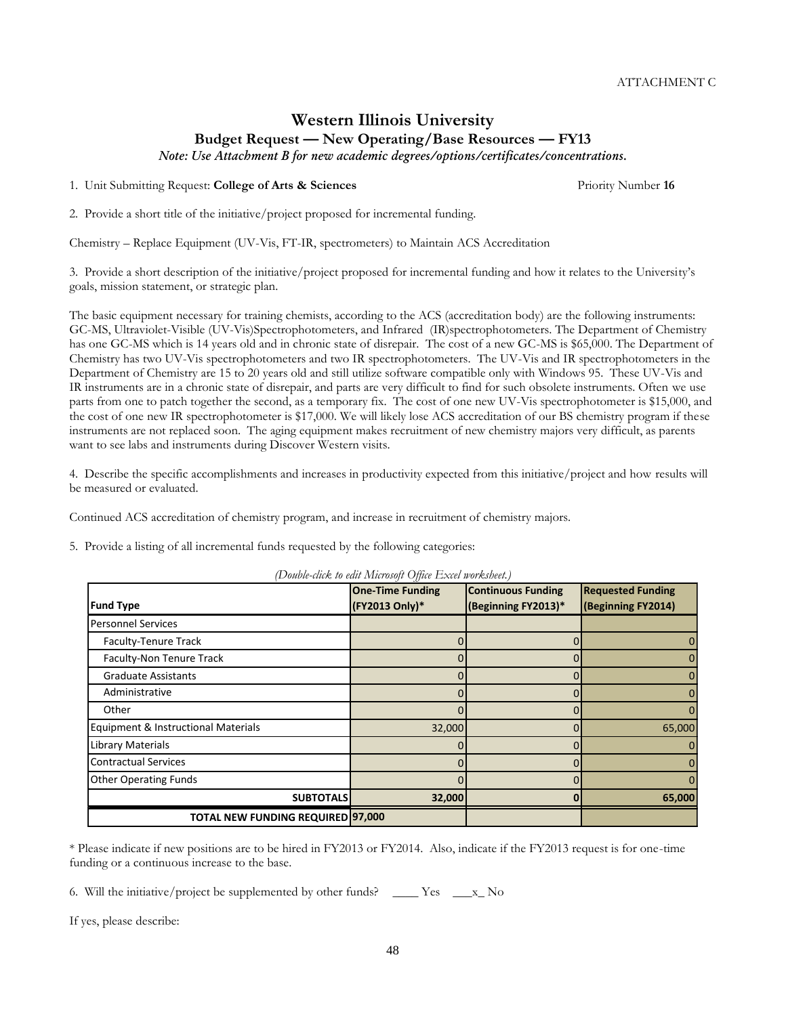**Requested Funding (Beginning FY2014)**

**(Beginning FY2013)\***

**SUBTOTALS 32,000 0 65,000**

ATTACHMENT C

# **Western Illinois University Budget Request — New Operating/Base Resources — FY13**

*Note: Use Attachment B for new academic degrees/options/certificates/concentrations.*

1. Unit Submitting Request: **College of Arts & Sciences** Priority Number **16**

2. Provide a short title of the initiative/project proposed for incremental funding.

Chemistry – Replace Equipment (UV-Vis, FT-IR, spectrometers) to Maintain ACS Accreditation

3. Provide a short description of the initiative/project proposed for incremental funding and how it relates to the University's goals, mission statement, or strategic plan.

The basic equipment necessary for training chemists, according to the ACS (accreditation body) are the following instruments: GC-MS, Ultraviolet-Visible (UV-Vis)Spectrophotometers, and Infrared (IR)spectrophotometers. The Department of Chemistry has one GC-MS which is 14 years old and in chronic state of disrepair. The cost of a new GC-MS is \$65,000. The Department of Chemistry has two UV-Vis spectrophotometers and two IR spectrophotometers. The UV-Vis and IR spectrophotometers in the Department of Chemistry are 15 to 20 years old and still utilize software compatible only with Windows 95. These UV-Vis and IR instruments are in a chronic state of disrepair, and parts are very difficult to find for such obsolete instruments. Often we use parts from one to patch together the second, as a temporary fix. The cost of one new UV-Vis spectrophotometer is \$15,000, and the cost of one new IR spectrophotometer is \$17,000. We will likely lose ACS accreditation of our BS chemistry program if these instruments are not replaced soon. The aging equipment makes recruitment of new chemistry majors very difficult, as parents want to see labs and instruments during Discover Western visits.

4. Describe the specific accomplishments and increases in productivity expected from this initiative/project and how results will be measured or evaluated.

Continued ACS accreditation of chemistry program, and increase in recruitment of chemistry majors.

5. Provide a listing of all incremental funds requested by the following categories:

| * Please indicate if new positions are to be hired in FY2013 or FY2014. Also, indicate if the FY2013 request is for one-time |  |  |  |  |
|------------------------------------------------------------------------------------------------------------------------------|--|--|--|--|
| funding or a continuous increase to the base.                                                                                |  |  |  |  |

6. Will the initiative/project be supplemented by other funds?  $\_\_\_\_\_\_\_\_\_\_\_\_\_\_\_$ 

**TOTAL NEW FUNDING REQUIRED 97,000**

If yes, please describe:

**Fund Type**

Personnel Services

#### *(Double-click to edit Microsoft Office Excel worksheet.)* **One-Time Funding (FY2013 Only)\* Continuous Funding**

Faculty-Tenure Track and the contract of the contract of the contract of the contract of the contract of the contract of the contract of the contract of the contract of the contract of the contract of the contract of the c

 Graduate Assistants 0 0 0 Administrative 0 0 0 Other 0 0 0 Equipment & Instructional Materials  $\overline{1}$   $\overline{32,000}$  0  $\overline{0}$  65,000 Library Materials 0 0 0 Contractual Services 0 0 0 Other Operating Funds 0 0 0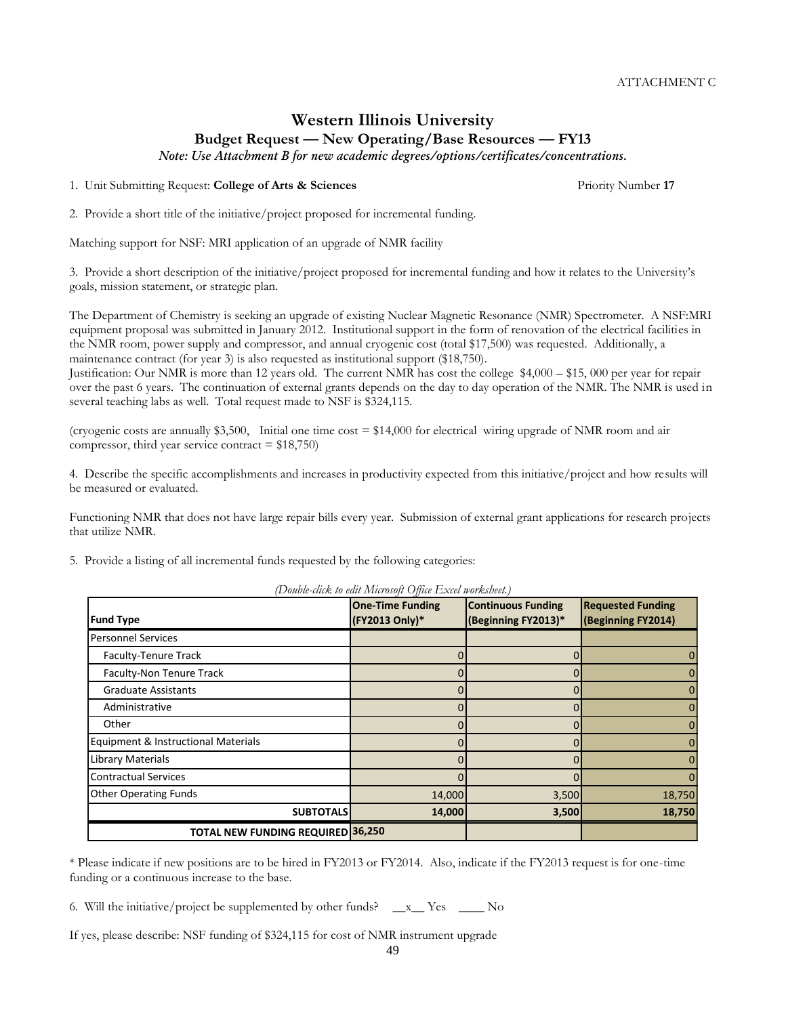# **Western Illinois University Budget Request — New Operating/Base Resources — FY13**

*Note: Use Attachment B for new academic degrees/options/certificates/concentrations.*

1. Unit Submitting Request: **College of Arts & Sciences** Priority Number **17**

2. Provide a short title of the initiative/project proposed for incremental funding.

Matching support for NSF: MRI application of an upgrade of NMR facility

3. Provide a short description of the initiative/project proposed for incremental funding and how it relates to the University's goals, mission statement, or strategic plan.

The Department of Chemistry is seeking an upgrade of existing Nuclear Magnetic Resonance (NMR) Spectrometer. A NSF:MRI equipment proposal was submitted in January 2012. Institutional support in the form of renovation of the electrical facilities in the NMR room, power supply and compressor, and annual cryogenic cost (total \$17,500) was requested. Additionally, a maintenance contract (for year 3) is also requested as institutional support (\$18,750).

Justification: Our NMR is more than 12 years old. The current NMR has cost the college \$4,000 – \$15, 000 per year for repair over the past 6 years. The continuation of external grants depends on the day to day operation of the NMR. The NMR is used in several teaching labs as well. Total request made to NSF is \$324,115.

(cryogenic costs are annually \$3,500, Initial one time  $cost = $14,000$  for electrical wiring upgrade of NMR room and air compressor, third year service contract  $= $18,750$ 

4. Describe the specific accomplishments and increases in productivity expected from this initiative/project and how results will be measured or evaluated.

Functioning NMR that does not have large repair bills every year. Submission of external grant applications for research projects that utilize NMR.

5. Provide a listing of all incremental funds requested by the following categories:

|                                          | <b>One-Time Funding</b> | <b>Continuous Funding</b> | <b>Requested Funding</b> |
|------------------------------------------|-------------------------|---------------------------|--------------------------|
| <b>Fund Type</b>                         | (FY2013 Only)*          | (Beginning FY2013)*       | (Beginning FY2014)       |
| <b>Personnel Services</b>                |                         |                           |                          |
| Faculty-Tenure Track                     |                         |                           |                          |
| Faculty-Non Tenure Track                 |                         |                           |                          |
| <b>Graduate Assistants</b>               |                         |                           |                          |
| Administrative                           |                         |                           |                          |
| Other                                    |                         |                           |                          |
| Equipment & Instructional Materials      |                         |                           |                          |
| Library Materials                        |                         |                           |                          |
| <b>Contractual Services</b>              |                         |                           |                          |
| <b>Other Operating Funds</b>             | 14,000                  | 3,500                     | 18,750                   |
| <b>SUBTOTALS</b>                         | 14,000                  | 3,500                     | 18,750                   |
| <b>TOTAL NEW FUNDING REQUIRED 36,250</b> |                         |                           |                          |

*(Double-click to edit Microsoft Office Excel worksheet.)*

\* Please indicate if new positions are to be hired in FY2013 or FY2014. Also, indicate if the FY2013 request is for one-time funding or a continuous increase to the base.

49

6. Will the initiative/project be supplemented by other funds?  $\_\ x$  Yes  $\_\_\_\$  No

If yes, please describe: NSF funding of \$324,115 for cost of NMR instrument upgrade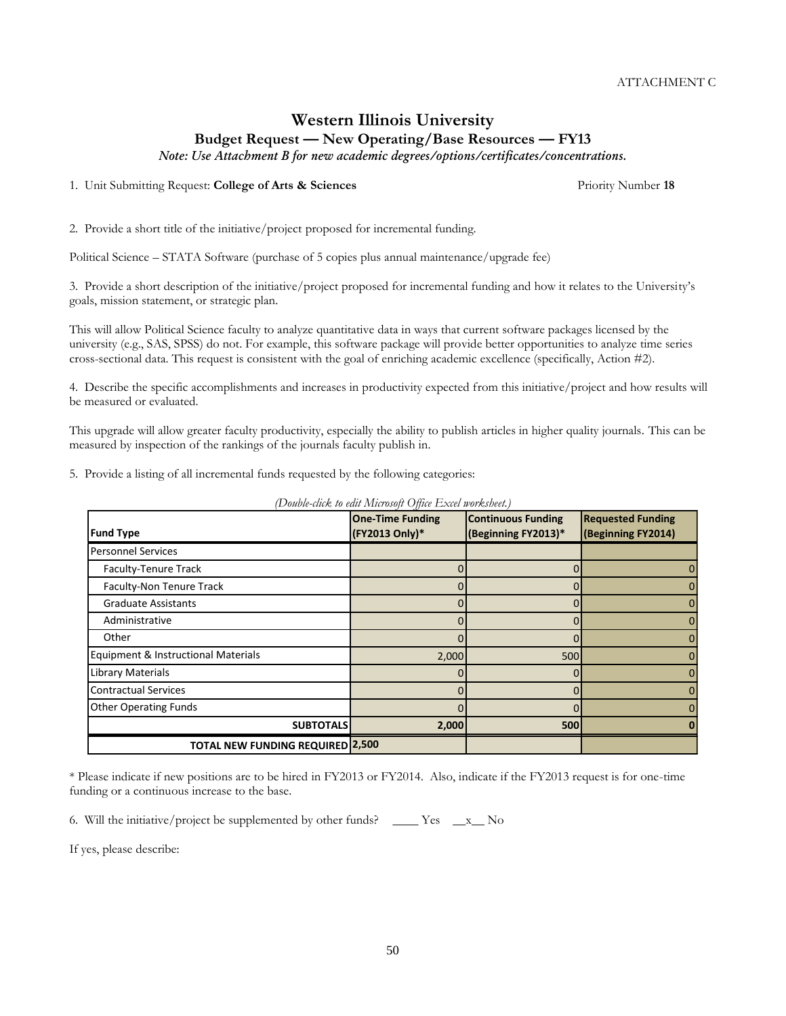## **Western Illinois University Budget Request — New Operating/Base Resources — FY13**

*Note: Use Attachment B for new academic degrees/options/certificates/concentrations.*

1. Unit Submitting Request: **College of Arts & Sciences** Priority Number **18**

2. Provide a short title of the initiative/project proposed for incremental funding.

Political Science – STATA Software (purchase of 5 copies plus annual maintenance/upgrade fee)

3. Provide a short description of the initiative/project proposed for incremental funding and how it relates to the University's goals, mission statement, or strategic plan.

This will allow Political Science faculty to analyze quantitative data in ways that current software packages licensed by the university (e.g., SAS, SPSS) do not. For example, this software package will provide better opportunities to analyze time series cross-sectional data. This request is consistent with the goal of enriching academic excellence (specifically, Action #2).

4. Describe the specific accomplishments and increases in productivity expected from this initiative/project and how results will be measured or evaluated.

This upgrade will allow greater faculty productivity, especially the ability to publish articles in higher quality journals. This can be measured by inspection of the rankings of the journals faculty publish in.

5. Provide a listing of all incremental funds requested by the following categories:

| <b>Requested Funding</b><br><b>Continuous Funding</b><br><b>One-Time Funding</b> |                |                     |                    |  |  |
|----------------------------------------------------------------------------------|----------------|---------------------|--------------------|--|--|
| <b>Fund Type</b>                                                                 | (FY2013 Only)* | (Beginning FY2013)* | (Beginning FY2014) |  |  |
| <b>Personnel Services</b>                                                        |                |                     |                    |  |  |
| Faculty-Tenure Track                                                             |                |                     | 0                  |  |  |
| Faculty-Non Tenure Track                                                         |                |                     | $\mathbf{0}$       |  |  |
| <b>Graduate Assistants</b>                                                       |                |                     | $\mathbf{0}$       |  |  |
| Administrative                                                                   |                |                     | 0                  |  |  |
| Other                                                                            |                |                     | 0                  |  |  |
| Equipment & Instructional Materials                                              | 2,000          | 500                 | 0                  |  |  |
| Library Materials                                                                |                |                     | 0                  |  |  |
| <b>Contractual Services</b>                                                      |                |                     | 0                  |  |  |
| <b>Other Operating Funds</b>                                                     |                |                     | $\mathbf{0}$       |  |  |
| <b>SUBTOTALS</b>                                                                 | 2,000          | 500                 | 0                  |  |  |
| <b>TOTAL NEW FUNDING REQUIRED 2,500</b>                                          |                |                     |                    |  |  |

*(Double-click to edit Microsoft Office Excel worksheet.)*

\* Please indicate if new positions are to be hired in FY2013 or FY2014. Also, indicate if the FY2013 request is for one-time funding or a continuous increase to the base.

6. Will the initiative/project be supplemented by other funds? \_\_\_\_\_ Yes  $\_\ x$  No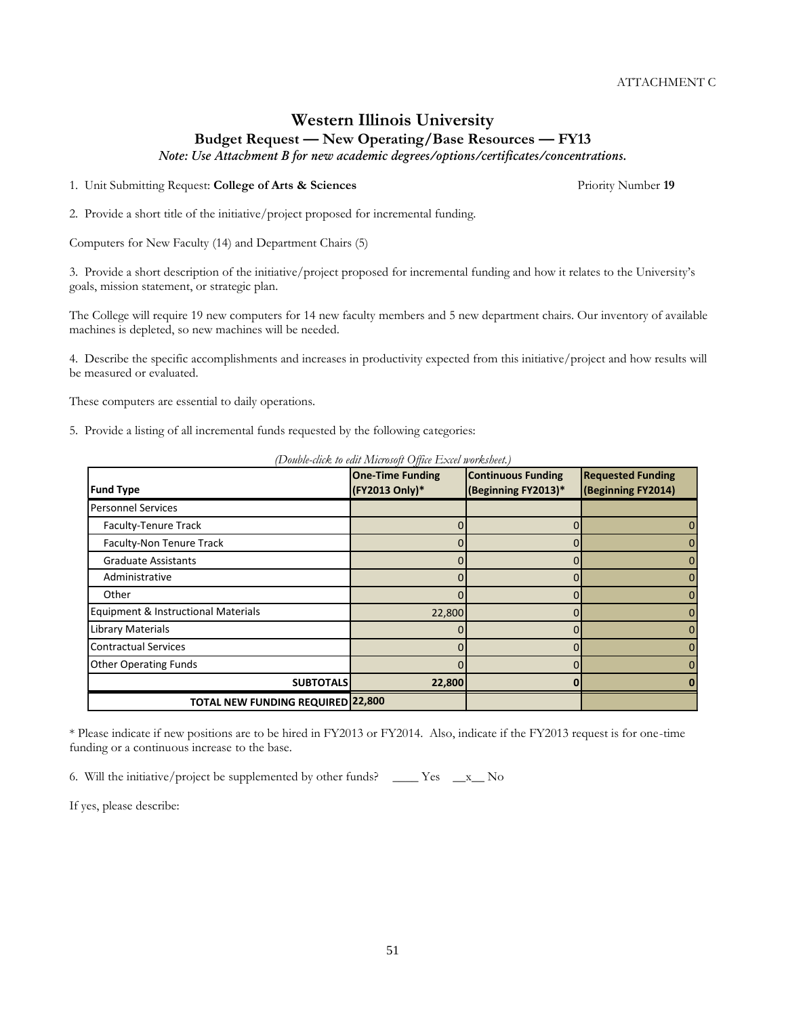51

ATTACHMENT C

## **Western Illinois University Budget Request — New Operating/Base Resources — FY13**

*Note: Use Attachment B for new academic degrees/options/certificates/concentrations.*

1. Unit Submitting Request: **College of Arts & Sciences** Priority Number **19**

2. Provide a short title of the initiative/project proposed for incremental funding.

Computers for New Faculty (14) and Department Chairs (5)

3. Provide a short description of the initiative/project proposed for incremental funding and how it relates to the University's goals, mission statement, or strategic plan.

The College will require 19 new computers for 14 new faculty members and 5 new department chairs. Our inventory of available machines is depleted, so new machines will be needed.

4. Describe the specific accomplishments and increases in productivity expected from this initiative/project and how results will be measured or evaluated.

These computers are essential to daily operations.

5. Provide a listing of all incremental funds requested by the following categories:

| <b>Fund Type</b>                         | <b>One-Time Funding</b><br>(FY2013 Only)* | <b>Continuous Funding</b><br>(Beginning FY2013)* | <b>Requested Funding</b><br>(Beginning FY2014) |
|------------------------------------------|-------------------------------------------|--------------------------------------------------|------------------------------------------------|
| <b>Personnel Services</b>                |                                           |                                                  |                                                |
| Faculty-Tenure Track                     |                                           |                                                  |                                                |
| Faculty-Non Tenure Track                 |                                           | 0                                                |                                                |
| <b>Graduate Assistants</b>               |                                           |                                                  |                                                |
| Administrative                           |                                           |                                                  |                                                |
| Other                                    |                                           |                                                  |                                                |
| Equipment & Instructional Materials      | 22,800                                    |                                                  |                                                |
| <b>Library Materials</b>                 |                                           |                                                  |                                                |
| <b>Contractual Services</b>              |                                           |                                                  |                                                |
| <b>Other Operating Funds</b>             |                                           |                                                  |                                                |
| <b>SUBTOTALS</b>                         | 22,800                                    |                                                  |                                                |
| <b>TOTAL NEW FUNDING REQUIRED 22,800</b> |                                           |                                                  |                                                |

*(Double-click to edit Microsoft Office Excel worksheet.)*

\* Please indicate if new positions are to be hired in FY2013 or FY2014. Also, indicate if the FY2013 request is for one-time funding or a continuous increase to the base.

6. Will the initiative/project be supplemented by other funds? \_\_\_\_ Yes \_\_x\_\_ No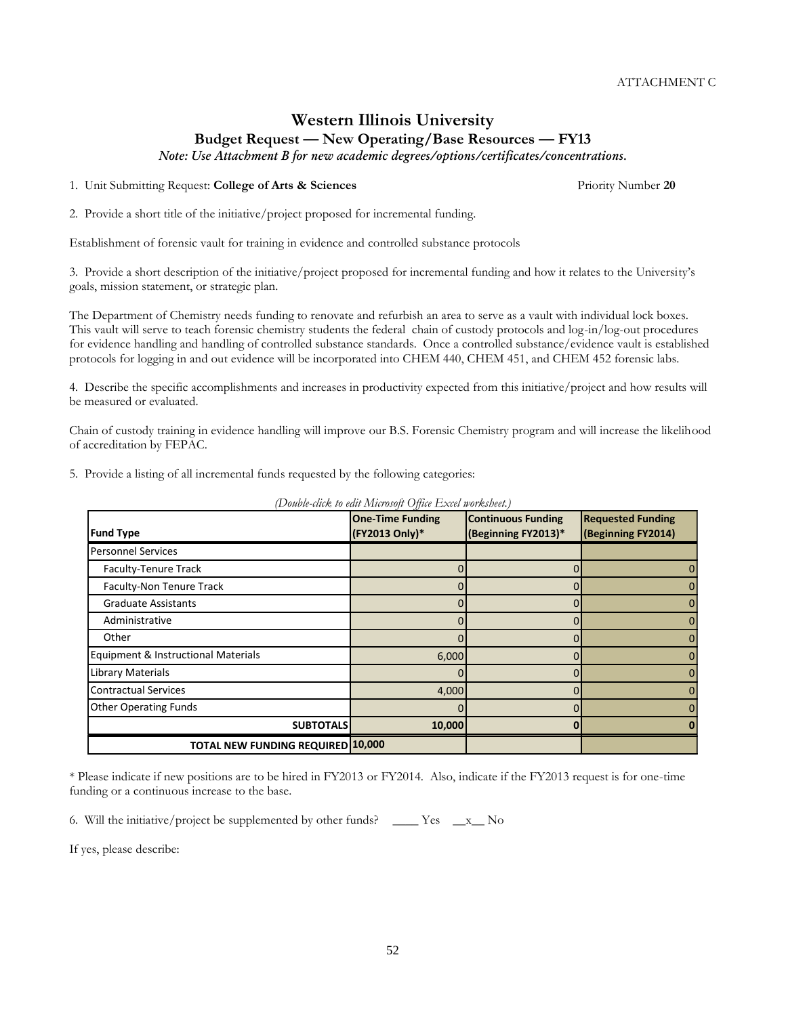# **Western Illinois University Budget Request — New Operating/Base Resources — FY13**

*Note: Use Attachment B for new academic degrees/options/certificates/concentrations.*

1. Unit Submitting Request: **College of Arts & Sciences** Priority Number **20**

2. Provide a short title of the initiative/project proposed for incremental funding.

Establishment of forensic vault for training in evidence and controlled substance protocols

3. Provide a short description of the initiative/project proposed for incremental funding and how it relates to the University's goals, mission statement, or strategic plan.

The Department of Chemistry needs funding to renovate and refurbish an area to serve as a vault with individual lock boxes. This vault will serve to teach forensic chemistry students the federal chain of custody protocols and log-in/log-out procedures for evidence handling and handling of controlled substance standards. Once a controlled substance/evidence vault is established protocols for logging in and out evidence will be incorporated into CHEM 440, CHEM 451, and CHEM 452 forensic labs.

4. Describe the specific accomplishments and increases in productivity expected from this initiative/project and how results will be measured or evaluated.

Chain of custody training in evidence handling will improve our B.S. Forensic Chemistry program and will increase the likelihood of accreditation by FEPAC.

5. Provide a listing of all incremental funds requested by the following categories:

|                                          | <b>One-Time Funding</b> | <b>Continuous Funding</b> | <b>Requested Funding</b> |
|------------------------------------------|-------------------------|---------------------------|--------------------------|
| <b>Fund Type</b>                         | (FY2013 Only)*          | (Beginning FY2013)*       | (Beginning FY2014)       |
| <b>Personnel Services</b>                |                         |                           |                          |
| Faculty-Tenure Track                     |                         |                           | 0                        |
| Faculty-Non Tenure Track                 |                         |                           | $\Omega$                 |
| <b>Graduate Assistants</b>               |                         |                           | 0                        |
| Administrative                           |                         |                           | $\mathbf{0}$             |
| Other                                    |                         |                           | 0                        |
| Equipment & Instructional Materials      | 6,000                   |                           | $\Omega$                 |
| Library Materials                        |                         |                           | 0                        |
| <b>Contractual Services</b>              | 4,000                   |                           | 0                        |
| <b>Other Operating Funds</b>             |                         |                           | $\Omega$                 |
| <b>SUBTOTALS</b>                         | 10,000                  |                           |                          |
| <b>TOTAL NEW FUNDING REQUIRED 10,000</b> |                         |                           |                          |

*(Double-click to edit Microsoft Office Excel worksheet.)*

\* Please indicate if new positions are to be hired in FY2013 or FY2014. Also, indicate if the FY2013 request is for one-time funding or a continuous increase to the base.

52

6. Will the initiative/project be supplemented by other funds? \_\_\_\_ Yes \_\_x\_\_ No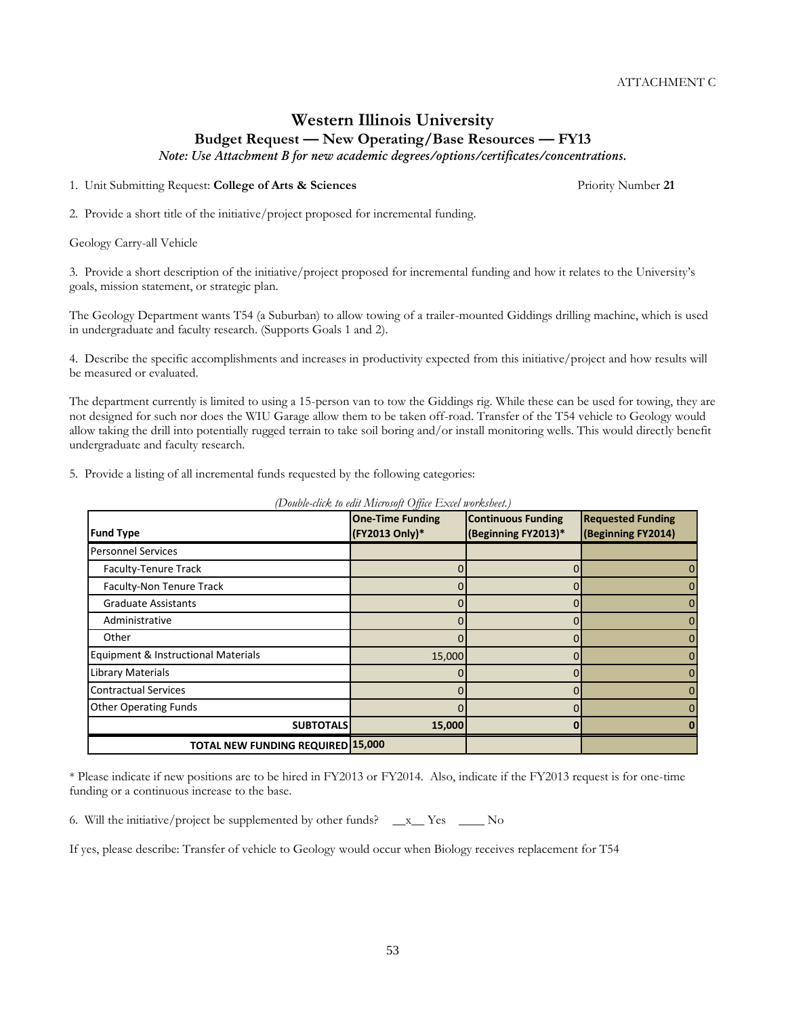## **Western Illinois University Budget Request — New Operating/Base Resources — FY13**

*Note: Use Attachment B for new academic degrees/options/certificates/concentrations.*

1. Unit Submitting Request: **College of Arts & Sciences** Priority Number **21**

2. Provide a short title of the initiative/project proposed for incremental funding.

Geology Carry-all Vehicle

3. Provide a short description of the initiative/project proposed for incremental funding and how it relates to the University's goals, mission statement, or strategic plan.

The Geology Department wants T54 (a Suburban) to allow towing of a trailer-mounted Giddings drilling machine, which is used in undergraduate and faculty research. (Supports Goals 1 and 2).

4. Describe the specific accomplishments and increases in productivity expected from this initiative/project and how results will be measured or evaluated.

The department currently is limited to using a 15-person van to tow the Giddings rig. While these can be used for towing, they are not designed for such nor does the WIU Garage allow them to be taken off-road. Transfer of the T54 vehicle to Geology would allow taking the drill into potentially rugged terrain to take soil boring and/or install monitoring wells. This would directly benefit undergraduate and faculty research.

5. Provide a listing of all incremental funds requested by the following categories:

| <b>Fund Type</b>                         | <b>One-Time Funding</b><br>(FY2013 Only)* | <b>Continuous Funding</b><br>(Beginning FY2013)* | <b>Requested Funding</b><br>(Beginning FY2014) |
|------------------------------------------|-------------------------------------------|--------------------------------------------------|------------------------------------------------|
| <b>Personnel Services</b>                |                                           |                                                  |                                                |
| Faculty-Tenure Track                     |                                           |                                                  | 0                                              |
| Faculty-Non Tenure Track                 |                                           |                                                  | 0                                              |
| <b>Graduate Assistants</b>               |                                           |                                                  | 0                                              |
| Administrative                           |                                           |                                                  | 0                                              |
| Other                                    |                                           |                                                  | 0                                              |
| Equipment & Instructional Materials      | 15,000                                    |                                                  | 0                                              |
| Library Materials                        |                                           |                                                  | 0                                              |
| <b>Contractual Services</b>              |                                           |                                                  | 0                                              |
| <b>Other Operating Funds</b>             |                                           |                                                  | 0                                              |
| <b>SUBTOTALS</b>                         | 15,000                                    |                                                  |                                                |
| <b>TOTAL NEW FUNDING REQUIRED 15,000</b> |                                           |                                                  |                                                |

*(Double-click to edit Microsoft Office Excel worksheet.)*

\* Please indicate if new positions are to be hired in FY2013 or FY2014. Also, indicate if the FY2013 request is for one-time funding or a continuous increase to the base.

6. Will the initiative/project be supplemented by other funds?  $\_\ x$  Yes  $\_\_\_\$  No

If yes, please describe: Transfer of vehicle to Geology would occur when Biology receives replacement for T54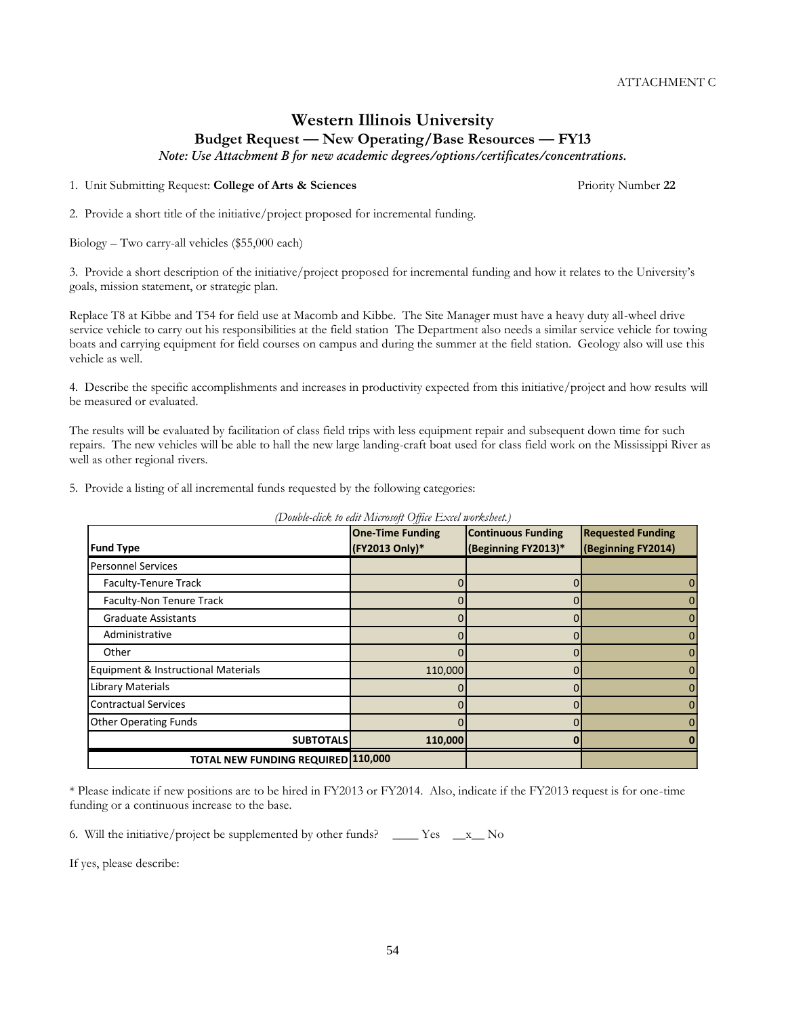**SUBTOTALS 110,000 0 0**

**Continuous Funding (Beginning FY2013)\*** ATTACHMENT C

# **Western Illinois University Budget Request — New Operating/Base Resources — FY13**

*Note: Use Attachment B for new academic degrees/options/certificates/concentrations.*

1. Unit Submitting Request: **College of Arts & Sciences** Priority Number **22**

2. Provide a short title of the initiative/project proposed for incremental funding.

Biology – Two carry-all vehicles (\$55,000 each)

3. Provide a short description of the initiative/project proposed for incremental funding and how it relates to the University's goals, mission statement, or strategic plan.

Replace T8 at Kibbe and T54 for field use at Macomb and Kibbe. The Site Manager must have a heavy duty all-wheel drive service vehicle to carry out his responsibilities at the field station The Department also needs a similar service vehicle for towing boats and carrying equipment for field courses on campus and during the summer at the field station. Geology also will use this vehicle as well.

4. Describe the specific accomplishments and increases in productivity expected from this initiative/project and how results will be measured or evaluated.

The results will be evaluated by facilitation of class field trips with less equipment repair and subsequent down time for such repairs. The new vehicles will be able to hall the new large landing-craft boat used for class field work on the Mississippi River as well as other regional rivers.

5. Provide a listing of all incremental funds requested by the following categories:

*(Double-click to edit Microsoft Office Excel worksheet.)* **One-Time Funding** 

**(FY2013 Only)\***

Faculty-Tenure Track and the contract of the contract of the contract of the contract of the contract of the contract of the contract of the contract of the contract of the contract of the contract of the contract of the c Faculty-Non Tenure Track  $\begin{array}{ccc} 0 & 0 & 0 \end{array}$ Graduate Assistants  $\begin{array}{ccc} 0 & 0 & 0 \end{array}$  Administrative 0 0 0 Other 0 0 0 Equipment & Instructional Materials 110,000 0 0 Library Materials 0 0 0 Contractual Services 0 0 0 Other Operating Funds 0 0 0

| * Please indicate if new positions are to be hired in FY2013 or FY2014. Also, indicate if the FY2013 request is for one-time |  |  |
|------------------------------------------------------------------------------------------------------------------------------|--|--|
| funding or a continuous increase to the base.                                                                                |  |  |

6. Will the initiative/project be supplemented by other funds? \_\_\_\_\_ Yes  $\_\ x$  No

**TOTAL NEW FUNDING REQUIRED 110,000**

If yes, please describe:

**Fund Type**

Personnel Services

**Requested Funding (Beginning FY2014)**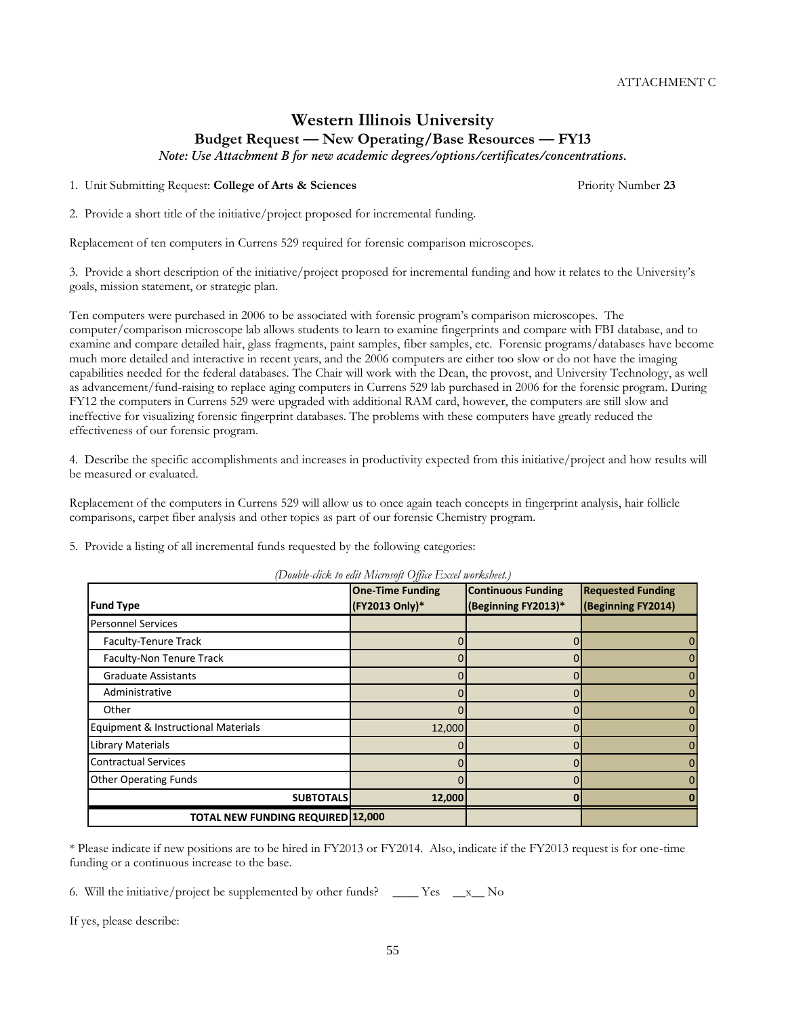**(Beginning FY2013)\***

ATTACHMENT C

# **Western Illinois University Budget Request — New Operating/Base Resources — FY13**

*Note: Use Attachment B for new academic degrees/options/certificates/concentrations.*

1. Unit Submitting Request: **College of Arts & Sciences** Priority Number **23**

2. Provide a short title of the initiative/project proposed for incremental funding.

Replacement of ten computers in Currens 529 required for forensic comparison microscopes.

3. Provide a short description of the initiative/project proposed for incremental funding and how it relates to the University's goals, mission statement, or strategic plan.

Ten computers were purchased in 2006 to be associated with forensic program's comparison microscopes. The computer/comparison microscope lab allows students to learn to examine fingerprints and compare with FBI database, and to examine and compare detailed hair, glass fragments, paint samples, fiber samples, etc. Forensic programs/databases have become much more detailed and interactive in recent years, and the 2006 computers are either too slow or do not have the imaging capabilities needed for the federal databases. The Chair will work with the Dean, the provost, and University Technology, as well as advancement/fund-raising to replace aging computers in Currens 529 lab purchased in 2006 for the forensic program. During FY12 the computers in Currens 529 were upgraded with additional RAM card, however, the computers are still slow and ineffective for visualizing forensic fingerprint databases. The problems with these computers have greatly reduced the effectiveness of our forensic program.

4. Describe the specific accomplishments and increases in productivity expected from this initiative/project and how results will be measured or evaluated.

Replacement of the computers in Currens 529 will allow us to once again teach concepts in fingerprint analysis, hair follicle comparisons, carpet fiber analysis and other topics as part of our forensic Chemistry program.

5. Provide a listing of all incremental funds requested by the following categories:

|                                               | * Please indicate if new positions are to be hired in FY2013 or FY2014. Also, indicate if the FY2013 request is for one-time |  |  |  |
|-----------------------------------------------|------------------------------------------------------------------------------------------------------------------------------|--|--|--|
| funding or a continuous increase to the base. |                                                                                                                              |  |  |  |

55

6. Will the initiative/project be supplemented by other funds?  $\_\_\_\_\_\$  Yes  $\_\_\_x\_\_\$  No

If yes, please describe:

**Fund Type**

*(Double-click to edit Microsoft Office Excel worksheet.)* **One-Time Funding Continuous Funding** 

**(FY2013 Only)\***

| <b>TOTAL NEW FUNDING REQUIRED 12,000</b> |        |  |
|------------------------------------------|--------|--|
| <b>SUBTOTALS</b>                         | 12,000 |  |
| <b>Other Operating Funds</b>             |        |  |
| <b>Contractual Services</b>              |        |  |
| Library Materials                        |        |  |
| Equipment & Instructional Materials      | 12,000 |  |
| Other                                    |        |  |
| Administrative                           |        |  |
| <b>Graduate Assistants</b>               |        |  |
| Faculty-Non Tenure Track                 |        |  |
| Faculty-Tenure Track                     |        |  |
| <b>Personnel Services</b>                |        |  |

**Requested Funding (Beginning FY2014)**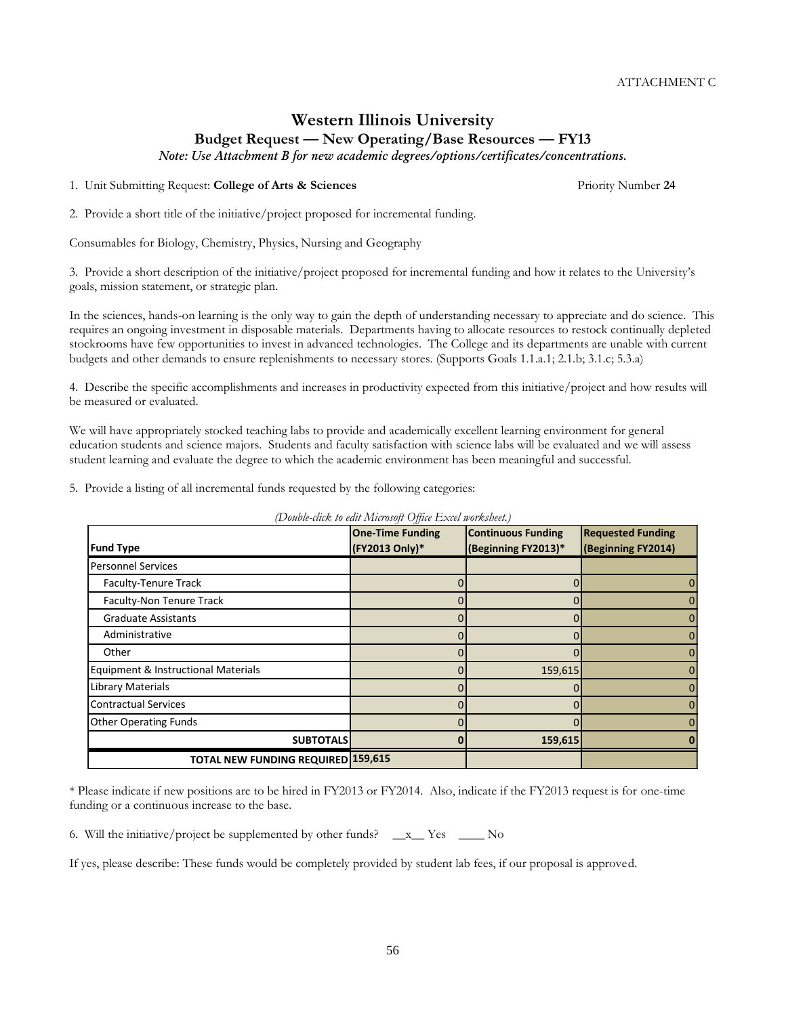56

ATTACHMENT C

# **Western Illinois University Budget Request — New Operating/Base Resources — FY13**

*Note: Use Attachment B for new academic degrees/options/certificates/concentrations.*

1. Unit Submitting Request: **College of Arts & Sciences** Priority Number **24**

2. Provide a short title of the initiative/project proposed for incremental funding.

Consumables for Biology, Chemistry, Physics, Nursing and Geography

3. Provide a short description of the initiative/project proposed for incremental funding and how it relates to the University's goals, mission statement, or strategic plan.

In the sciences, hands-on learning is the only way to gain the depth of understanding necessary to appreciate and do science. This requires an ongoing investment in disposable materials. Departments having to allocate resources to restock continually depleted stockrooms have few opportunities to invest in advanced technologies. The College and its departments are unable with current budgets and other demands to ensure replenishments to necessary stores. (Supports Goals 1.1.a.1; 2.1.b; 3.1.c; 5.3.a)

4. Describe the specific accomplishments and increases in productivity expected from this initiative/project and how results will be measured or evaluated.

We will have appropriately stocked teaching labs to provide and academically excellent learning environment for general education students and science majors. Students and faculty satisfaction with science labs will be evaluated and we will assess student learning and evaluate the degree to which the academic environment has been meaningful and successful.

5. Provide a listing of all incremental funds requested by the following categories:

*(Double-click to edit Microsoft Office Excel worksheet.)*

| * Please indicate if new positions are to be hired in FY2013 or FY2014. Also, indicate if the FY2013 request is for one-time |  |
|------------------------------------------------------------------------------------------------------------------------------|--|
| funding or a continuous increase to the base.                                                                                |  |

6. Will the initiative/project be supplemented by other funds?  $\_\ x$  Yes  $\_\_\_\$  No

If yes, please describe: These funds would be completely provided by student lab fees, if our proposal is approved.

|                                     | <b>One-Time Funding</b> | <b>Continuous Funding</b> | <b>Requested Funding</b> |
|-------------------------------------|-------------------------|---------------------------|--------------------------|
| <b>Fund Type</b>                    | (FY2013 Only)*          | (Beginning FY2013)*       | (Beginning FY2014)       |
| <b>Personnel Services</b>           |                         |                           |                          |
| Faculty-Tenure Track                |                         |                           |                          |
| Faculty-Non Tenure Track            |                         |                           |                          |
| <b>Graduate Assistants</b>          |                         |                           |                          |
| Administrative                      |                         |                           |                          |
| Other                               |                         |                           |                          |
| Equipment & Instructional Materials |                         | 159,615                   |                          |
| Library Materials                   |                         |                           |                          |
| <b>Contractual Services</b>         |                         |                           |                          |
| <b>Other Operating Funds</b>        |                         |                           |                          |
| <b>SUBTOTALS</b>                    |                         | 159,615                   |                          |
| TOTAL NEW FUNDING REQUIRED 159,615  |                         |                           |                          |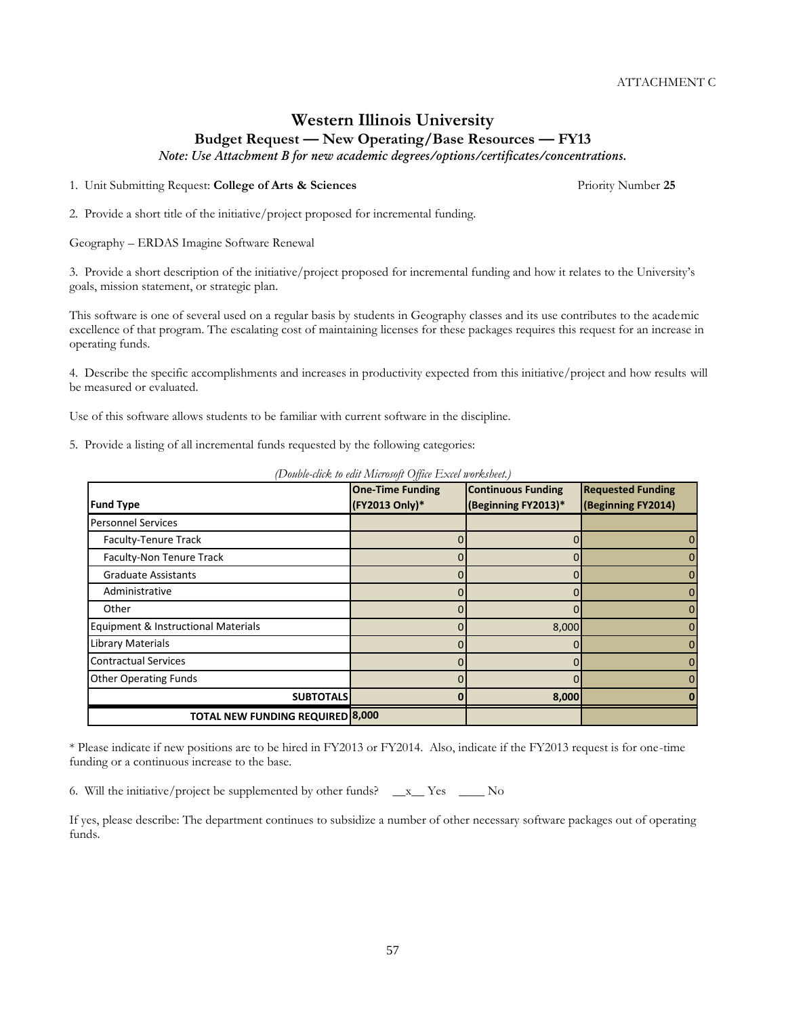# **Western Illinois University Budget Request — New Operating/Base Resources — FY13**

*Note: Use Attachment B for new academic degrees/options/certificates/concentrations.*

1. Unit Submitting Request: **College of Arts & Sciences** Priority Number **25**

2. Provide a short title of the initiative/project proposed for incremental funding.

Geography – ERDAS Imagine Software Renewal

3. Provide a short description of the initiative/project proposed for incremental funding and how it relates to the University's goals, mission statement, or strategic plan.

This software is one of several used on a regular basis by students in Geography classes and its use contributes to the academic excellence of that program. The escalating cost of maintaining licenses for these packages requires this request for an increase in operating funds.

4. Describe the specific accomplishments and increases in productivity expected from this initiative/project and how results will be measured or evaluated.

Use of this software allows students to be familiar with current software in the discipline.

5. Provide a listing of all incremental funds requested by the following categories:

| <b>Fund Type</b>                        | <b>One-Time Funding</b><br>(FY2013 Only)* | <b>Continuous Funding</b><br>(Beginning FY2013)* | <b>Requested Funding</b><br>(Beginning FY2014) |
|-----------------------------------------|-------------------------------------------|--------------------------------------------------|------------------------------------------------|
| <b>Personnel Services</b>               |                                           |                                                  |                                                |
| Faculty-Tenure Track                    |                                           |                                                  | $\Omega$                                       |
| Faculty-Non Tenure Track                |                                           |                                                  | 0                                              |
| <b>Graduate Assistants</b>              |                                           |                                                  | 0                                              |
| Administrative                          |                                           |                                                  | 0                                              |
| Other                                   |                                           |                                                  | 0                                              |
| Equipment & Instructional Materials     |                                           | 8,000                                            | $\Omega$                                       |
| Library Materials                       |                                           |                                                  | 0                                              |
| <b>Contractual Services</b>             |                                           |                                                  | 0                                              |
| <b>Other Operating Funds</b>            |                                           |                                                  | $\Omega$                                       |
| <b>SUBTOTALS</b>                        |                                           | 8,000                                            |                                                |
| <b>TOTAL NEW FUNDING REQUIRED 8,000</b> |                                           |                                                  |                                                |

*(Double-click to edit Microsoft Office Excel worksheet.)*

\* Please indicate if new positions are to be hired in FY2013 or FY2014. Also, indicate if the FY2013 request is for one-time funding or a continuous increase to the base.

6. Will the initiative/project be supplemented by other funds?  $\_\ x$  Yes  $\_\_\_\$  No

If yes, please describe: The department continues to subsidize a number of other necessary software packages out of operating funds.

57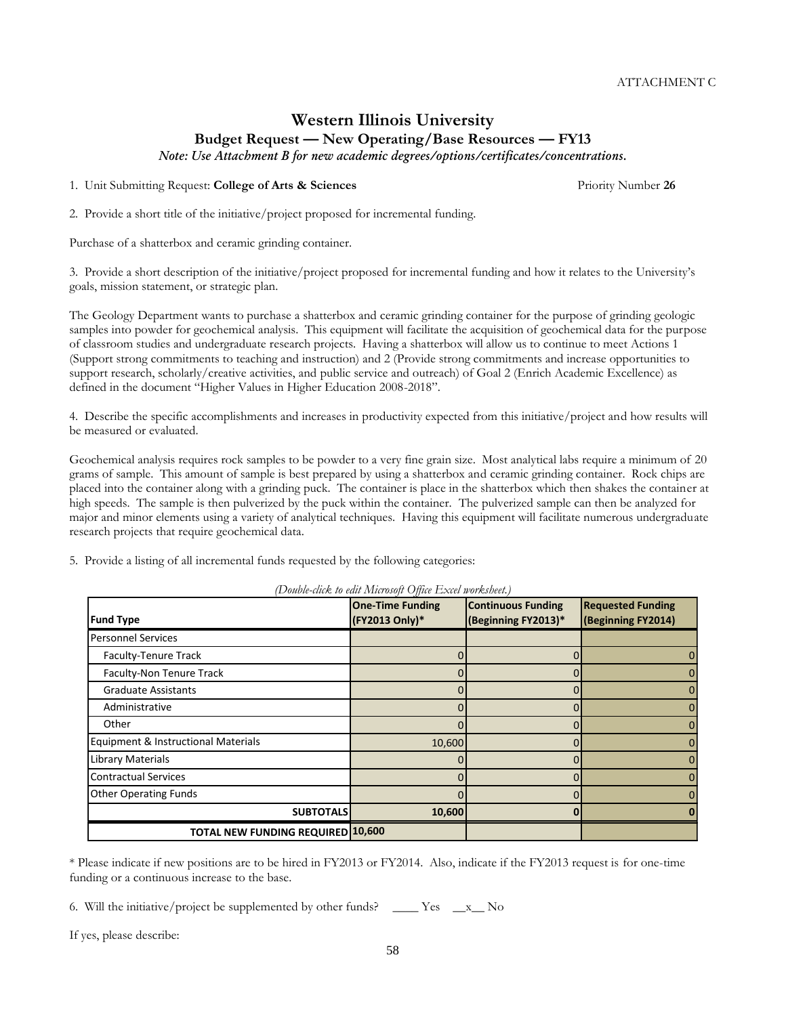# **Western Illinois University Budget Request — New Operating/Base Resources — FY13**

*Note: Use Attachment B for new academic degrees/options/certificates/concentrations.*

1. Unit Submitting Request: **College of Arts & Sciences** Priority Number **26**

2. Provide a short title of the initiative/project proposed for incremental funding.

Purchase of a shatterbox and ceramic grinding container.

3. Provide a short description of the initiative/project proposed for incremental funding and how it relates to the University's goals, mission statement, or strategic plan.

The Geology Department wants to purchase a shatterbox and ceramic grinding container for the purpose of grinding geologic samples into powder for geochemical analysis. This equipment will facilitate the acquisition of geochemical data for the purpose of classroom studies and undergraduate research projects. Having a shatterbox will allow us to continue to meet Actions 1 (Support strong commitments to teaching and instruction) and 2 (Provide strong commitments and increase opportunities to support research, scholarly/creative activities, and public service and outreach) of Goal 2 (Enrich Academic Excellence) as defined in the document "Higher Values in Higher Education 2008-2018".

4. Describe the specific accomplishments and increases in productivity expected from this initiative/project and how results will be measured or evaluated.

Geochemical analysis requires rock samples to be powder to a very fine grain size. Most analytical labs require a minimum of 20 grams of sample. This amount of sample is best prepared by using a shatterbox and ceramic grinding container. Rock chips are placed into the container along with a grinding puck. The container is place in the shatterbox which then shakes the container at high speeds. The sample is then pulverized by the puck within the container. The pulverized sample can then be analyzed for major and minor elements using a variety of analytical techniques. Having this equipment will facilitate numerous undergraduate research projects that require geochemical data.

5. Provide a listing of all incremental funds requested by the following categories:

|                                          | $\cdots$ . $\cdots$<br><b>One-Time Funding</b> | <b>Continuous Funding</b> | <b>Requested Funding</b> |
|------------------------------------------|------------------------------------------------|---------------------------|--------------------------|
| <b>Fund Type</b>                         | (FY2013 Only)*                                 | (Beginning FY2013)*       | (Beginning FY2014)       |
| <b>Personnel Services</b>                |                                                |                           |                          |
| Faculty-Tenure Track                     |                                                |                           |                          |
| Faculty-Non Tenure Track                 |                                                |                           |                          |
| <b>Graduate Assistants</b>               |                                                |                           |                          |
| Administrative                           |                                                |                           |                          |
| Other                                    |                                                |                           |                          |
| Equipment & Instructional Materials      | 10,600                                         |                           |                          |
| Library Materials                        |                                                |                           |                          |
| <b>Contractual Services</b>              |                                                |                           |                          |
| <b>Other Operating Funds</b>             |                                                |                           |                          |
| <b>SUBTOTALS</b>                         | 10,600                                         |                           |                          |
| <b>TOTAL NEW FUNDING REQUIRED 10,600</b> |                                                |                           |                          |

*(Double-click to edit Microsoft Office Excel worksheet.)*

\* Please indicate if new positions are to be hired in FY2013 or FY2014. Also, indicate if the FY2013 request is for one-time funding or a continuous increase to the base.

58

6. Will the initiative/project be supplemented by other funds?  $\_\_\_\_\_\$  Yes  $\_\_\_x\_\_\$  No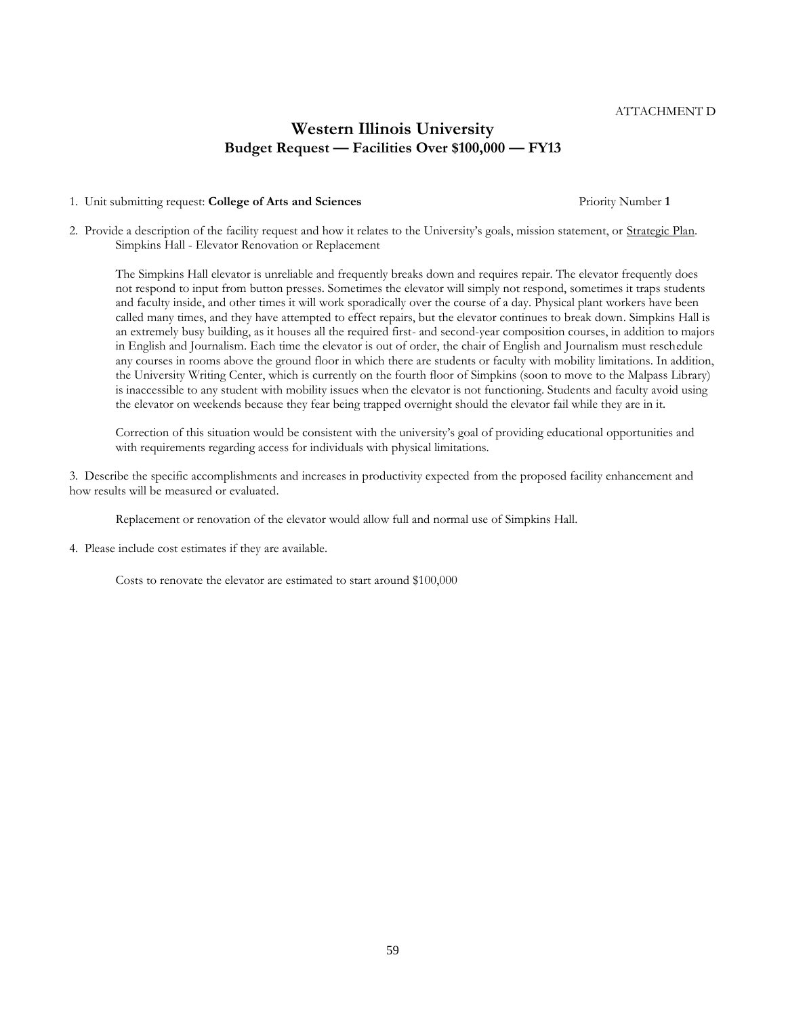#### 1. Unit submitting request: **College of Arts and Sciences** Priority Number **1**

2. Provide a description of the facility request and how it relates to the University's goals, mission statement, or Strategic Plan. Simpkins Hall - Elevator Renovation or Replacement

The Simpkins Hall elevator is unreliable and frequently breaks down and requires repair. The elevator frequently does not respond to input from button presses. Sometimes the elevator will simply not respond, sometimes it traps students and faculty inside, and other times it will work sporadically over the course of a day. Physical plant workers have been called many times, and they have attempted to effect repairs, but the elevator continues to break down. Simpkins Hall is an extremely busy building, as it houses all the required first- and second-year composition courses, in addition to majors in English and Journalism. Each time the elevator is out of order, the chair of English and Journalism must reschedule any courses in rooms above the ground floor in which there are students or faculty with mobility limitations. In addition, the University Writing Center, which is currently on the fourth floor of Simpkins (soon to move to the Malpass Library) is inaccessible to any student with mobility issues when the elevator is not functioning. Students and faculty avoid using the elevator on weekends because they fear being trapped overnight should the elevator fail while they are in it.

Correction of this situation would be consistent with the university's goal of providing educational opportunities and with requirements regarding access for individuals with physical limitations.

3. Describe the specific accomplishments and increases in productivity expected from the proposed facility enhancement and how results will be measured or evaluated.

Replacement or renovation of the elevator would allow full and normal use of Simpkins Hall.

4. Please include cost estimates if they are available.

Costs to renovate the elevator are estimated to start around \$100,000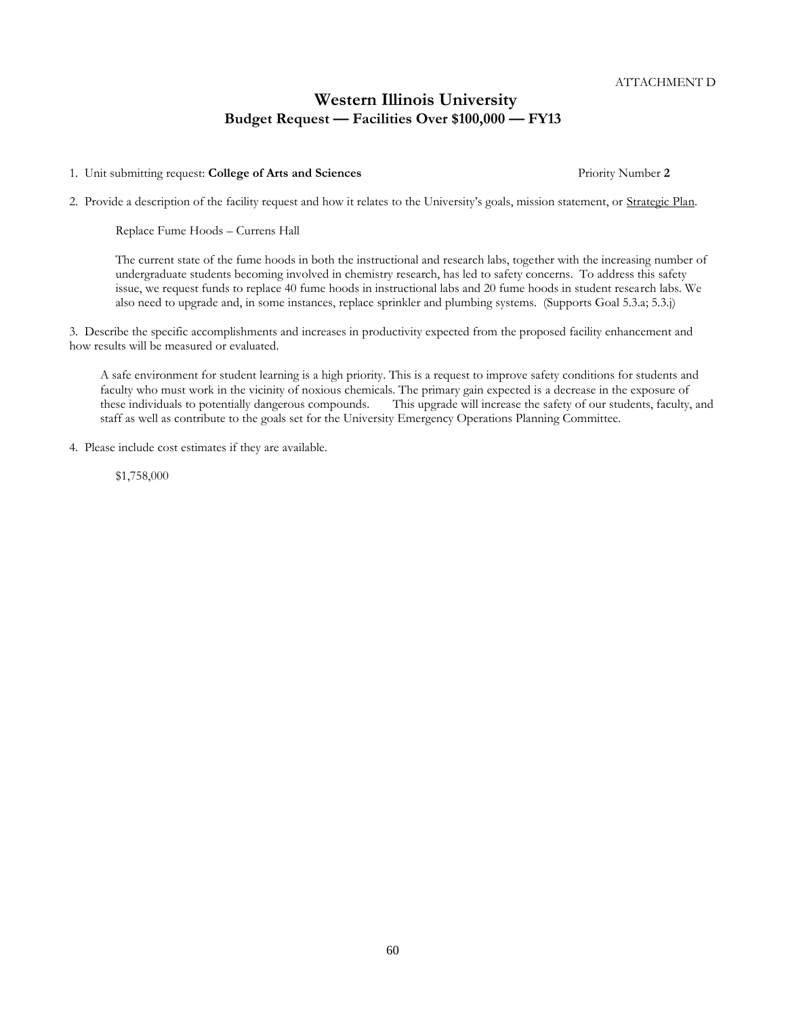1. Unit submitting request: **College of Arts and Sciences** Priority Number **2**

2. Provide a description of the facility request and how it relates to the University's goals, mission statement, or Strategic Plan.

Replace Fume Hoods – Currens Hall

The current state of the fume hoods in both the instructional and research labs, together with the increasing number of undergraduate students becoming involved in chemistry research, has led to safety concerns. To address this safety issue, we request funds to replace 40 fume hoods in instructional labs and 20 fume hoods in student research labs. We also need to upgrade and, in some instances, replace sprinkler and plumbing systems. (Supports Goal 5.3.a; 5.3.j)

3. Describe the specific accomplishments and increases in productivity expected from the proposed facility enhancement and how results will be measured or evaluated.

A safe environment for student learning is a high priority. This is a request to improve safety conditions for students and faculty who must work in the vicinity of noxious chemicals. The primary gain expected is a decrease in the exposure of these individuals to potentially dangerous compounds. This upgrade will increase the safety of our students, faculty, and staff as well as contribute to the goals set for the University Emergency Operations Planning Committee.

4. Please include cost estimates if they are available.

\$1,758,000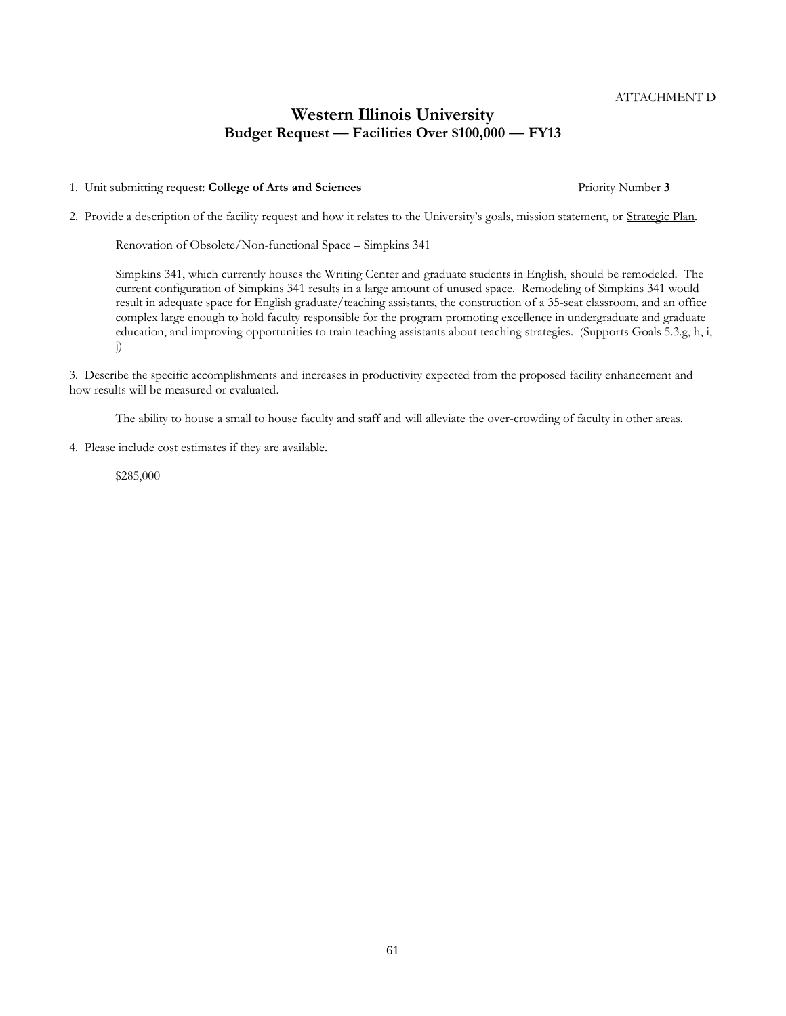#### 1. Unit submitting request: **College of Arts and Sciences** Priority Number **3**

2. Provide a description of the facility request and how it relates to the University's goals, mission statement, or Strategic Plan.

Renovation of Obsolete/Non-functional Space – Simpkins 341

Simpkins 341, which currently houses the Writing Center and graduate students in English, should be remodeled. The current configuration of Simpkins 341 results in a large amount of unused space. Remodeling of Simpkins 341 would result in adequate space for English graduate/teaching assistants, the construction of a 35-seat classroom, and an office complex large enough to hold faculty responsible for the program promoting excellence in undergraduate and graduate education, and improving opportunities to train teaching assistants about teaching strategies. (Supports Goals 5.3.g, h, i, j)

3. Describe the specific accomplishments and increases in productivity expected from the proposed facility enhancement and how results will be measured or evaluated.

The ability to house a small to house faculty and staff and will alleviate the over-crowding of faculty in other areas.

4. Please include cost estimates if they are available.

\$285,000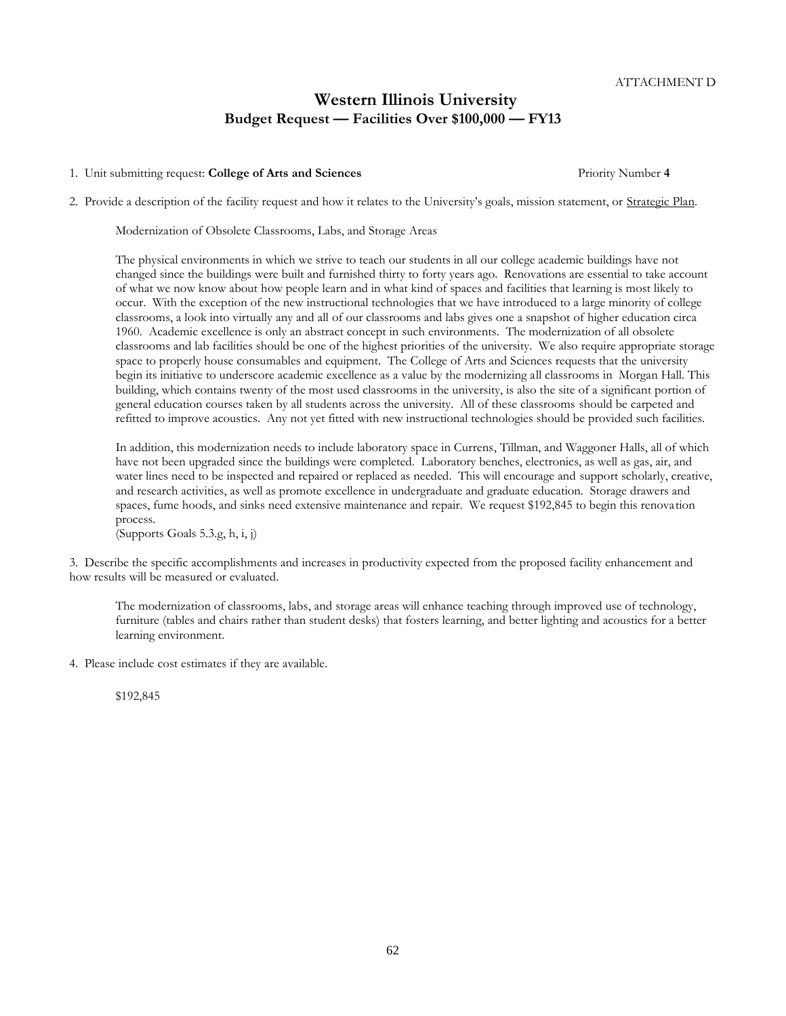#### 1. Unit submitting request: **College of Arts and Sciences** Priority Number **4**

2. Provide a description of the facility request and how it relates to the University's goals, mission statement, or Strategic Plan.

Modernization of Obsolete Classrooms, Labs, and Storage Areas

The physical environments in which we strive to teach our students in all our college academic buildings have not changed since the buildings were built and furnished thirty to forty years ago. Renovations are essential to take account of what we now know about how people learn and in what kind of spaces and facilities that learning is most likely to occur. With the exception of the new instructional technologies that we have introduced to a large minority of college classrooms, a look into virtually any and all of our classrooms and labs gives one a snapshot of higher education circa 1960. Academic excellence is only an abstract concept in such environments. The modernization of all obsolete classrooms and lab facilities should be one of the highest priorities of the university. We also require appropriate storage space to properly house consumables and equipment. The College of Arts and Sciences requests that the university begin its initiative to underscore academic excellence as a value by the modernizing all classrooms in Morgan Hall. This building, which contains twenty of the most used classrooms in the university, is also the site of a significant portion of general education courses taken by all students across the university. All of these classrooms should be carpeted and refitted to improve acoustics. Any not yet fitted with new instructional technologies should be provided such facilities.

In addition, this modernization needs to include laboratory space in Currens, Tillman, and Waggoner Halls, all of which have not been upgraded since the buildings were completed. Laboratory benches, electronics, as well as gas, air, and water lines need to be inspected and repaired or replaced as needed. This will encourage and support scholarly, creative, and research activities, as well as promote excellence in undergraduate and graduate education. Storage drawers and spaces, fume hoods, and sinks need extensive maintenance and repair. We request \$192,845 to begin this renovation process.

(Supports Goals 5.3.g, h, i, j)

3. Describe the specific accomplishments and increases in productivity expected from the proposed facility enhancement and how results will be measured or evaluated.

The modernization of classrooms, labs, and storage areas will enhance teaching through improved use of technology, furniture (tables and chairs rather than student desks) that fosters learning, and better lighting and acoustics for a better learning environment.

4. Please include cost estimates if they are available.

\$192,845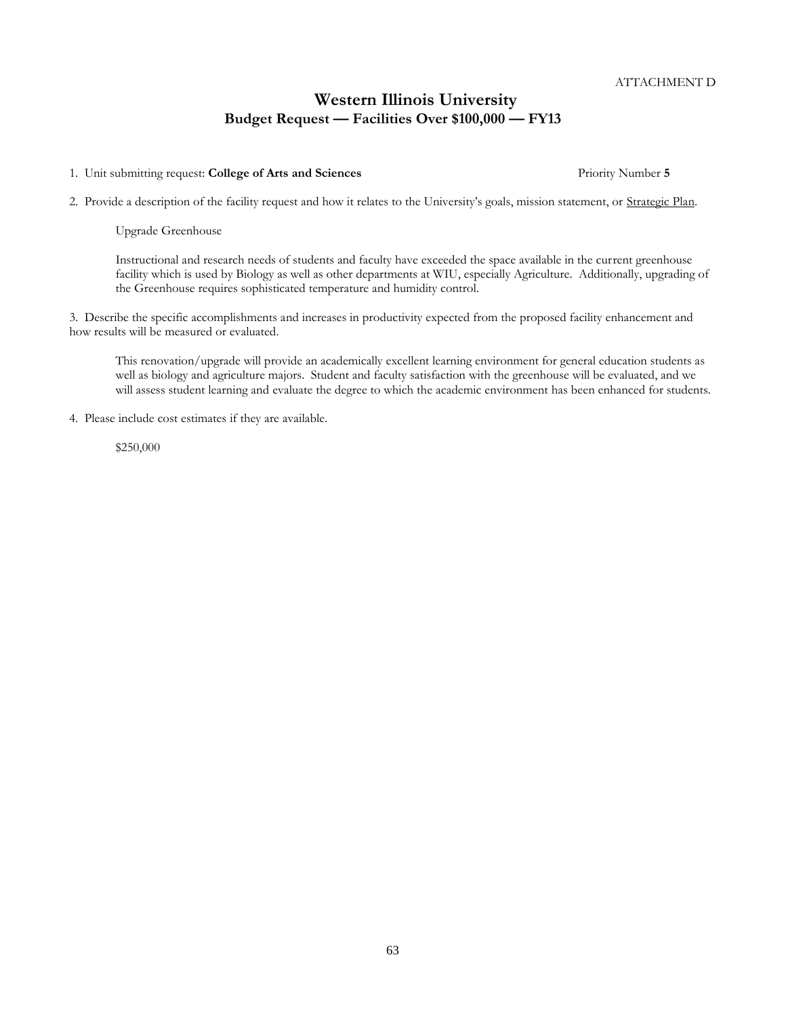1. Unit submitting request: **College of Arts and Sciences** Priority Number **5**

2. Provide a description of the facility request and how it relates to the University's goals, mission statement, or Strategic Plan.

Upgrade Greenhouse

Instructional and research needs of students and faculty have exceeded the space available in the current greenhouse facility which is used by Biology as well as other departments at WIU, especially Agriculture. Additionally, upgrading of the Greenhouse requires sophisticated temperature and humidity control.

3. Describe the specific accomplishments and increases in productivity expected from the proposed facility enhancement and how results will be measured or evaluated.

This renovation/upgrade will provide an academically excellent learning environment for general education students as well as biology and agriculture majors. Student and faculty satisfaction with the greenhouse will be evaluated, and we will assess student learning and evaluate the degree to which the academic environment has been enhanced for students.

4. Please include cost estimates if they are available.

\$250,000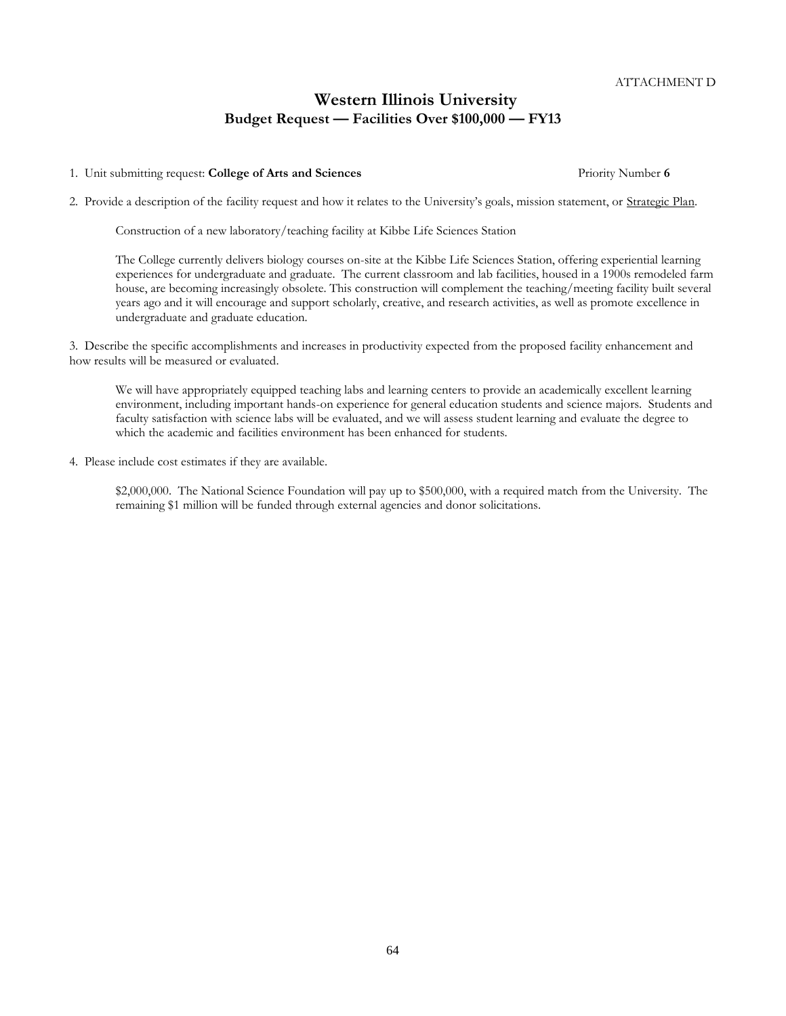#### 1. Unit submitting request: **College of Arts and Sciences** Priority Number **6**

2. Provide a description of the facility request and how it relates to the University's goals, mission statement, or Strategic Plan.

Construction of a new laboratory/teaching facility at Kibbe Life Sciences Station

The College currently delivers biology courses on-site at the Kibbe Life Sciences Station, offering experiential learning experiences for undergraduate and graduate. The current classroom and lab facilities, housed in a 1900s remodeled farm house, are becoming increasingly obsolete. This construction will complement the teaching/meeting facility built several years ago and it will encourage and support scholarly, creative, and research activities, as well as promote excellence in undergraduate and graduate education.

3. Describe the specific accomplishments and increases in productivity expected from the proposed facility enhancement and how results will be measured or evaluated.

We will have appropriately equipped teaching labs and learning centers to provide an academically excellent learning environment, including important hands-on experience for general education students and science majors. Students and faculty satisfaction with science labs will be evaluated, and we will assess student learning and evaluate the degree to which the academic and facilities environment has been enhanced for students.

4. Please include cost estimates if they are available.

\$2,000,000. The National Science Foundation will pay up to \$500,000, with a required match from the University. The remaining \$1 million will be funded through external agencies and donor solicitations.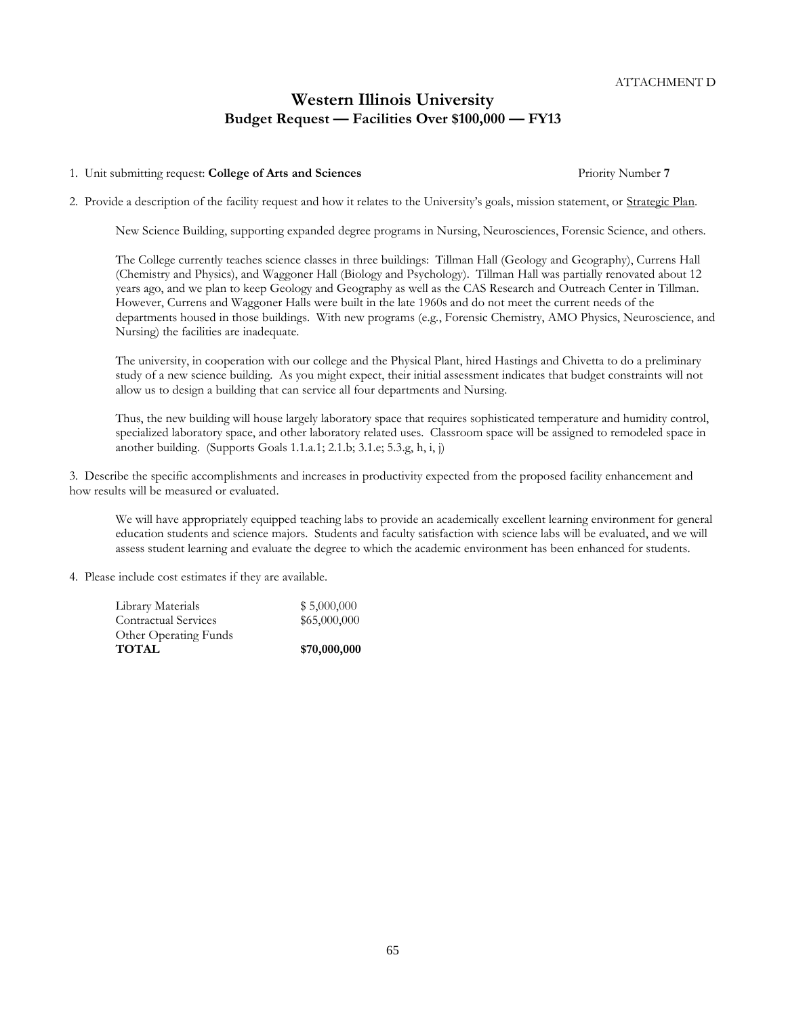#### 1. Unit submitting request: **College of Arts and Sciences** Priority Number **7**

2. Provide a description of the facility request and how it relates to the University's goals, mission statement, or Strategic Plan.

New Science Building, supporting expanded degree programs in Nursing, Neurosciences, Forensic Science, and others.

The College currently teaches science classes in three buildings: Tillman Hall (Geology and Geography), Currens Hall (Chemistry and Physics), and Waggoner Hall (Biology and Psychology). Tillman Hall was partially renovated about 12 years ago, and we plan to keep Geology and Geography as well as the CAS Research and Outreach Center in Tillman. However, Currens and Waggoner Halls were built in the late 1960s and do not meet the current needs of the departments housed in those buildings. With new programs (e.g., Forensic Chemistry, AMO Physics, Neuroscience, and Nursing) the facilities are inadequate.

The university, in cooperation with our college and the Physical Plant, hired Hastings and Chivetta to do a preliminary study of a new science building. As you might expect, their initial assessment indicates that budget constraints will not allow us to design a building that can service all four departments and Nursing.

Thus, the new building will house largely laboratory space that requires sophisticated temperature and humidity control, specialized laboratory space, and other laboratory related uses. Classroom space will be assigned to remodeled space in another building. (Supports Goals  $1.1.a.1; 2.1.b; 3.1.e; 5.3.g., h, i, j$ )

3. Describe the specific accomplishments and increases in productivity expected from the proposed facility enhancement and how results will be measured or evaluated.

We will have appropriately equipped teaching labs to provide an academically excellent learning environment for general education students and science majors. Students and faculty satisfaction with science labs will be evaluated, and we will assess student learning and evaluate the degree to which the academic environment has been enhanced for students.

4. Please include cost estimates if they are available.

| <b>TOTAL</b>                | \$70,000,000 |
|-----------------------------|--------------|
| Other Operating Funds       |              |
| <b>Contractual Services</b> | \$65,000,000 |
| Library Materials           | \$5,000,000  |
|                             |              |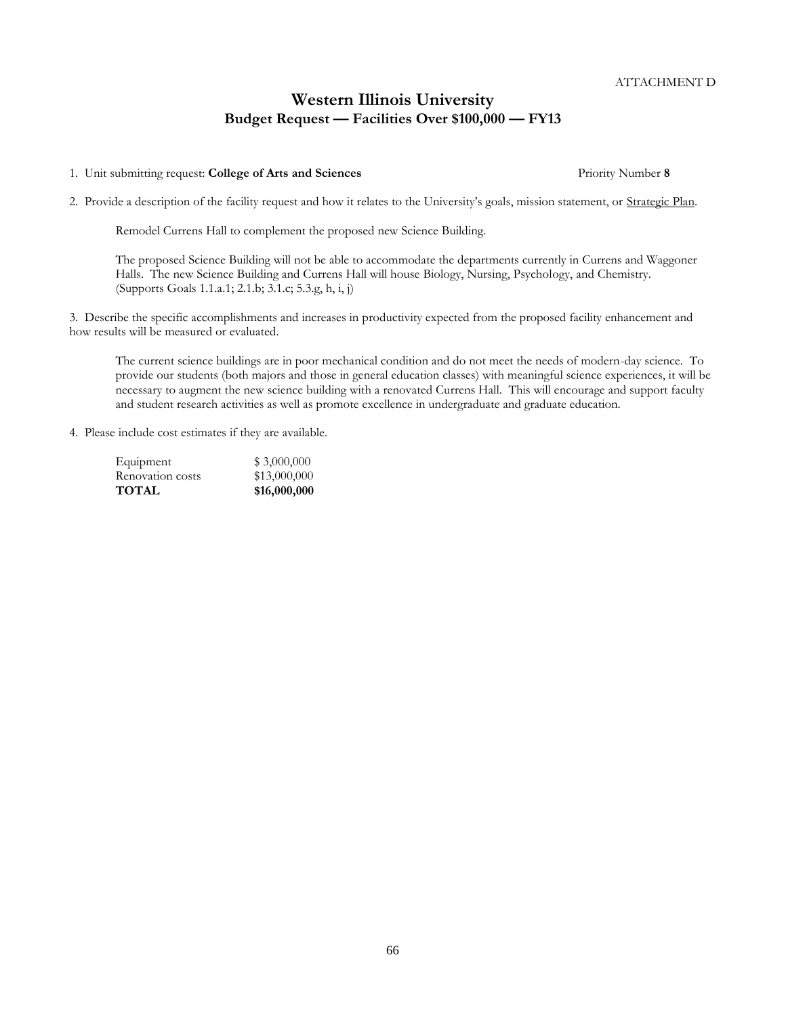1. Unit submitting request: **College of Arts and Sciences** Priority Number **8**

2. Provide a description of the facility request and how it relates to the University's goals, mission statement, or Strategic Plan.

Remodel Currens Hall to complement the proposed new Science Building.

The proposed Science Building will not be able to accommodate the departments currently in Currens and Waggoner Halls. The new Science Building and Currens Hall will house Biology, Nursing, Psychology, and Chemistry. (Supports Goals 1.1.a.1; 2.1.b; 3.1.c; 5.3.g, h, i, j)

3. Describe the specific accomplishments and increases in productivity expected from the proposed facility enhancement and how results will be measured or evaluated.

The current science buildings are in poor mechanical condition and do not meet the needs of modern-day science. To provide our students (both majors and those in general education classes) with meaningful science experiences, it will be necessary to augment the new science building with a renovated Currens Hall. This will encourage and support faculty and student research activities as well as promote excellence in undergraduate and graduate education.

4. Please include cost estimates if they are available.

| Equipment        | \$3,000,000  |
|------------------|--------------|
| Renovation costs | \$13,000,000 |
| TOTAL            | \$16,000,000 |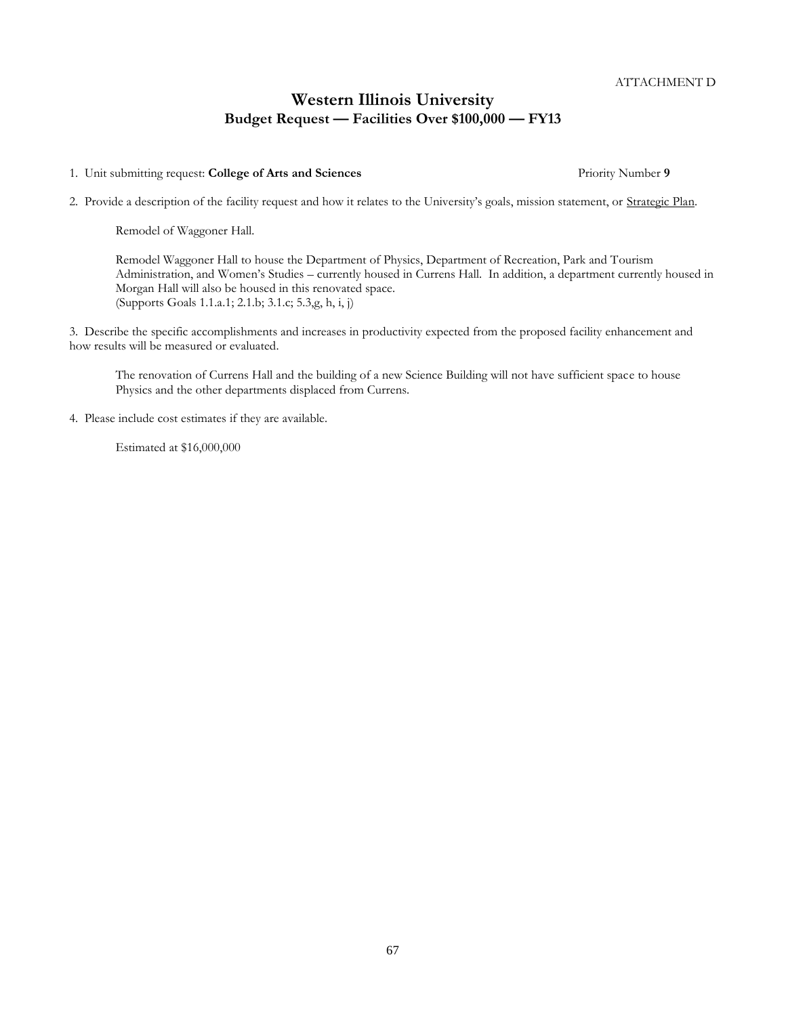1. Unit submitting request: **College of Arts and Sciences** Priority Number **9**

2. Provide a description of the facility request and how it relates to the University's goals, mission statement, or Strategic Plan.

Remodel of Waggoner Hall.

Remodel Waggoner Hall to house the Department of Physics, Department of Recreation, Park and Tourism Administration, and Women's Studies – currently housed in Currens Hall. In addition, a department currently housed in Morgan Hall will also be housed in this renovated space. (Supports Goals 1.1.a.1; 2.1.b; 3.1.c; 5.3,g, h, i, j)

3. Describe the specific accomplishments and increases in productivity expected from the proposed facility enhancement and how results will be measured or evaluated.

The renovation of Currens Hall and the building of a new Science Building will not have sufficient space to house Physics and the other departments displaced from Currens.

4. Please include cost estimates if they are available.

Estimated at \$16,000,000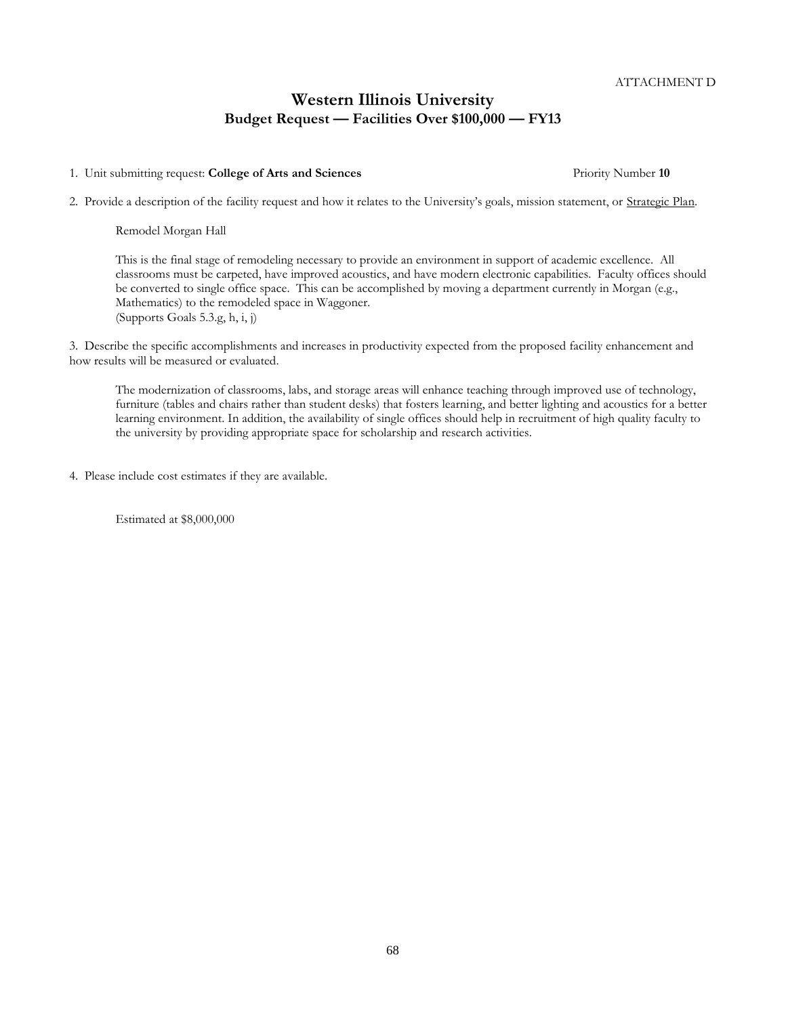1. Unit submitting request: **College of Arts and Sciences** Priority Number **10**

2. Provide a description of the facility request and how it relates to the University's goals, mission statement, or Strategic Plan.

Remodel Morgan Hall

This is the final stage of remodeling necessary to provide an environment in support of academic excellence. All classrooms must be carpeted, have improved acoustics, and have modern electronic capabilities. Faculty offices should be converted to single office space. This can be accomplished by moving a department currently in Morgan (e.g., Mathematics) to the remodeled space in Waggoner. (Supports Goals 5.3.g, h, i, j)

3. Describe the specific accomplishments and increases in productivity expected from the proposed facility enhancement and how results will be measured or evaluated.

The modernization of classrooms, labs, and storage areas will enhance teaching through improved use of technology, furniture (tables and chairs rather than student desks) that fosters learning, and better lighting and acoustics for a better learning environment. In addition, the availability of single offices should help in recruitment of high quality faculty to the university by providing appropriate space for scholarship and research activities.

4. Please include cost estimates if they are available.

Estimated at \$8,000,000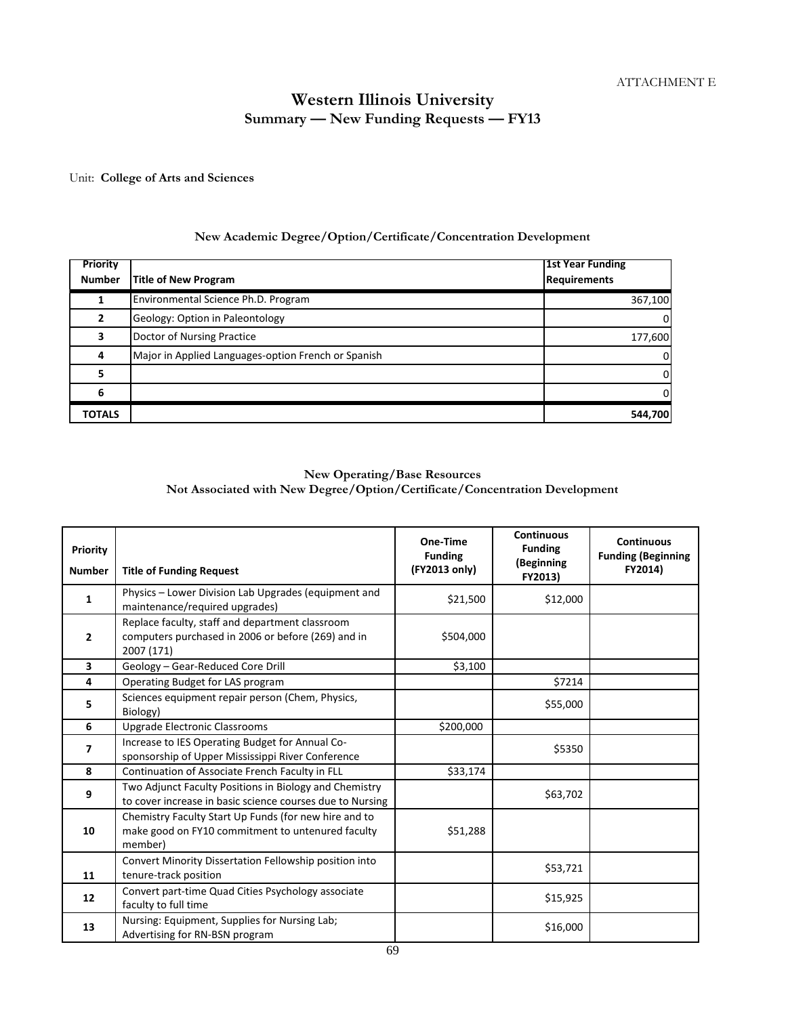# **Western Illinois University Summary — New Funding Requests — FY13**

Unit: **College of Arts and Sciences**

### **New Academic Degree/Option/Certificate/Concentration Development**

| <b>Priority</b> |                                                     | <b>1st Year Funding</b> |
|-----------------|-----------------------------------------------------|-------------------------|
| <b>Number</b>   | <b>Title of New Program</b>                         | <b>Requirements</b>     |
|                 | Environmental Science Ph.D. Program                 | 367,100                 |
|                 | Geology: Option in Paleontology                     | $\Omega$                |
|                 | Doctor of Nursing Practice                          | 177,600                 |
|                 | Major in Applied Languages-option French or Spanish | 0                       |
| 5               |                                                     | 0                       |
| 6               |                                                     | $\Omega$                |
| TOTALS          |                                                     | 544,700                 |

### **New Operating/Base Resources Not Associated with New Degree/Option/Certificate/Concentration Development**

| Priority<br><b>Number</b> | <b>Title of Funding Request</b>                                                                                       | One-Time<br><b>Funding</b><br>(FY2013 only) | <b>Continuous</b><br><b>Funding</b><br>(Beginning<br>FY2013) | <b>Continuous</b><br><b>Funding (Beginning</b><br>FY2014) |
|---------------------------|-----------------------------------------------------------------------------------------------------------------------|---------------------------------------------|--------------------------------------------------------------|-----------------------------------------------------------|
| 1                         | Physics - Lower Division Lab Upgrades (equipment and<br>maintenance/required upgrades)                                | \$21,500                                    | \$12,000                                                     |                                                           |
| 2                         | Replace faculty, staff and department classroom<br>computers purchased in 2006 or before (269) and in<br>2007 (171)   | \$504,000                                   |                                                              |                                                           |
| 3                         | Geology - Gear-Reduced Core Drill                                                                                     | \$3,100                                     |                                                              |                                                           |
| 4                         | Operating Budget for LAS program                                                                                      |                                             | \$7214                                                       |                                                           |
| 5                         | Sciences equipment repair person (Chem, Physics,<br>Biology)                                                          |                                             | \$55,000                                                     |                                                           |
| 6                         | <b>Upgrade Electronic Classrooms</b>                                                                                  | \$200,000                                   |                                                              |                                                           |
| 7                         | Increase to IES Operating Budget for Annual Co-<br>sponsorship of Upper Mississippi River Conference                  |                                             | \$5350                                                       |                                                           |
| 8                         | Continuation of Associate French Faculty in FLL                                                                       | \$33,174                                    |                                                              |                                                           |
| 9                         | Two Adjunct Faculty Positions in Biology and Chemistry<br>to cover increase in basic science courses due to Nursing   |                                             | \$63,702                                                     |                                                           |
| 10                        | Chemistry Faculty Start Up Funds (for new hire and to<br>make good on FY10 commitment to untenured faculty<br>member) | \$51,288                                    |                                                              |                                                           |
| 11                        | Convert Minority Dissertation Fellowship position into<br>tenure-track position                                       |                                             | \$53,721                                                     |                                                           |
| 12                        | Convert part-time Quad Cities Psychology associate<br>faculty to full time                                            |                                             | \$15,925                                                     |                                                           |
| 13                        | Nursing: Equipment, Supplies for Nursing Lab;<br>Advertising for RN-BSN program                                       |                                             | \$16,000                                                     |                                                           |